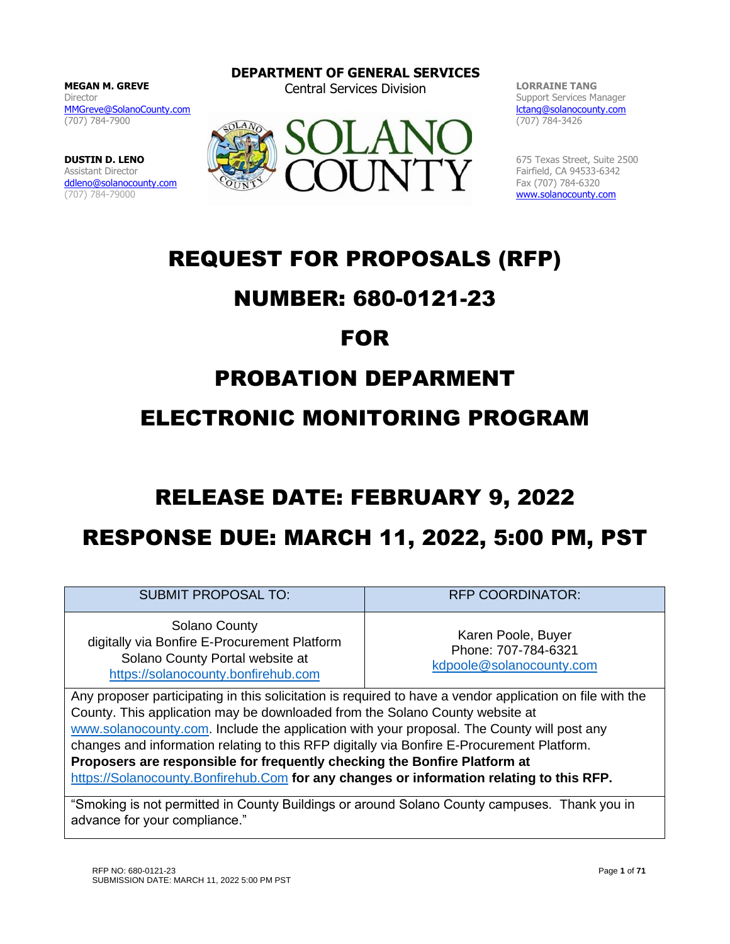**MEGAN M. GREVE** Director [MMGreve@SolanoCounty.com](mailto:MMGreve@SolanoCounty.com) (707) 784-7900

**DUSTIN D. LENO** Assistant Director [ddleno@solanocounty.com](mailto:ddleno@solanocounty.com) (707) 784-79000

**DEPARTMENT OF GENERAL SERVICES** Central Services Division **LORRAINE TANG**



Support Services Manager [lctang@solanocounty.com](mailto:lctang@solanocounty.com) (707) 784-3426

675 Texas Street, Suite 2500 Fairfield, CA 94533-6342 Fax (707) 784-6320 [www.solanocounty.com](http://www.solanocounty.com/)

# REQUEST FOR PROPOSALS (RFP)

# NUMBER: 680-0121-23

# FOR

# PROBATION DEPARMENT

# ELECTRONIC MONITORING PROGRAM

# RELEASE DATE: FEBRUARY 9, 2022

# RESPONSE DUE: MARCH 11, 2022, 5:00 PM, PST

SUBMIT PROPOSAL TO:  $RFP$  COORDINATOR:

Solano County digitally via Bonfire E-Procurement Platform Solano County Portal website at [https://solanocounty.bonfirehub.com](https://solanocounty.bonfirehub.com/)

Karen Poole, Buyer Phone: 707-784-6321 [kdpoole@solanocounty.com](mailto:kdpoole@solanocounty.com)

Any proposer participating in this solicitation is required to have a vendor application on file with the County. This application may be downloaded from the Solano County website at [www.solanocounty.com.](http://www.solanocounty.com/) Include the application with your proposal. The County will post any changes and information relating to this RFP digitally via Bonfire E-Procurement Platform. **Proposers are responsible for frequently checking the Bonfire Platform at**  [https://Solanocounty.Bonfirehub.Com](https://solanocounty.bonfirehub.com/) **for any changes or information relating to this RFP.**

"Smoking is not permitted in County Buildings or around Solano County campuses. Thank you in advance for your compliance."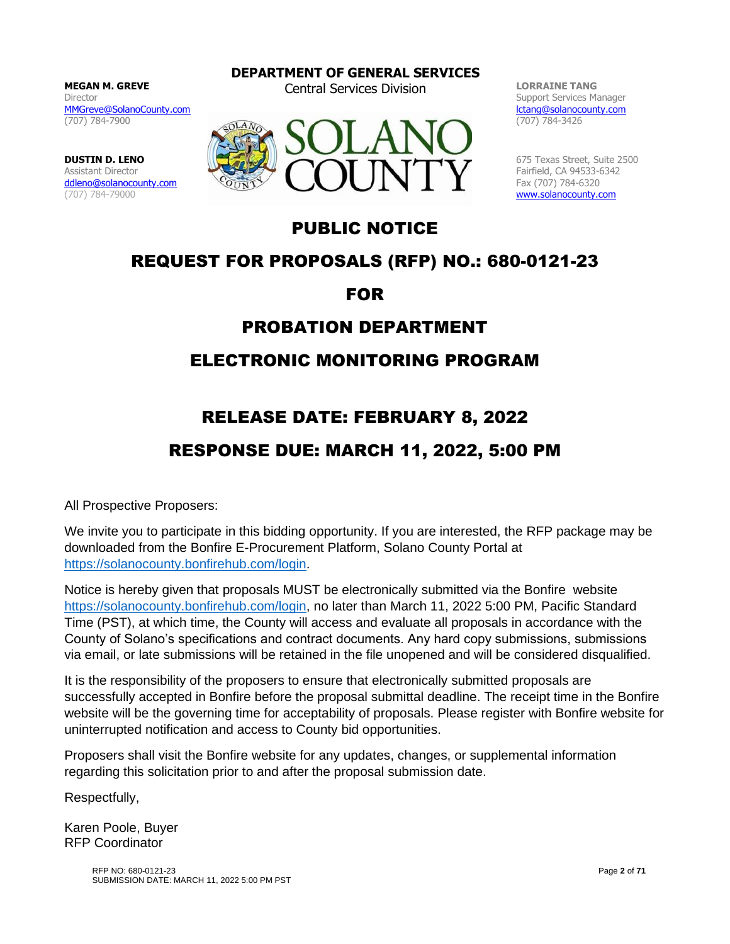**MEGAN M. GREVE** Director [MMGreve@SolanoCounty.com](mailto:MMGreve@SolanoCounty.com) (707) 784-7900

**DUSTIN D. LENO** Assistant Director [ddleno@solanocounty.com](mailto:ddleno@solanocounty.com) (707) 784-79000

**DEPARTMENT OF GENERAL SERVICES**

Central Services Division **LORRAINE TANG**



Support Services Manager [lctang@solanocounty.com](mailto:lctang@solanocounty.com) (707) 784-3426

675 Texas Street, Suite 2500 Fairfield, CA 94533-6342 Fax (707) 784-6320 [www.solanocounty.com](http://www.solanocounty.com/)

# PUBLIC NOTICE

# REQUEST FOR PROPOSALS (RFP) NO.: 680-0121-23

FOR

# PROBATION DEPARTMENT

# ELECTRONIC MONITORING PROGRAM

# RELEASE DATE: FEBRUARY 8, 2022

# RESPONSE DUE: MARCH 11, 2022, 5:00 PM

All Prospective Proposers:

We invite you to participate in this bidding opportunity. If you are interested, the RFP package may be downloaded from the Bonfire E-Procurement Platform, Solano County Portal at [https://solanocounty.bonfirehub.com/login.](https://solanocounty.bonfirehub.com/login)

Notice is hereby given that proposals MUST be electronically submitted via the Bonfire website [https://solanocounty.bonfirehub.com/login,](https://solanocounty.bonfirehub.com/login) no later than March 11, 2022 5:00 PM, Pacific Standard Time (PST), at which time, the County will access and evaluate all proposals in accordance with the County of Solano's specifications and contract documents. Any hard copy submissions, submissions via email, or late submissions will be retained in the file unopened and will be considered disqualified.

It is the responsibility of the proposers to ensure that electronically submitted proposals are successfully accepted in Bonfire before the proposal submittal deadline. The receipt time in the Bonfire website will be the governing time for acceptability of proposals. Please register with Bonfire website for uninterrupted notification and access to County bid opportunities.

Proposers shall visit the Bonfire website for any updates, changes, or supplemental information regarding this solicitation prior to and after the proposal submission date.

Respectfully,

Karen Poole, Buyer RFP Coordinator

> RFP NO: 680-0121-23 SUBMISSION DATE: MARCH 11, 2022 5:00 PM PST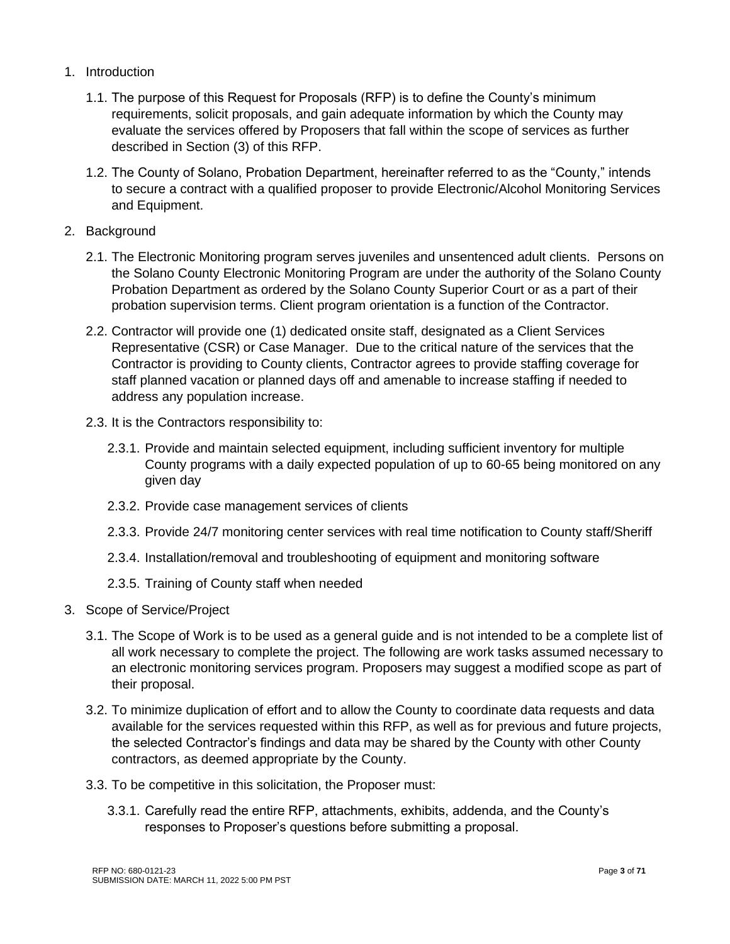- 1. Introduction
	- 1.1. The purpose of this Request for Proposals (RFP) is to define the County's minimum requirements, solicit proposals, and gain adequate information by which the County may evaluate the services offered by Proposers that fall within the scope of services as further described in Section (3) of this RFP.
	- 1.2. The County of Solano, Probation Department, hereinafter referred to as the "County," intends to secure a contract with a qualified proposer to provide Electronic/Alcohol Monitoring Services and Equipment.
- 2. Background
	- 2.1. The Electronic Monitoring program serves juveniles and unsentenced adult clients. Persons on the Solano County Electronic Monitoring Program are under the authority of the Solano County Probation Department as ordered by the Solano County Superior Court or as a part of their probation supervision terms. Client program orientation is a function of the Contractor.
	- 2.2. Contractor will provide one (1) dedicated onsite staff, designated as a Client Services Representative (CSR) or Case Manager. Due to the critical nature of the services that the Contractor is providing to County clients, Contractor agrees to provide staffing coverage for staff planned vacation or planned days off and amenable to increase staffing if needed to address any population increase.
	- 2.3. It is the Contractors responsibility to:
		- 2.3.1. Provide and maintain selected equipment, including sufficient inventory for multiple County programs with a daily expected population of up to 60-65 being monitored on any given day
		- 2.3.2. Provide case management services of clients
		- 2.3.3. Provide 24/7 monitoring center services with real time notification to County staff/Sheriff
		- 2.3.4. Installation/removal and troubleshooting of equipment and monitoring software
		- 2.3.5. Training of County staff when needed
- 3. Scope of Service/Project
	- 3.1. The Scope of Work is to be used as a general guide and is not intended to be a complete list of all work necessary to complete the project. The following are work tasks assumed necessary to an electronic monitoring services program. Proposers may suggest a modified scope as part of their proposal.
	- 3.2. To minimize duplication of effort and to allow the County to coordinate data requests and data available for the services requested within this RFP, as well as for previous and future projects, the selected Contractor's findings and data may be shared by the County with other County contractors, as deemed appropriate by the County.
	- 3.3. To be competitive in this solicitation, the Proposer must:
		- 3.3.1. Carefully read the entire RFP, attachments, exhibits, addenda, and the County's responses to Proposer's questions before submitting a proposal.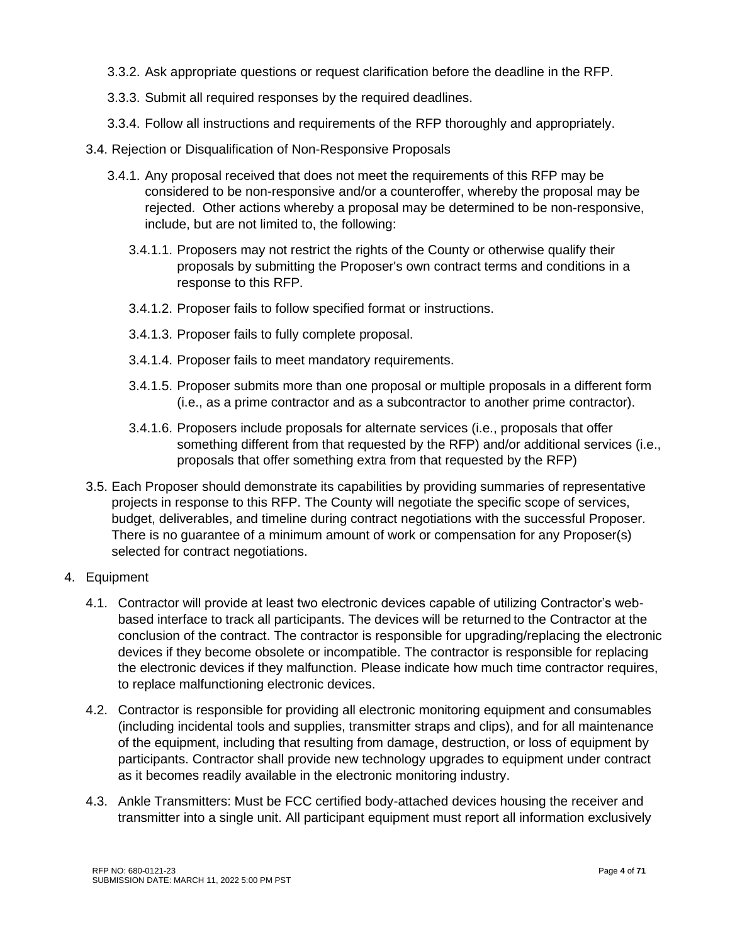- 3.3.2. Ask appropriate questions or request clarification before the deadline in the RFP.
- 3.3.3. Submit all required responses by the required deadlines.
- 3.3.4. Follow all instructions and requirements of the RFP thoroughly and appropriately.
- 3.4. Rejection or Disqualification of Non-Responsive Proposals
	- 3.4.1. Any proposal received that does not meet the requirements of this RFP may be considered to be non-responsive and/or a counteroffer, whereby the proposal may be rejected. Other actions whereby a proposal may be determined to be non-responsive, include, but are not limited to, the following:
		- 3.4.1.1. Proposers may not restrict the rights of the County or otherwise qualify their proposals by submitting the Proposer's own contract terms and conditions in a response to this RFP.
		- 3.4.1.2. Proposer fails to follow specified format or instructions.
		- 3.4.1.3. Proposer fails to fully complete proposal.
		- 3.4.1.4. Proposer fails to meet mandatory requirements.
		- 3.4.1.5. Proposer submits more than one proposal or multiple proposals in a different form (i.e., as a prime contractor and as a subcontractor to another prime contractor).
		- 3.4.1.6. Proposers include proposals for alternate services (i.e., proposals that offer something different from that requested by the RFP) and/or additional services (i.e., proposals that offer something extra from that requested by the RFP)
- 3.5. Each Proposer should demonstrate its capabilities by providing summaries of representative projects in response to this RFP. The County will negotiate the specific scope of services, budget, deliverables, and timeline during contract negotiations with the successful Proposer. There is no guarantee of a minimum amount of work or compensation for any Proposer(s) selected for contract negotiations.
- 4. Equipment
	- 4.1. Contractor will provide at least two electronic devices capable of utilizing Contractor's webbased interface to track all participants. The devices will be returned to the Contractor at the conclusion of the contract. The contractor is responsible for upgrading/replacing the electronic devices if they become obsolete or incompatible. The contractor is responsible for replacing the electronic devices if they malfunction. Please indicate how much time contractor requires, to replace malfunctioning electronic devices.
	- 4.2. Contractor is responsible for providing all electronic monitoring equipment and consumables (including incidental tools and supplies, transmitter straps and clips), and for all maintenance of the equipment, including that resulting from damage, destruction, or loss of equipment by participants. Contractor shall provide new technology upgrades to equipment under contract as it becomes readily available in the electronic monitoring industry.
	- 4.3. Ankle Transmitters: Must be FCC certified body-attached devices housing the receiver and transmitter into a single unit. All participant equipment must report all information exclusively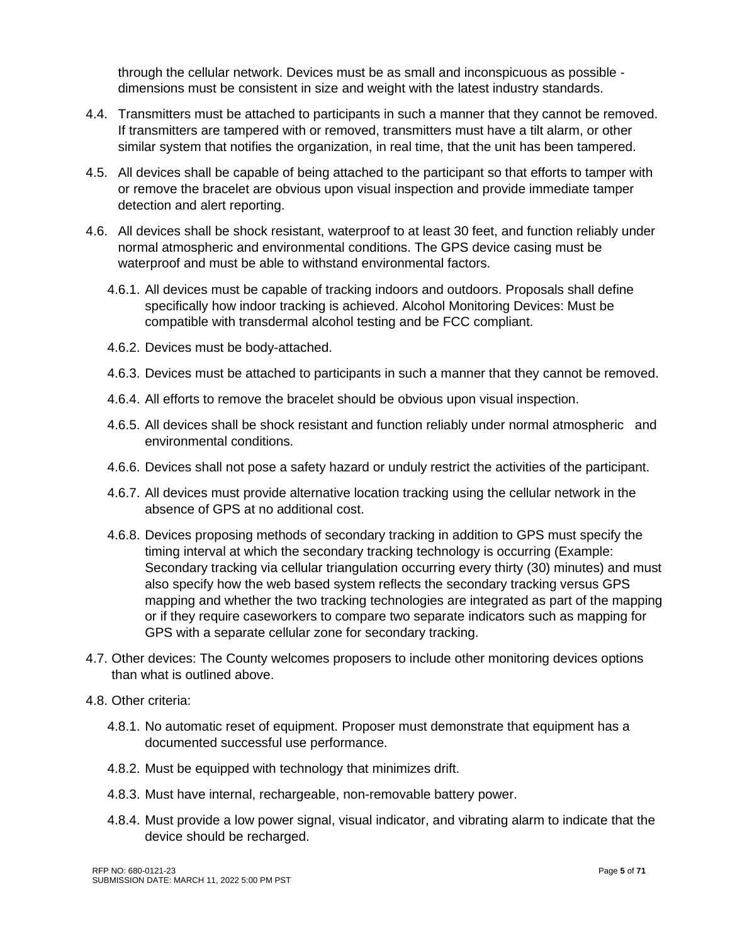through the cellular network. Devices must be as small and inconspicuous as possible dimensions must be consistent in size and weight with the latest industry standards.

- 4.4. Transmitters must be attached to participants in such a manner that they cannot be removed. If transmitters are tampered with or removed, transmitters must have a tilt alarm, or other similar system that notifies the organization, in real time, that the unit has been tampered.
- 4.5. All devices shall be capable of being attached to the participant so that efforts to tamper with or remove the bracelet are obvious upon visual inspection and provide immediate tamper detection and alert reporting.
- 4.6. All devices shall be shock resistant, waterproof to at least 30 feet, and function reliably under normal atmospheric and environmental conditions. The GPS device casing must be waterproof and must be able to withstand environmental factors.
	- 4.6.1. All devices must be capable of tracking indoors and outdoors. Proposals shall define specifically how indoor tracking is achieved. Alcohol Monitoring Devices: Must be compatible with transdermal alcohol testing and be FCC compliant.
	- 4.6.2. Devices must be body-attached.
	- 4.6.3. Devices must be attached to participants in such a manner that they cannot be removed.
	- 4.6.4. All efforts to remove the bracelet should be obvious upon visual inspection.
	- 4.6.5. All devices shall be shock resistant and function reliably under normal atmospheric and environmental conditions.
	- 4.6.6. Devices shall not pose a safety hazard or unduly restrict the activities of the participant.
	- 4.6.7. All devices must provide alternative location tracking using the cellular network in the absence of GPS at no additional cost.
	- 4.6.8. Devices proposing methods of secondary tracking in addition to GPS must specify the timing interval at which the secondary tracking technology is occurring (Example: Secondary tracking via cellular triangulation occurring every thirty (30) minutes) and must also specify how the web based system reflects the secondary tracking versus GPS mapping and whether the two tracking technologies are integrated as part of the mapping or if they require caseworkers to compare two separate indicators such as mapping for GPS with a separate cellular zone for secondary tracking.
- 4.7. Other devices: The County welcomes proposers to include other monitoring devices options than what is outlined above.
- 4.8. Other criteria:
	- 4.8.1. No automatic reset of equipment. Proposer must demonstrate that equipment has a documented successful use performance.
	- 4.8.2. Must be equipped with technology that minimizes drift.
	- 4.8.3. Must have internal, rechargeable, non-removable battery power.
	- 4.8.4. Must provide a low power signal, visual indicator, and vibrating alarm to indicate that the device should be recharged.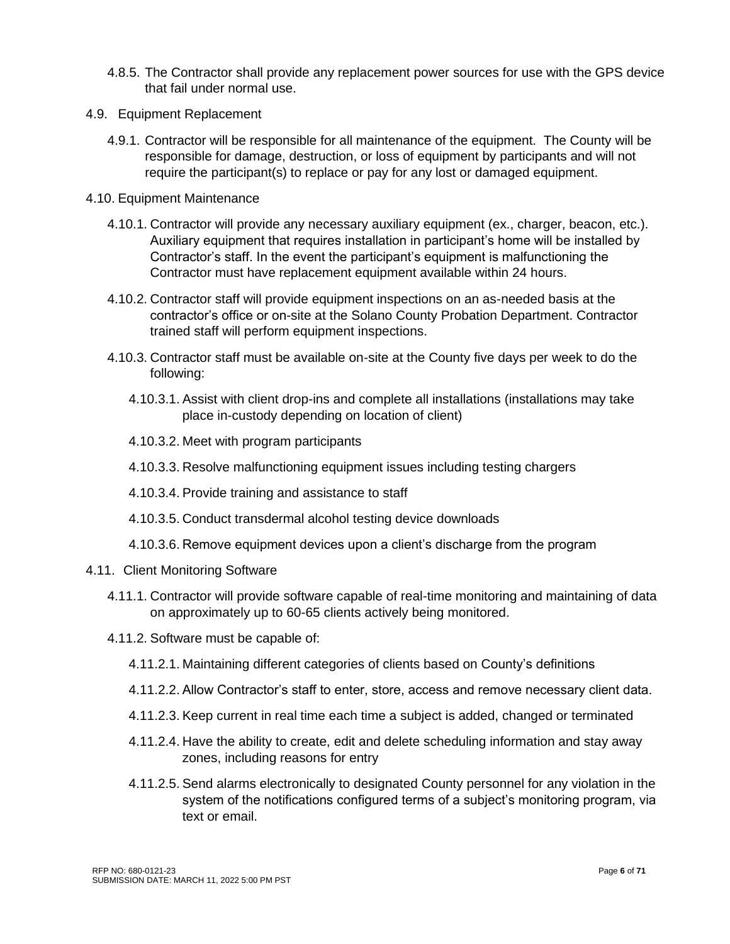- 4.8.5. The Contractor shall provide any replacement power sources for use with the GPS device that fail under normal use.
- 4.9. Equipment Replacement
	- 4.9.1. Contractor will be responsible for all maintenance of the equipment. The County will be responsible for damage, destruction, or loss of equipment by participants and will not require the participant(s) to replace or pay for any lost or damaged equipment.
- 4.10. Equipment Maintenance
	- 4.10.1. Contractor will provide any necessary auxiliary equipment (ex., charger, beacon, etc.). Auxiliary equipment that requires installation in participant's home will be installed by Contractor's staff. In the event the participant's equipment is malfunctioning the Contractor must have replacement equipment available within 24 hours.
	- 4.10.2. Contractor staff will provide equipment inspections on an as-needed basis at the contractor's office or on-site at the Solano County Probation Department. Contractor trained staff will perform equipment inspections.
	- 4.10.3. Contractor staff must be available on-site at the County five days per week to do the following:
		- 4.10.3.1. Assist with client drop-ins and complete all installations (installations may take place in-custody depending on location of client)
		- 4.10.3.2. Meet with program participants
		- 4.10.3.3. Resolve malfunctioning equipment issues including testing chargers
		- 4.10.3.4. Provide training and assistance to staff
		- 4.10.3.5. Conduct transdermal alcohol testing device downloads
		- 4.10.3.6. Remove equipment devices upon a client's discharge from the program
- 4.11. Client Monitoring Software
	- 4.11.1. Contractor will provide software capable of real-time monitoring and maintaining of data on approximately up to 60-65 clients actively being monitored.
	- 4.11.2. Software must be capable of:
		- 4.11.2.1. Maintaining different categories of clients based on County's definitions
		- 4.11.2.2. Allow Contractor's staff to enter, store, access and remove necessary client data.
		- 4.11.2.3. Keep current in real time each time a subject is added, changed or terminated
		- 4.11.2.4. Have the ability to create, edit and delete scheduling information and stay away zones, including reasons for entry
		- 4.11.2.5. Send alarms electronically to designated County personnel for any violation in the system of the notifications configured terms of a subject's monitoring program, via text or email.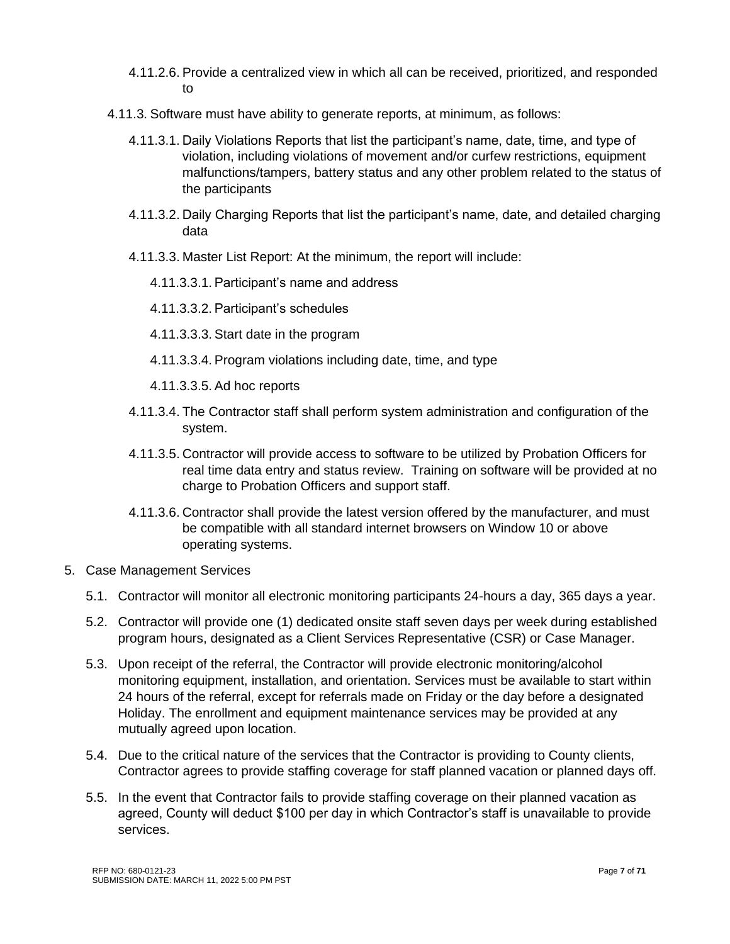- 4.11.2.6. Provide a centralized view in which all can be received, prioritized, and responded to
- 4.11.3. Software must have ability to generate reports, at minimum, as follows:
	- 4.11.3.1. Daily Violations Reports that list the participant's name, date, time, and type of violation, including violations of movement and/or curfew restrictions, equipment malfunctions/tampers, battery status and any other problem related to the status of the participants
	- 4.11.3.2. Daily Charging Reports that list the participant's name, date, and detailed charging data
	- 4.11.3.3. Master List Report: At the minimum, the report will include:
		- 4.11.3.3.1. Participant's name and address
		- 4.11.3.3.2. Participant's schedules
		- 4.11.3.3.3. Start date in the program
		- 4.11.3.3.4. Program violations including date, time, and type
		- 4.11.3.3.5. Ad hoc reports
	- 4.11.3.4. The Contractor staff shall perform system administration and configuration of the system.
	- 4.11.3.5. Contractor will provide access to software to be utilized by Probation Officers for real time data entry and status review. Training on software will be provided at no charge to Probation Officers and support staff.
	- 4.11.3.6. Contractor shall provide the latest version offered by the manufacturer, and must be compatible with all standard internet browsers on Window 10 or above operating systems.
- 5. Case Management Services
	- 5.1. Contractor will monitor all electronic monitoring participants 24-hours a day, 365 days a year.
	- 5.2. Contractor will provide one (1) dedicated onsite staff seven days per week during established program hours, designated as a Client Services Representative (CSR) or Case Manager.
	- 5.3. Upon receipt of the referral, the Contractor will provide electronic monitoring/alcohol monitoring equipment, installation, and orientation. Services must be available to start within 24 hours of the referral, except for referrals made on Friday or the day before a designated Holiday. The enrollment and equipment maintenance services may be provided at any mutually agreed upon location.
	- 5.4. Due to the critical nature of the services that the Contractor is providing to County clients, Contractor agrees to provide staffing coverage for staff planned vacation or planned days off.
	- 5.5. In the event that Contractor fails to provide staffing coverage on their planned vacation as agreed, County will deduct \$100 per day in which Contractor's staff is unavailable to provide services.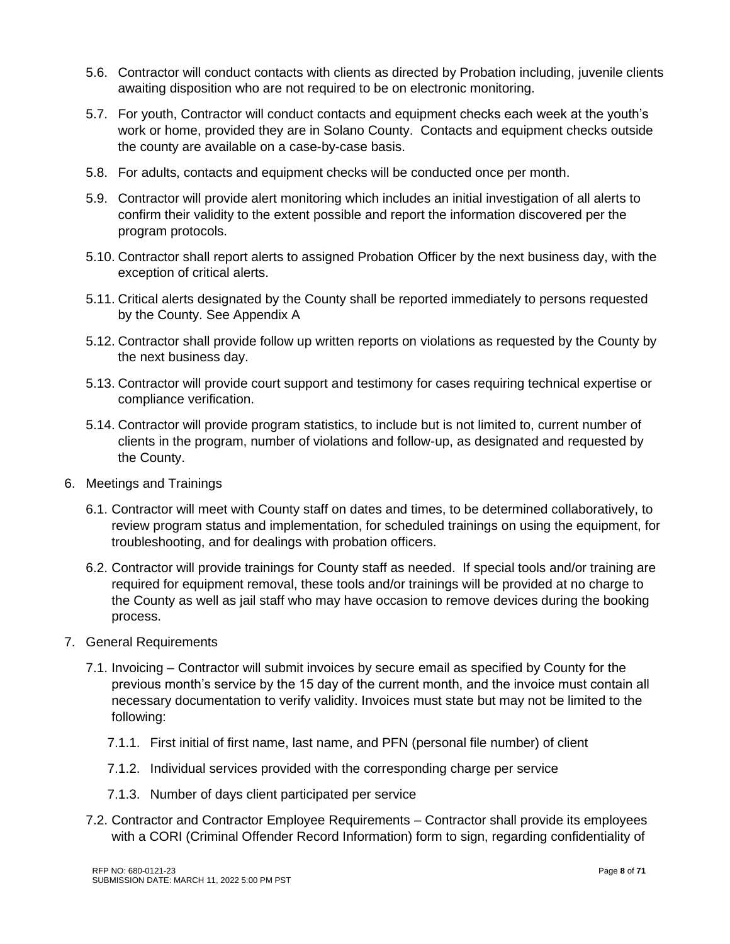- 5.6. Contractor will conduct contacts with clients as directed by Probation including, juvenile clients awaiting disposition who are not required to be on electronic monitoring.
- 5.7. For youth, Contractor will conduct contacts and equipment checks each week at the youth's work or home, provided they are in Solano County. Contacts and equipment checks outside the county are available on a case-by-case basis.
- 5.8. For adults, contacts and equipment checks will be conducted once per month.
- 5.9. Contractor will provide alert monitoring which includes an initial investigation of all alerts to confirm their validity to the extent possible and report the information discovered per the program protocols.
- 5.10. Contractor shall report alerts to assigned Probation Officer by the next business day, with the exception of critical alerts.
- 5.11. Critical alerts designated by the County shall be reported immediately to persons requested by the County. See Appendix A
- 5.12. Contractor shall provide follow up written reports on violations as requested by the County by the next business day.
- 5.13. Contractor will provide court support and testimony for cases requiring technical expertise or compliance verification.
- 5.14. Contractor will provide program statistics, to include but is not limited to, current number of clients in the program, number of violations and follow-up, as designated and requested by the County.
- 6. Meetings and Trainings
	- 6.1. Contractor will meet with County staff on dates and times, to be determined collaboratively, to review program status and implementation, for scheduled trainings on using the equipment, for troubleshooting, and for dealings with probation officers.
	- 6.2. Contractor will provide trainings for County staff as needed. If special tools and/or training are required for equipment removal, these tools and/or trainings will be provided at no charge to the County as well as jail staff who may have occasion to remove devices during the booking process.
- 7. General Requirements
	- 7.1. Invoicing Contractor will submit invoices by secure email as specified by County for the previous month's service by the 15 day of the current month, and the invoice must contain all necessary documentation to verify validity. Invoices must state but may not be limited to the following:
		- 7.1.1. First initial of first name, last name, and PFN (personal file number) of client
		- 7.1.2. Individual services provided with the corresponding charge per service
		- 7.1.3. Number of days client participated per service
	- 7.2. Contractor and Contractor Employee Requirements Contractor shall provide its employees with a CORI (Criminal Offender Record Information) form to sign, regarding confidentiality of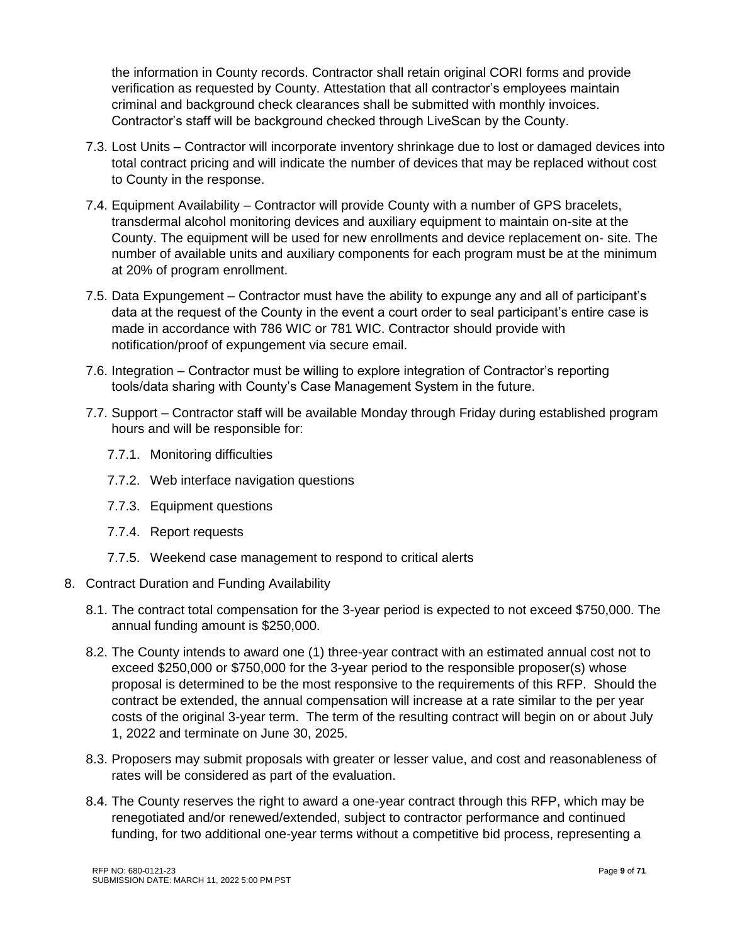the information in County records. Contractor shall retain original CORI forms and provide verification as requested by County. Attestation that all contractor's employees maintain criminal and background check clearances shall be submitted with monthly invoices. Contractor's staff will be background checked through LiveScan by the County.

- 7.3. Lost Units Contractor will incorporate inventory shrinkage due to lost or damaged devices into total contract pricing and will indicate the number of devices that may be replaced without cost to County in the response.
- 7.4. Equipment Availability Contractor will provide County with a number of GPS bracelets, transdermal alcohol monitoring devices and auxiliary equipment to maintain on-site at the County. The equipment will be used for new enrollments and device replacement on- site. The number of available units and auxiliary components for each program must be at the minimum at 20% of program enrollment.
- 7.5. Data Expungement Contractor must have the ability to expunge any and all of participant's data at the request of the County in the event a court order to seal participant's entire case is made in accordance with 786 WIC or 781 WIC. Contractor should provide with notification/proof of expungement via secure email.
- 7.6. Integration Contractor must be willing to explore integration of Contractor's reporting tools/data sharing with County's Case Management System in the future.
- 7.7. Support Contractor staff will be available Monday through Friday during established program hours and will be responsible for:
	- 7.7.1. Monitoring difficulties
	- 7.7.2. Web interface navigation questions
	- 7.7.3. Equipment questions
	- 7.7.4. Report requests
	- 7.7.5. Weekend case management to respond to critical alerts
- 8. Contract Duration and Funding Availability
	- 8.1. The contract total compensation for the 3-year period is expected to not exceed \$750,000. The annual funding amount is \$250,000.
	- 8.2. The County intends to award one (1) three-year contract with an estimated annual cost not to exceed \$250,000 or \$750,000 for the 3-year period to the responsible proposer(s) whose proposal is determined to be the most responsive to the requirements of this RFP. Should the contract be extended, the annual compensation will increase at a rate similar to the per year costs of the original 3-year term. The term of the resulting contract will begin on or about July 1, 2022 and terminate on June 30, 2025.
	- 8.3. Proposers may submit proposals with greater or lesser value, and cost and reasonableness of rates will be considered as part of the evaluation.
	- 8.4. The County reserves the right to award a one-year contract through this RFP, which may be renegotiated and/or renewed/extended, subject to contractor performance and continued funding, for two additional one-year terms without a competitive bid process, representing a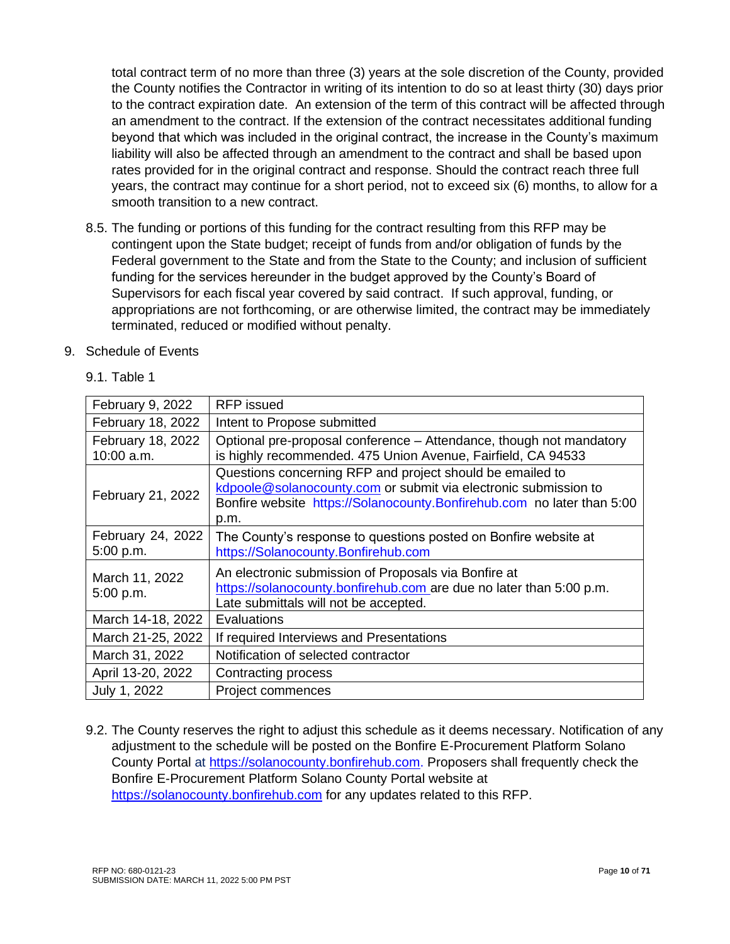total contract term of no more than three (3) years at the sole discretion of the County, provided the County notifies the Contractor in writing of its intention to do so at least thirty (30) days prior to the contract expiration date. An extension of the term of this contract will be affected through an amendment to the contract. If the extension of the contract necessitates additional funding beyond that which was included in the original contract, the increase in the County's maximum liability will also be affected through an amendment to the contract and shall be based upon rates provided for in the original contract and response. Should the contract reach three full years, the contract may continue for a short period, not to exceed six (6) months, to allow for a smooth transition to a new contract.

- 8.5. The funding or portions of this funding for the contract resulting from this RFP may be contingent upon the State budget; receipt of funds from and/or obligation of funds by the Federal government to the State and from the State to the County; and inclusion of sufficient funding for the services hereunder in the budget approved by the County's Board of Supervisors for each fiscal year covered by said contract. If such approval, funding, or appropriations are not forthcoming, or are otherwise limited, the contract may be immediately terminated, reduced or modified without penalty.
- 9. Schedule of Events
	- 9.1. Table 1

| February 9, 2022                | <b>RFP</b> issued                                                                                                                                                                                              |
|---------------------------------|----------------------------------------------------------------------------------------------------------------------------------------------------------------------------------------------------------------|
| February 18, 2022               | Intent to Propose submitted                                                                                                                                                                                    |
| February 18, 2022<br>10:00 a.m. | Optional pre-proposal conference – Attendance, though not mandatory<br>is highly recommended. 475 Union Avenue, Fairfield, CA 94533                                                                            |
| February 21, 2022               | Questions concerning RFP and project should be emailed to<br>kdpoole@solanocounty.com or submit via electronic submission to<br>Bonfire website https://Solanocounty.Bonfirehub.com no later than 5:00<br>p.m. |
| February 24, 2022<br>5:00 p.m.  | The County's response to questions posted on Bonfire website at<br>https://Solanocounty.Bonfirehub.com                                                                                                         |
| March 11, 2022<br>5:00 p.m.     | An electronic submission of Proposals via Bonfire at<br>https://solanocounty.bonfirehub.com are due no later than 5:00 p.m.<br>Late submittals will not be accepted.                                           |
| March 14-18, 2022               | Evaluations                                                                                                                                                                                                    |
| March 21-25, 2022               | If required Interviews and Presentations                                                                                                                                                                       |
| March 31, 2022                  | Notification of selected contractor                                                                                                                                                                            |
| April 13-20, 2022               | Contracting process                                                                                                                                                                                            |
| July 1, 2022                    | Project commences                                                                                                                                                                                              |
|                                 |                                                                                                                                                                                                                |

9.2. The County reserves the right to adjust this schedule as it deems necessary. Notification of any adjustment to the schedule will be posted on the Bonfire E-Procurement Platform Solano County Portal at [https://solanocounty.bonfirehub.com.](https://solanocounty.bonfirehub.com/) Proposers shall frequently check the Bonfire E-Procurement Platform Solano County Portal website at [https://solanocounty.bonfirehub.com](https://solanocounty.bonfirehub.com/) for any updates related to this RFP.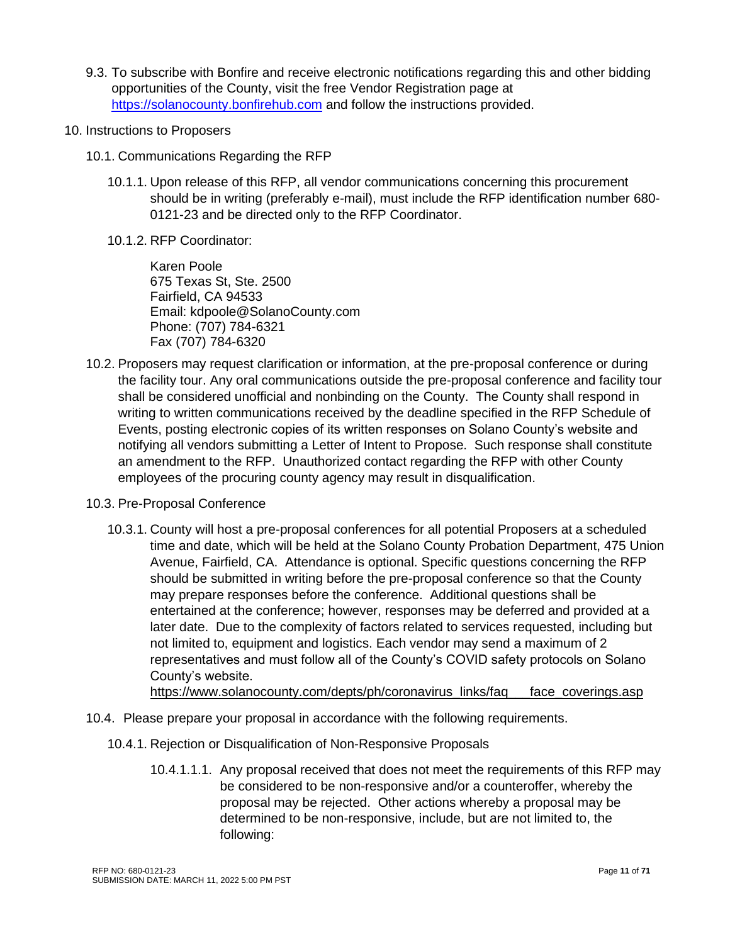- 9.3. To subscribe with Bonfire and receive electronic notifications regarding this and other bidding opportunities of the County, visit the free Vendor Registration page at [https://solanocounty.bonfirehub.com](https://solanocounty.bonfirehub.com/) and follow the instructions provided.
- 10. Instructions to Proposers
	- 10.1. Communications Regarding the RFP
		- 10.1.1. Upon release of this RFP, all vendor communications concerning this procurement should be in writing (preferably e-mail), must include the RFP identification number 680- 0121-23 and be directed only to the RFP Coordinator.
		- 10.1.2. RFP Coordinator:

Karen Poole 675 Texas St, Ste. 2500 Fairfield, CA 94533 Email: kdpoole@SolanoCounty.com Phone: (707) 784-6321 Fax (707) 784-6320

- 10.2. Proposers may request clarification or information, at the pre-proposal conference or during the facility tour. Any oral communications outside the pre-proposal conference and facility tour shall be considered unofficial and nonbinding on the County. The County shall respond in writing to written communications received by the deadline specified in the RFP Schedule of Events, posting electronic copies of its written responses on Solano County's website and notifying all vendors submitting a Letter of Intent to Propose. Such response shall constitute an amendment to the RFP. Unauthorized contact regarding the RFP with other County employees of the procuring county agency may result in disqualification.
- 10.3. Pre-Proposal Conference
	- 10.3.1. County will host a pre-proposal conferences for all potential Proposers at a scheduled time and date, which will be held at the Solano County Probation Department, 475 Union Avenue, Fairfield, CA. Attendance is optional. Specific questions concerning the RFP should be submitted in writing before the pre-proposal conference so that the County may prepare responses before the conference. Additional questions shall be entertained at the conference; however, responses may be deferred and provided at a later date. Due to the complexity of factors related to services requested, including but not limited to, equipment and logistics. Each vendor may send a maximum of 2 representatives and must follow all of the County's COVID safety protocols on Solano County's website.

[https://www.solanocounty.com/depts/ph/coronavirus\\_links/faq\\_\\_\\_face\\_coverings.asp](https://www.solanocounty.com/depts/ph/coronavirus_links/faq___face_coverings.asp)

- 10.4. Please prepare your proposal in accordance with the following requirements.
	- 10.4.1. Rejection or Disqualification of Non-Responsive Proposals
		- 10.4.1.1.1. Any proposal received that does not meet the requirements of this RFP may be considered to be non-responsive and/or a counteroffer, whereby the proposal may be rejected. Other actions whereby a proposal may be determined to be non-responsive, include, but are not limited to, the following: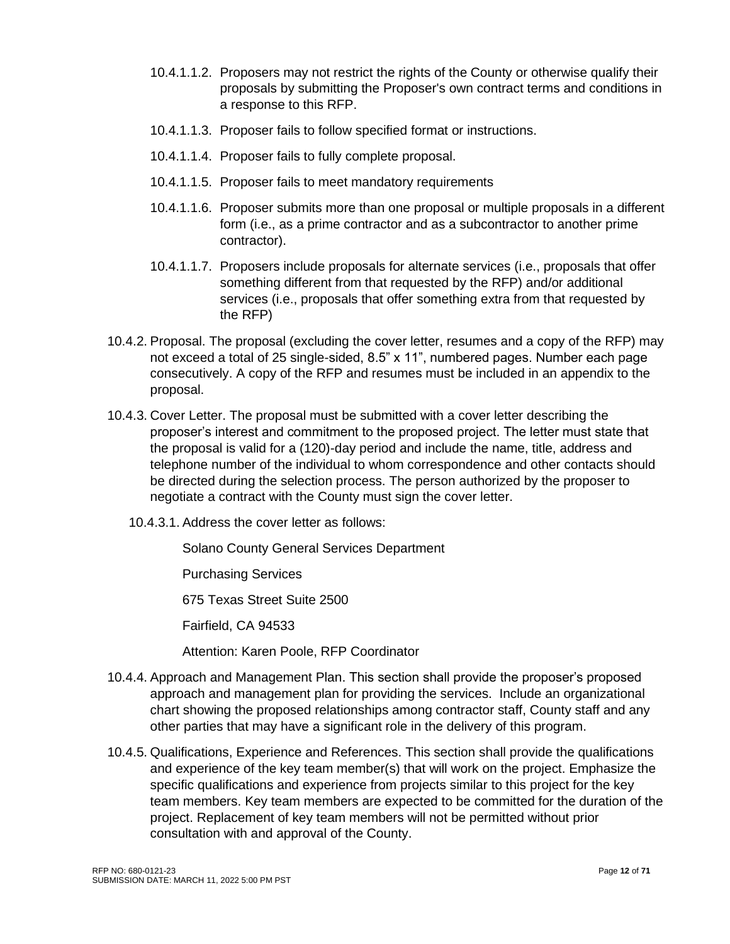- 10.4.1.1.2. Proposers may not restrict the rights of the County or otherwise qualify their proposals by submitting the Proposer's own contract terms and conditions in a response to this RFP.
- 10.4.1.1.3. Proposer fails to follow specified format or instructions.
- 10.4.1.1.4. Proposer fails to fully complete proposal.
- 10.4.1.1.5. Proposer fails to meet mandatory requirements
- 10.4.1.1.6. Proposer submits more than one proposal or multiple proposals in a different form (i.e., as a prime contractor and as a subcontractor to another prime contractor).
- 10.4.1.1.7. Proposers include proposals for alternate services (i.e., proposals that offer something different from that requested by the RFP) and/or additional services (i.e., proposals that offer something extra from that requested by the RFP)
- 10.4.2. Proposal. The proposal (excluding the cover letter, resumes and a copy of the RFP) may not exceed a total of 25 single-sided, 8.5" x 11", numbered pages. Number each page consecutively. A copy of the RFP and resumes must be included in an appendix to the proposal.
- 10.4.3. Cover Letter. The proposal must be submitted with a cover letter describing the proposer's interest and commitment to the proposed project. The letter must state that the proposal is valid for a (120)-day period and include the name, title, address and telephone number of the individual to whom correspondence and other contacts should be directed during the selection process. The person authorized by the proposer to negotiate a contract with the County must sign the cover letter.
	- 10.4.3.1. Address the cover letter as follows:

Solano County General Services Department

Purchasing Services

675 Texas Street Suite 2500

Fairfield, CA 94533

Attention: Karen Poole, RFP Coordinator

- 10.4.4. Approach and Management Plan. This section shall provide the proposer's proposed approach and management plan for providing the services. Include an organizational chart showing the proposed relationships among contractor staff, County staff and any other parties that may have a significant role in the delivery of this program.
- 10.4.5. Qualifications, Experience and References. This section shall provide the qualifications and experience of the key team member(s) that will work on the project. Emphasize the specific qualifications and experience from projects similar to this project for the key team members. Key team members are expected to be committed for the duration of the project. Replacement of key team members will not be permitted without prior consultation with and approval of the County.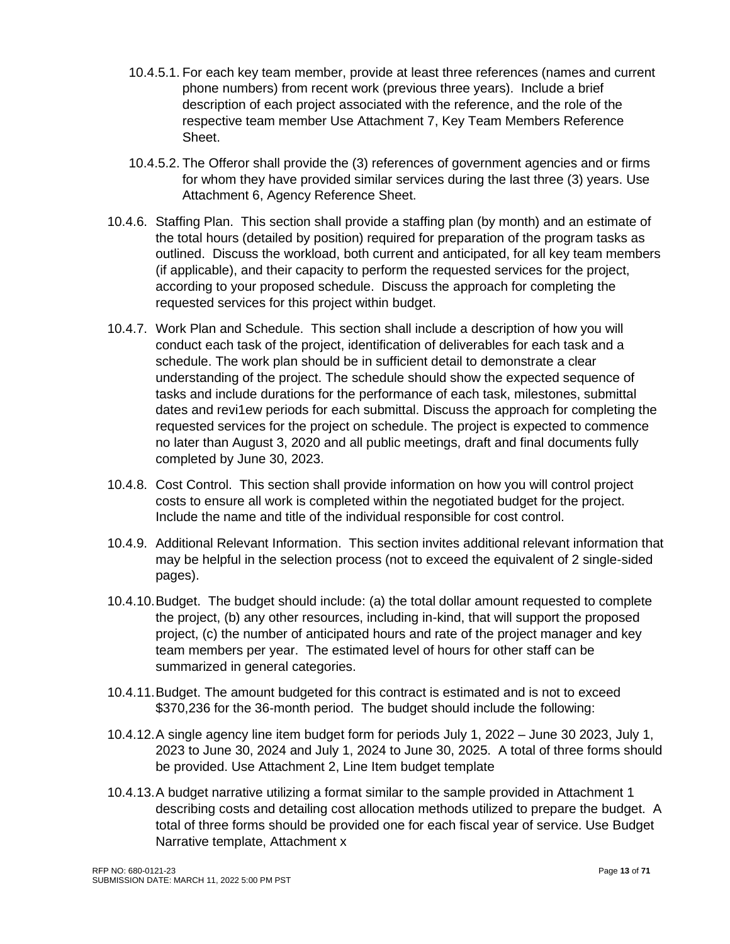- 10.4.5.1. For each key team member, provide at least three references (names and current phone numbers) from recent work (previous three years). Include a brief description of each project associated with the reference, and the role of the respective team member Use Attachment 7, Key Team Members Reference Sheet.
- 10.4.5.2. The Offeror shall provide the (3) references of government agencies and or firms for whom they have provided similar services during the last three (3) years. Use Attachment 6, Agency Reference Sheet.
- 10.4.6. Staffing Plan. This section shall provide a staffing plan (by month) and an estimate of the total hours (detailed by position) required for preparation of the program tasks as outlined. Discuss the workload, both current and anticipated, for all key team members (if applicable), and their capacity to perform the requested services for the project, according to your proposed schedule. Discuss the approach for completing the requested services for this project within budget.
- 10.4.7. Work Plan and Schedule. This section shall include a description of how you will conduct each task of the project, identification of deliverables for each task and a schedule. The work plan should be in sufficient detail to demonstrate a clear understanding of the project. The schedule should show the expected sequence of tasks and include durations for the performance of each task, milestones, submittal dates and revi1ew periods for each submittal. Discuss the approach for completing the requested services for the project on schedule. The project is expected to commence no later than August 3, 2020 and all public meetings, draft and final documents fully completed by June 30, 2023.
- 10.4.8. Cost Control. This section shall provide information on how you will control project costs to ensure all work is completed within the negotiated budget for the project. Include the name and title of the individual responsible for cost control.
- 10.4.9. Additional Relevant Information. This section invites additional relevant information that may be helpful in the selection process (not to exceed the equivalent of 2 single-sided pages).
- 10.4.10.Budget. The budget should include: (a) the total dollar amount requested to complete the project, (b) any other resources, including in-kind, that will support the proposed project, (c) the number of anticipated hours and rate of the project manager and key team members per year. The estimated level of hours for other staff can be summarized in general categories.
- 10.4.11.Budget. The amount budgeted for this contract is estimated and is not to exceed \$370,236 for the 36-month period. The budget should include the following:
- 10.4.12.A single agency line item budget form for periods July 1, 2022 June 30 2023, July 1, 2023 to June 30, 2024 and July 1, 2024 to June 30, 2025. A total of three forms should be provided. Use Attachment 2, Line Item budget template
- 10.4.13.A budget narrative utilizing a format similar to the sample provided in Attachment 1 describing costs and detailing cost allocation methods utilized to prepare the budget. A total of three forms should be provided one for each fiscal year of service. Use Budget Narrative template, Attachment x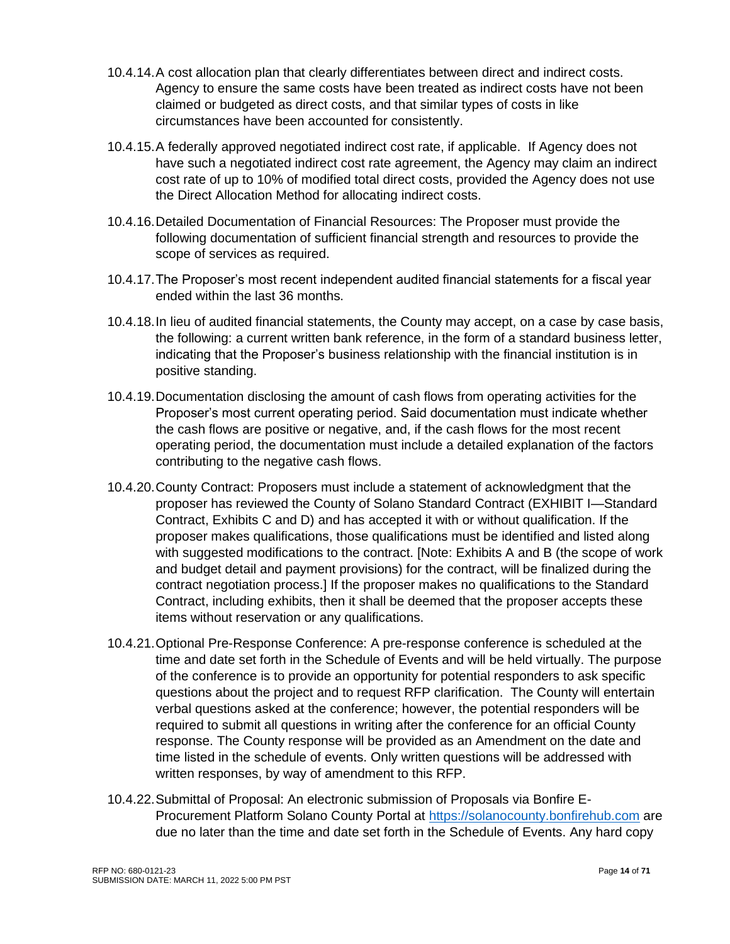- 10.4.14.A cost allocation plan that clearly differentiates between direct and indirect costs. Agency to ensure the same costs have been treated as indirect costs have not been claimed or budgeted as direct costs, and that similar types of costs in like circumstances have been accounted for consistently.
- 10.4.15.A federally approved negotiated indirect cost rate, if applicable. If Agency does not have such a negotiated indirect cost rate agreement, the Agency may claim an indirect cost rate of up to 10% of modified total direct costs, provided the Agency does not use the Direct Allocation Method for allocating indirect costs.
- 10.4.16.Detailed Documentation of Financial Resources: The Proposer must provide the following documentation of sufficient financial strength and resources to provide the scope of services as required.
- 10.4.17.The Proposer's most recent independent audited financial statements for a fiscal year ended within the last 36 months.
- 10.4.18.In lieu of audited financial statements, the County may accept, on a case by case basis, the following: a current written bank reference, in the form of a standard business letter, indicating that the Proposer's business relationship with the financial institution is in positive standing.
- 10.4.19.Documentation disclosing the amount of cash flows from operating activities for the Proposer's most current operating period. Said documentation must indicate whether the cash flows are positive or negative, and, if the cash flows for the most recent operating period, the documentation must include a detailed explanation of the factors contributing to the negative cash flows.
- 10.4.20.County Contract: Proposers must include a statement of acknowledgment that the proposer has reviewed the County of Solano Standard Contract (EXHIBIT I—Standard Contract, Exhibits C and D) and has accepted it with or without qualification. If the proposer makes qualifications, those qualifications must be identified and listed along with suggested modifications to the contract. [Note: Exhibits A and B (the scope of work and budget detail and payment provisions) for the contract, will be finalized during the contract negotiation process.] If the proposer makes no qualifications to the Standard Contract, including exhibits, then it shall be deemed that the proposer accepts these items without reservation or any qualifications.
- 10.4.21.Optional Pre-Response Conference: A pre-response conference is scheduled at the time and date set forth in the Schedule of Events and will be held virtually. The purpose of the conference is to provide an opportunity for potential responders to ask specific questions about the project and to request RFP clarification. The County will entertain verbal questions asked at the conference; however, the potential responders will be required to submit all questions in writing after the conference for an official County response. The County response will be provided as an Amendment on the date and time listed in the schedule of events. Only written questions will be addressed with written responses, by way of amendment to this RFP.
- 10.4.22.Submittal of Proposal: An electronic submission of Proposals via Bonfire E-Procurement Platform Solano County Portal at [https://solanocounty.bonfirehub.com](https://solanocounty.bonfirehub.com/) are due no later than the time and date set forth in the Schedule of Events. Any hard copy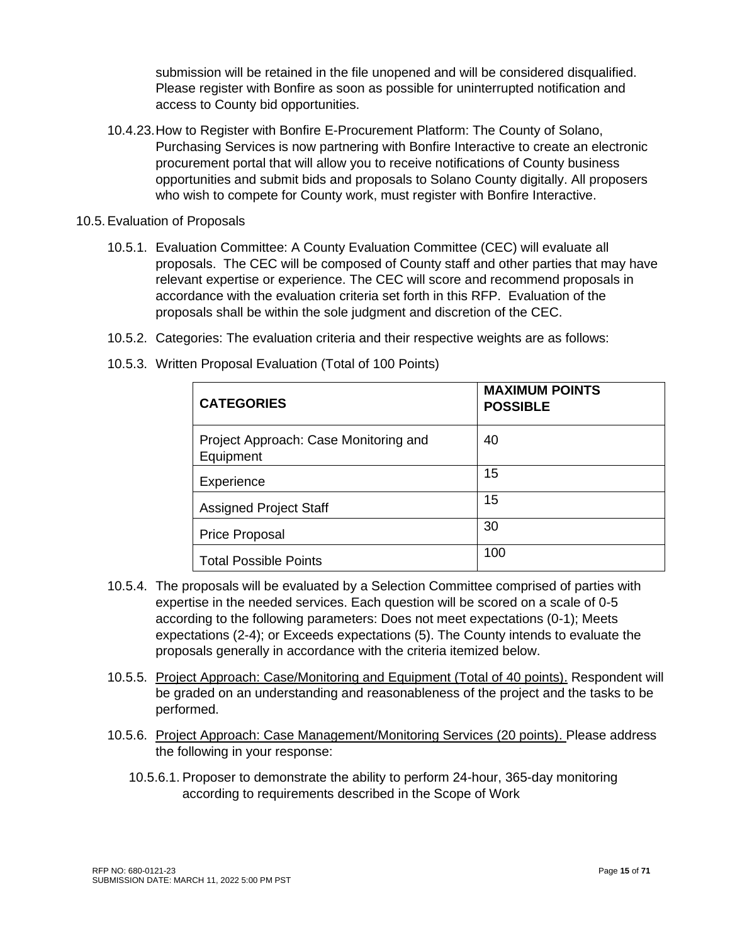submission will be retained in the file unopened and will be considered disqualified. Please register with Bonfire as soon as possible for uninterrupted notification and access to County bid opportunities.

- 10.4.23.How to Register with Bonfire E-Procurement Platform: The County of Solano, Purchasing Services is now partnering with Bonfire Interactive to create an electronic procurement portal that will allow you to receive notifications of County business opportunities and submit bids and proposals to Solano County digitally. All proposers who wish to compete for County work, must register with Bonfire Interactive.
- 10.5.Evaluation of Proposals
	- 10.5.1. Evaluation Committee: A County Evaluation Committee (CEC) will evaluate all proposals. The CEC will be composed of County staff and other parties that may have relevant expertise or experience. The CEC will score and recommend proposals in accordance with the evaluation criteria set forth in this RFP. Evaluation of the proposals shall be within the sole judgment and discretion of the CEC.
	- 10.5.2. Categories: The evaluation criteria and their respective weights are as follows:

| <b>CATEGORIES</b>                                  | <b>MAXIMUM POINTS</b><br><b>POSSIBLE</b> |
|----------------------------------------------------|------------------------------------------|
| Project Approach: Case Monitoring and<br>Equipment | 40                                       |
| Experience                                         | 15                                       |
| <b>Assigned Project Staff</b>                      | 15                                       |
| <b>Price Proposal</b>                              | 30                                       |
| <b>Total Possible Points</b>                       | 100                                      |

10.5.3. Written Proposal Evaluation (Total of 100 Points)

- 10.5.4. The proposals will be evaluated by a Selection Committee comprised of parties with expertise in the needed services. Each question will be scored on a scale of 0-5 according to the following parameters: Does not meet expectations (0-1); Meets expectations (2-4); or Exceeds expectations (5). The County intends to evaluate the proposals generally in accordance with the criteria itemized below.
- 10.5.5. Project Approach: Case/Monitoring and Equipment (Total of 40 points). Respondent will be graded on an understanding and reasonableness of the project and the tasks to be performed.
- 10.5.6. Project Approach: Case Management/Monitoring Services (20 points). Please address the following in your response:
	- 10.5.6.1. Proposer to demonstrate the ability to perform 24-hour, 365-day monitoring according to requirements described in the Scope of Work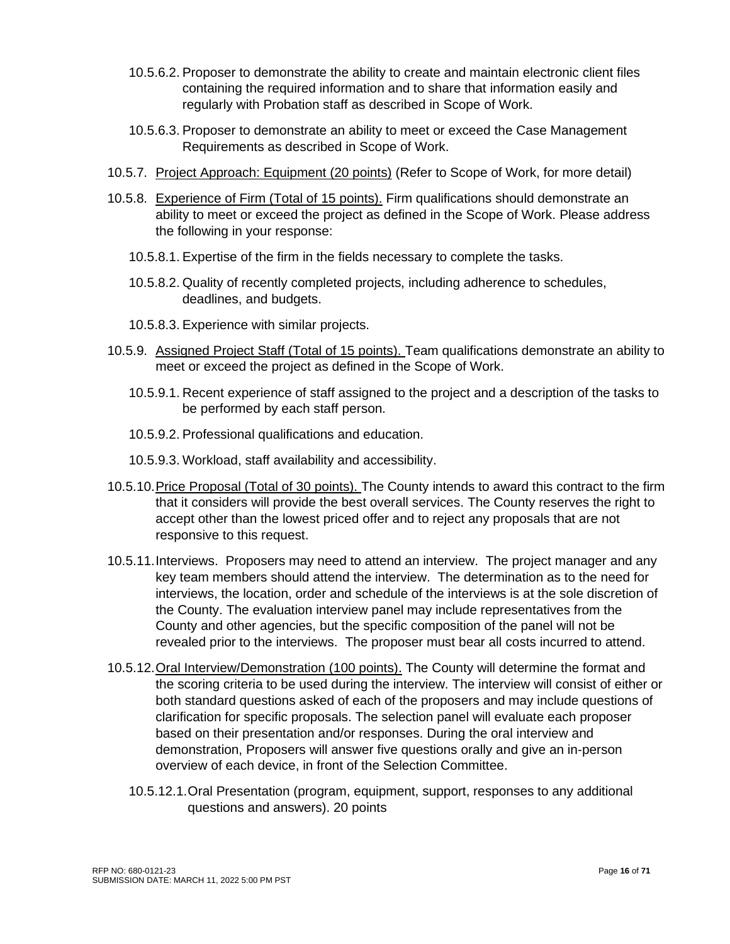- 10.5.6.2. Proposer to demonstrate the ability to create and maintain electronic client files containing the required information and to share that information easily and regularly with Probation staff as described in Scope of Work.
- 10.5.6.3. Proposer to demonstrate an ability to meet or exceed the Case Management Requirements as described in Scope of Work.
- 10.5.7. Project Approach: Equipment (20 points) (Refer to Scope of Work, for more detail)
- 10.5.8. Experience of Firm (Total of 15 points). Firm qualifications should demonstrate an ability to meet or exceed the project as defined in the Scope of Work. Please address the following in your response:
	- 10.5.8.1. Expertise of the firm in the fields necessary to complete the tasks.
	- 10.5.8.2. Quality of recently completed projects, including adherence to schedules, deadlines, and budgets.
	- 10.5.8.3. Experience with similar projects.
- 10.5.9. Assigned Project Staff (Total of 15 points). Team qualifications demonstrate an ability to meet or exceed the project as defined in the Scope of Work.
	- 10.5.9.1. Recent experience of staff assigned to the project and a description of the tasks to be performed by each staff person.
	- 10.5.9.2. Professional qualifications and education.
	- 10.5.9.3. Workload, staff availability and accessibility.
- 10.5.10.Price Proposal (Total of 30 points). The County intends to award this contract to the firm that it considers will provide the best overall services. The County reserves the right to accept other than the lowest priced offer and to reject any proposals that are not responsive to this request.
- 10.5.11.Interviews. Proposers may need to attend an interview. The project manager and any key team members should attend the interview. The determination as to the need for interviews, the location, order and schedule of the interviews is at the sole discretion of the County. The evaluation interview panel may include representatives from the County and other agencies, but the specific composition of the panel will not be revealed prior to the interviews. The proposer must bear all costs incurred to attend.
- 10.5.12.Oral Interview/Demonstration (100 points). The County will determine the format and the scoring criteria to be used during the interview. The interview will consist of either or both standard questions asked of each of the proposers and may include questions of clarification for specific proposals. The selection panel will evaluate each proposer based on their presentation and/or responses. During the oral interview and demonstration, Proposers will answer five questions orally and give an in-person overview of each device, in front of the Selection Committee.
	- 10.5.12.1.Oral Presentation (program, equipment, support, responses to any additional questions and answers). 20 points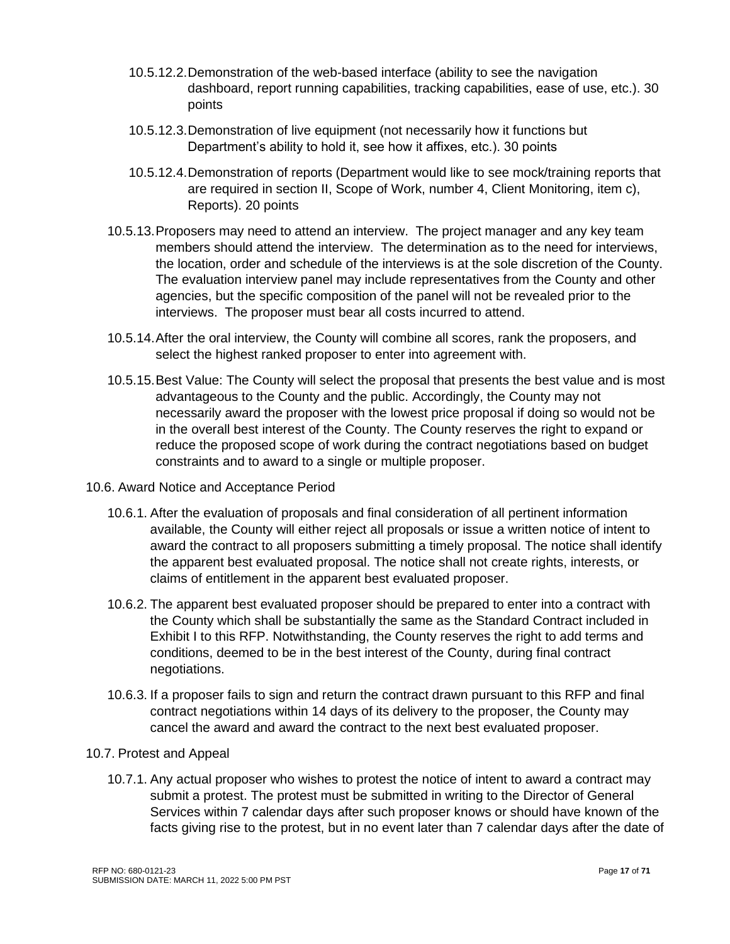- 10.5.12.2.Demonstration of the web-based interface (ability to see the navigation dashboard, report running capabilities, tracking capabilities, ease of use, etc.). 30 points
- 10.5.12.3.Demonstration of live equipment (not necessarily how it functions but Department's ability to hold it, see how it affixes, etc.). 30 points
- 10.5.12.4.Demonstration of reports (Department would like to see mock/training reports that are required in section II, Scope of Work, number 4, Client Monitoring, item c), Reports). 20 points
- 10.5.13.Proposers may need to attend an interview. The project manager and any key team members should attend the interview. The determination as to the need for interviews, the location, order and schedule of the interviews is at the sole discretion of the County. The evaluation interview panel may include representatives from the County and other agencies, but the specific composition of the panel will not be revealed prior to the interviews. The proposer must bear all costs incurred to attend.
- 10.5.14.After the oral interview, the County will combine all scores, rank the proposers, and select the highest ranked proposer to enter into agreement with.
- 10.5.15.Best Value: The County will select the proposal that presents the best value and is most advantageous to the County and the public. Accordingly, the County may not necessarily award the proposer with the lowest price proposal if doing so would not be in the overall best interest of the County. The County reserves the right to expand or reduce the proposed scope of work during the contract negotiations based on budget constraints and to award to a single or multiple proposer.
- 10.6. Award Notice and Acceptance Period
	- 10.6.1. After the evaluation of proposals and final consideration of all pertinent information available, the County will either reject all proposals or issue a written notice of intent to award the contract to all proposers submitting a timely proposal. The notice shall identify the apparent best evaluated proposal. The notice shall not create rights, interests, or claims of entitlement in the apparent best evaluated proposer.
	- 10.6.2. The apparent best evaluated proposer should be prepared to enter into a contract with the County which shall be substantially the same as the Standard Contract included in Exhibit I to this RFP. Notwithstanding, the County reserves the right to add terms and conditions, deemed to be in the best interest of the County, during final contract negotiations.
	- 10.6.3. If a proposer fails to sign and return the contract drawn pursuant to this RFP and final contract negotiations within 14 days of its delivery to the proposer, the County may cancel the award and award the contract to the next best evaluated proposer.
- 10.7. Protest and Appeal
	- 10.7.1. Any actual proposer who wishes to protest the notice of intent to award a contract may submit a protest. The protest must be submitted in writing to the Director of General Services within 7 calendar days after such proposer knows or should have known of the facts giving rise to the protest, but in no event later than 7 calendar days after the date of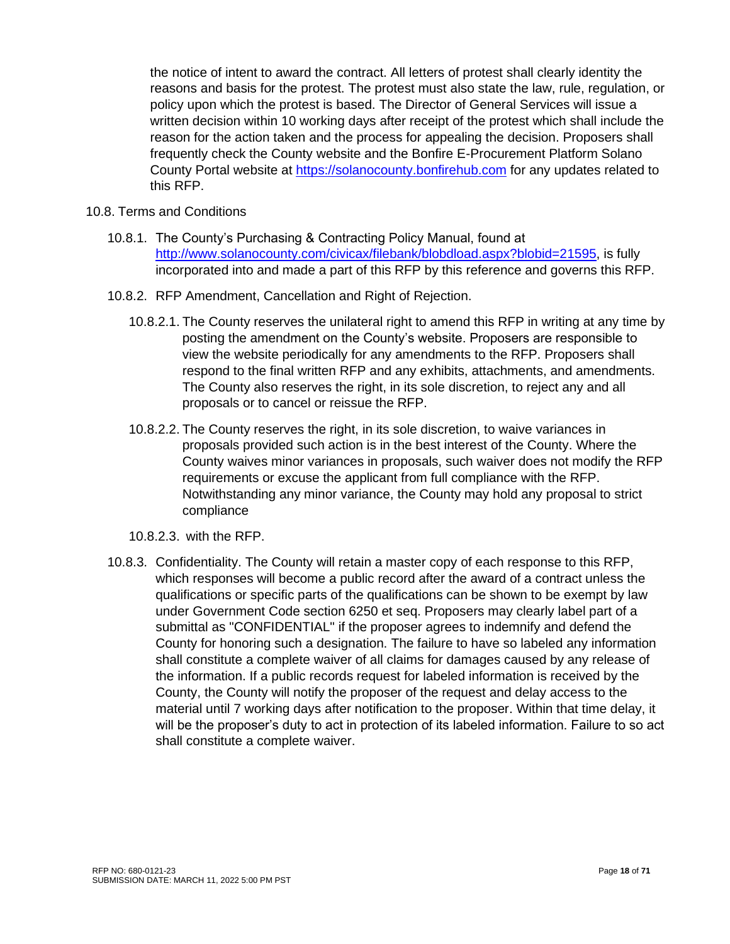the notice of intent to award the contract. All letters of protest shall clearly identity the reasons and basis for the protest. The protest must also state the law, rule, regulation, or policy upon which the protest is based. The Director of General Services will issue a written decision within 10 working days after receipt of the protest which shall include the reason for the action taken and the process for appealing the decision. Proposers shall frequently check the County website and the Bonfire E-Procurement Platform Solano County Portal website at [https://solanocounty.bonfirehub.com](https://solanocounty.bonfirehub.com/) for any updates related to this RFP.

#### 10.8. Terms and Conditions

- 10.8.1. The County's Purchasing & Contracting Policy Manual, found at [http://www.solanocounty.com/civicax/filebank/blobdload.aspx?blobid=21595,](http://www.solanocounty.com/civicax/filebank/blobdload.aspx?blobid=21595) is fully incorporated into and made a part of this RFP by this reference and governs this RFP.
- 10.8.2. RFP Amendment, Cancellation and Right of Rejection.
	- 10.8.2.1. The County reserves the unilateral right to amend this RFP in writing at any time by posting the amendment on the County's website. Proposers are responsible to view the website periodically for any amendments to the RFP. Proposers shall respond to the final written RFP and any exhibits, attachments, and amendments. The County also reserves the right, in its sole discretion, to reject any and all proposals or to cancel or reissue the RFP.
	- 10.8.2.2. The County reserves the right, in its sole discretion, to waive variances in proposals provided such action is in the best interest of the County. Where the County waives minor variances in proposals, such waiver does not modify the RFP requirements or excuse the applicant from full compliance with the RFP. Notwithstanding any minor variance, the County may hold any proposal to strict compliance
	- 10.8.2.3. with the RFP.
- 10.8.3. Confidentiality. The County will retain a master copy of each response to this RFP, which responses will become a public record after the award of a contract unless the qualifications or specific parts of the qualifications can be shown to be exempt by law under Government Code section 6250 et seq. Proposers may clearly label part of a submittal as "CONFIDENTIAL" if the proposer agrees to indemnify and defend the County for honoring such a designation. The failure to have so labeled any information shall constitute a complete waiver of all claims for damages caused by any release of the information. If a public records request for labeled information is received by the County, the County will notify the proposer of the request and delay access to the material until 7 working days after notification to the proposer. Within that time delay, it will be the proposer's duty to act in protection of its labeled information. Failure to so act shall constitute a complete waiver.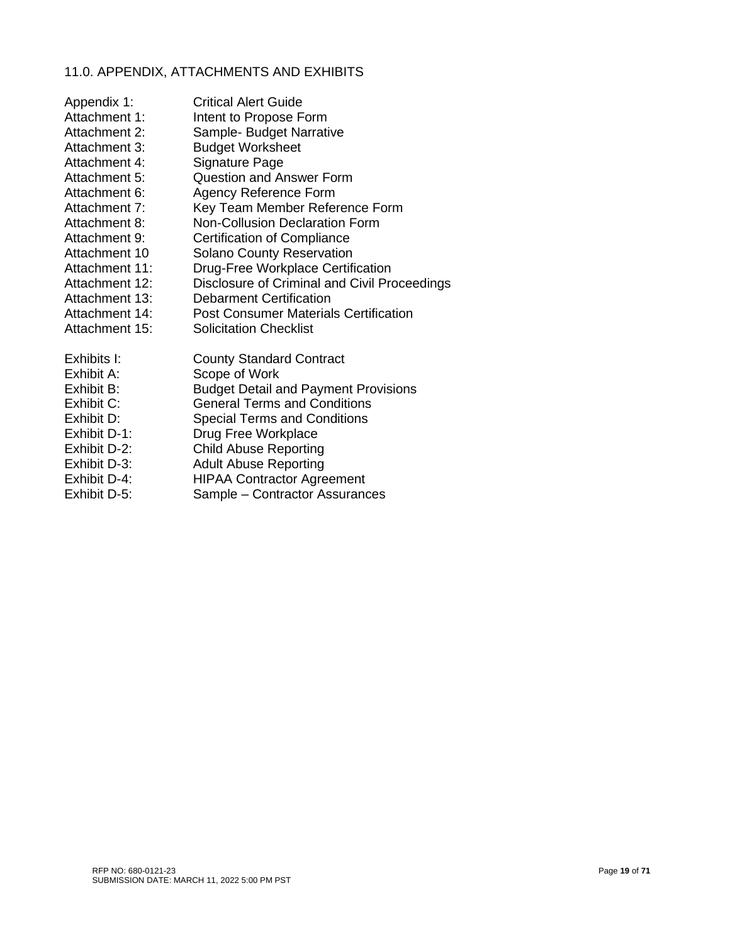# 11.0. APPENDIX, ATTACHMENTS AND EXHIBITS

| Appendix 1:    | <b>Critical Alert Guide</b>                  |
|----------------|----------------------------------------------|
| Attachment 1:  | Intent to Propose Form                       |
| Attachment 2:  | Sample- Budget Narrative                     |
| Attachment 3:  | <b>Budget Worksheet</b>                      |
| Attachment 4:  | Signature Page                               |
| Attachment 5:  | <b>Question and Answer Form</b>              |
| Attachment 6:  | <b>Agency Reference Form</b>                 |
| Attachment 7:  | Key Team Member Reference Form               |
| Attachment 8:  | <b>Non-Collusion Declaration Form</b>        |
| Attachment 9:  | Certification of Compliance                  |
| Attachment 10  | <b>Solano County Reservation</b>             |
| Attachment 11: | Drug-Free Workplace Certification            |
| Attachment 12: | Disclosure of Criminal and Civil Proceedings |
| Attachment 13: | <b>Debarment Certification</b>               |
| Attachment 14: | <b>Post Consumer Materials Certification</b> |
| Attachment 15: | <b>Solicitation Checklist</b>                |
| Exhibits I:    | <b>County Standard Contract</b>              |
| Exhibit A:     | Scope of Work                                |
| Exhibit B:     | <b>Budget Detail and Payment Provisions</b>  |
| Exhibit C:     | <b>General Terms and Conditions</b>          |
| Exhibit D:     | <b>Special Terms and Conditions</b>          |
| Exhibit D-1:   | Drug Free Workplace                          |
| Exhibit D-2:   | <b>Child Abuse Reporting</b>                 |
| Exhibit D-3:   | <b>Adult Abuse Reporting</b>                 |
| Exhibit D-4:   | <b>HIPAA Contractor Agreement</b>            |

Exhibit D-5: Sample – Contractor Assurances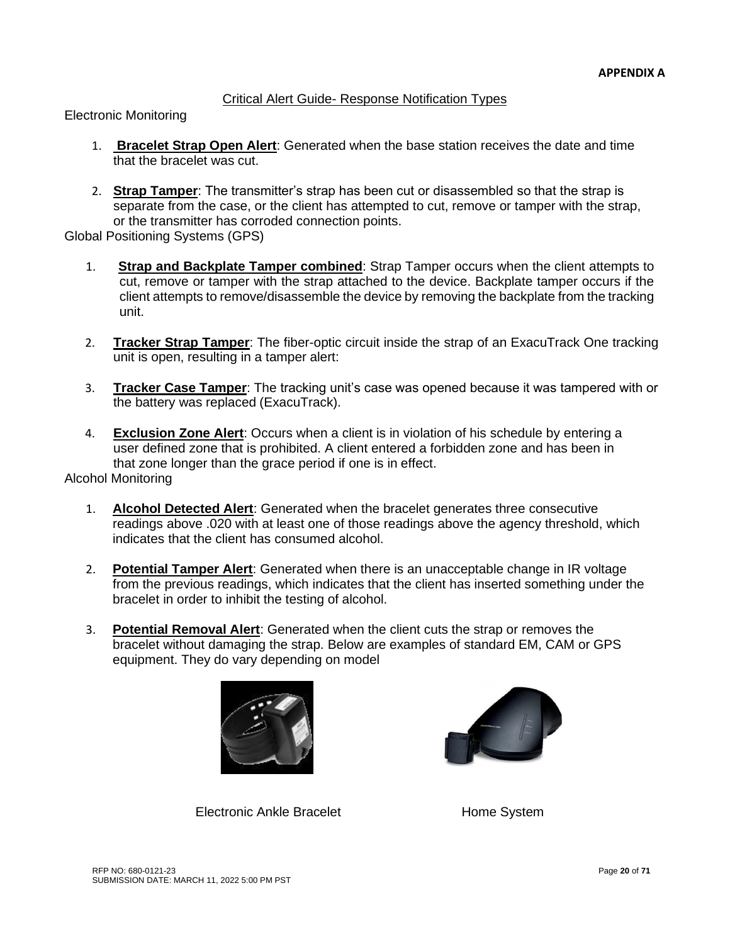# Critical Alert Guide- Response Notification Types

Electronic Monitoring

- 1. **Bracelet Strap Open Alert**: Generated when the base station receives the date and time that the bracelet was cut.
- 2. **Strap Tamper**: The transmitter's strap has been cut or disassembled so that the strap is separate from the case, or the client has attempted to cut, remove or tamper with the strap, or the transmitter has corroded connection points.

Global Positioning Systems (GPS)

- 1. **Strap and Backplate Tamper combined**: Strap Tamper occurs when the client attempts to cut, remove or tamper with the strap attached to the device. Backplate tamper occurs if the client attempts to remove/disassemble the device by removing the backplate from the tracking unit.
- 2. **Tracker Strap Tamper**: The fiber-optic circuit inside the strap of an ExacuTrack One tracking unit is open, resulting in a tamper alert:
- 3. **Tracker Case Tamper**: The tracking unit's case was opened because it was tampered with or the battery was replaced (ExacuTrack).
- 4. **Exclusion Zone Alert**: Occurs when a client is in violation of his schedule by entering a user defined zone that is prohibited. A client entered a forbidden zone and has been in that zone longer than the grace period if one is in effect.

Alcohol Monitoring

- 1. **Alcohol Detected Alert**: Generated when the bracelet generates three consecutive readings above .020 with at least one of those readings above the agency threshold, which indicates that the client has consumed alcohol.
- 2. **Potential Tamper Alert**: Generated when there is an unacceptable change in IR voltage from the previous readings, which indicates that the client has inserted something under the bracelet in order to inhibit the testing of alcohol.
- 3. **Potential Removal Alert**: Generated when the client cuts the strap or removes the bracelet without damaging the strap. Below are examples of standard EM, CAM or GPS equipment. They do vary depending on model





Electronic Ankle Bracelet **Home System**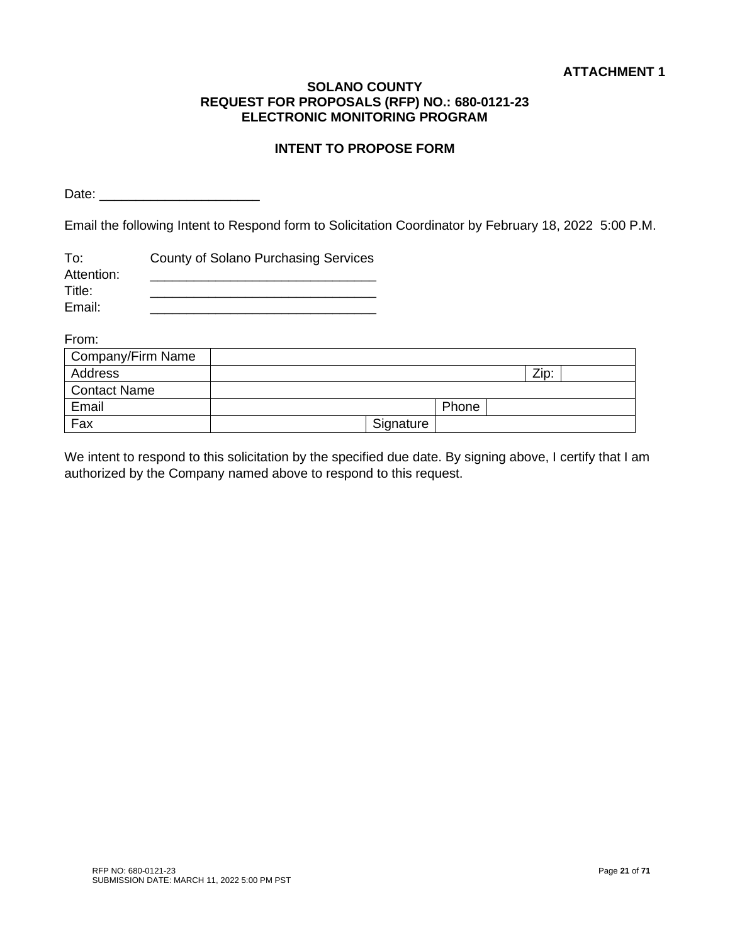# **INTENT TO PROPOSE FORM**

Date:  $\Box$ 

Email the following Intent to Respond form to Solicitation Coordinator by February 18, 2022 5:00 P.M.

| To:        | County of Solano Purchasing Services |
|------------|--------------------------------------|
| Attention: |                                      |
| Title:     |                                      |
| Email:     |                                      |

From:

| Company/Firm Name   |           |       |      |  |
|---------------------|-----------|-------|------|--|
| Address             |           |       | Zip: |  |
| <b>Contact Name</b> |           |       |      |  |
| Email               |           | Phone |      |  |
| Fax                 | Signature |       |      |  |

We intent to respond to this solicitation by the specified due date. By signing above, I certify that I am authorized by the Company named above to respond to this request.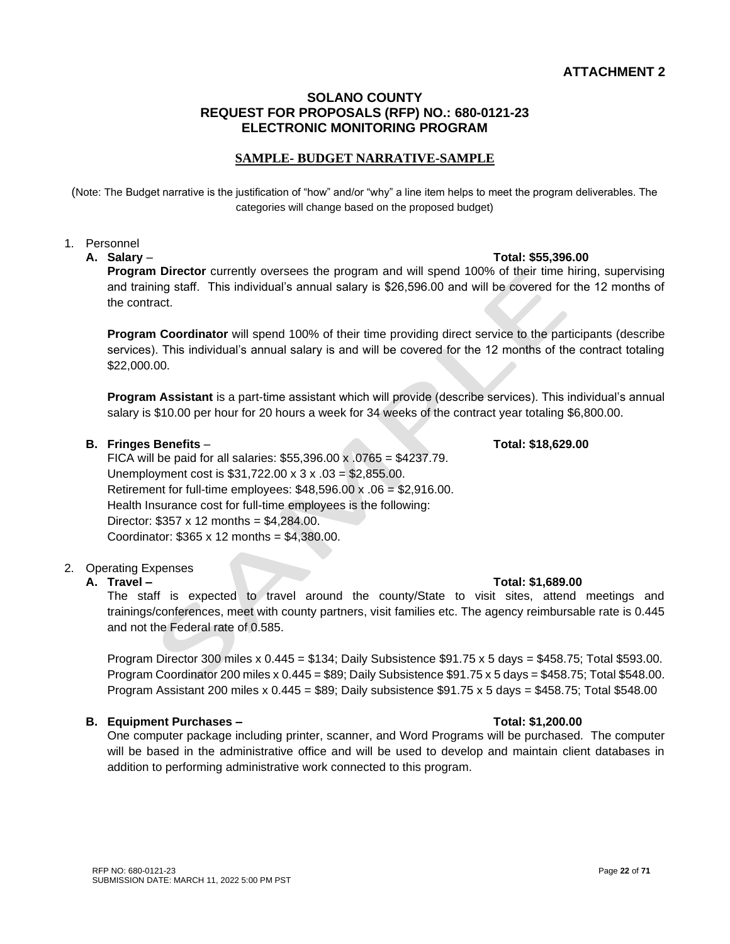# **ATTACHMENT 2**

#### **SOLANO COUNTY REQUEST FOR PROPOSALS (RFP) NO.: 680-0121-23 ELECTRONIC MONITORING PROGRAM**

# **SAMPLE- BUDGET NARRATIVE-SAMPLE**

(Note: The Budget narrative is the justification of "how" and/or "why" a line item helps to meet the program deliverables. The categories will change based on the proposed budget)

#### 1. Personnel

**Program Director** currently oversees the program and will spend 100% of their time hiring, supervising and training staff. This individual's annual salary is \$26,596.00 and will be covered for the 12 months of the contract.

**Program Coordinator** will spend 100% of their time providing direct service to the participants (describe services). This individual's annual salary is and will be covered for the 12 months of the contract totaling \$22,000.00.

**Program Assistant** is a part-time assistant which will provide (describe services). This individual's annual salary is \$10.00 per hour for 20 hours a week for 34 weeks of the contract year totaling \$6,800.00.

#### **B. Fringes Benefits** – **Total: \$18,629.00**

FICA will be paid for all salaries:  $$55,396.00 \times 0.0765 = $4237.79$ . Unemployment cost is \$31,722.00 x 3 x .03 = \$2,855.00. Retirement for full-time employees:  $$48,596.00 \times .06 = $2,916.00$ . Health Insurance cost for full-time employees is the following: Director: \$357 x 12 months = \$4,284.00. Coordinator:  $$365 \times 12$  months =  $$4,380.00$ .

#### 2. Operating Expenses

The staff is expected to travel around the county/State to visit sites, attend meetings and trainings/conferences, meet with county partners, visit families etc. The agency reimbursable rate is 0.445 and not the Federal rate of 0.585.

Program Director 300 miles x  $0.445 = $134$ ; Daily Subsistence \$91.75 x 5 days = \$458.75; Total \$593.00. Program Coordinator 200 miles x 0.445 = \$89; Daily Subsistence \$91.75 x 5 days = \$458.75; Total \$548.00. Program Assistant 200 miles x  $0.445 = $89$ ; Daily subsistence \$91.75 x 5 days = \$458.75; Total \$548.00

#### **B. Equipment Purchases – Total: \$1,200.00**

RFP NO: 680-0121-23

SUBMISSION DATE: MARCH 11, 2022 5:00 PM PST

One computer package including printer, scanner, and Word Programs will be purchased. The computer will be based in the administrative office and will be used to develop and maintain client databases in addition to performing administrative work connected to this program.

#### **A. Travel – Total: \$1,689.00**

# **A. Salary** – **Total: \$55,396.00**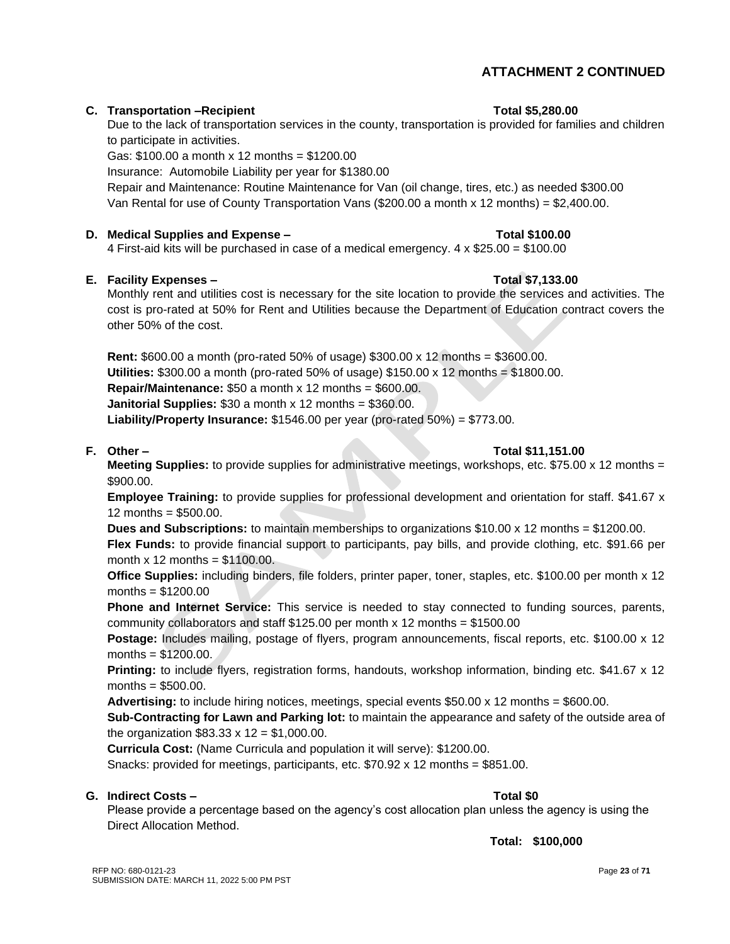# **ATTACHMENT 2 CONTINUED**

# **C.** Transportation –Recipient Total \$5,280.00

Due to the lack of transportation services in the county, transportation is provided for families and children to participate in activities.

Gas: \$100.00 a month x 12 months = \$1200.00

Insurance: Automobile Liability per year for \$1380.00

Repair and Maintenance: Routine Maintenance for Van (oil change, tires, etc.) as needed \$300.00 Van Rental for use of County Transportation Vans (\$200.00 a month x 12 months) = \$2,400.00.

# **D. Medical Supplies and Expense – Total \$100.00**

4 First-aid kits will be purchased in case of a medical emergency.  $4 \times $25.00 = $100.00$ 

# **E. Facility Expenses – Total \$7,133.00**

Monthly rent and utilities cost is necessary for the site location to provide the services and activities. The cost is pro-rated at 50% for Rent and Utilities because the Department of Education contract covers the other 50% of the cost.

**Rent:** \$600.00 a month (pro-rated 50% of usage) \$300.00 x 12 months = \$3600.00. **Utilities:**  $$300.00$  a month (pro-rated 50% of usage)  $$150.00 \times 12$  months =  $$1800.00$ . **Repair/Maintenance:** \$50 a month x 12 months = \$600.00. **Janitorial Supplies:** \$30 a month x 12 months = \$360.00. **Liability/Property Insurance:** \$1546.00 per year (pro-rated 50%) = \$773.00.

#### **F. Other – Total \$11,151.00**

**Meeting Supplies:** to provide supplies for administrative meetings, workshops, etc. \$75.00 x 12 months = \$900.00.

**Employee Training:** to provide supplies for professional development and orientation for staff. \$41.67 x 12 months =  $$500.00$ .

**Dues and Subscriptions:** to maintain memberships to organizations \$10.00 x 12 months = \$1200.00. **Flex Funds:** to provide financial support to participants, pay bills, and provide clothing, etc. \$91.66 per month  $x$  12 months = \$1100.00.

**Office Supplies:** including binders, file folders, printer paper, toner, staples, etc. \$100.00 per month x 12 months = \$1200.00

**Phone and Internet Service:** This service is needed to stay connected to funding sources, parents, community collaborators and staff \$125.00 per month x 12 months = \$1500.00

**Postage:** Includes mailing, postage of flyers, program announcements, fiscal reports, etc. \$100.00 x 12 months = \$1200.00.

**Printing:** to include flyers, registration forms, handouts, workshop information, binding etc. \$41.67 x 12 months  $=$  \$500.00.

**Advertising:** to include hiring notices, meetings, special events \$50.00 x 12 months = \$600.00.

**Sub-Contracting for Lawn and Parking lot:** to maintain the appearance and safety of the outside area of the organization  $$83.33 \times 12 = $1,000.00$ .

**Curricula Cost:** (Name Curricula and population it will serve): \$1200.00.

Snacks: provided for meetings, participants, etc.  $$70.92 \times 12$  months = \$851.00.

#### **G. Indirect Costs – Total \$0**

Please provide a percentage based on the agency's cost allocation plan unless the agency is using the Direct Allocation Method.

**Total: \$100,000**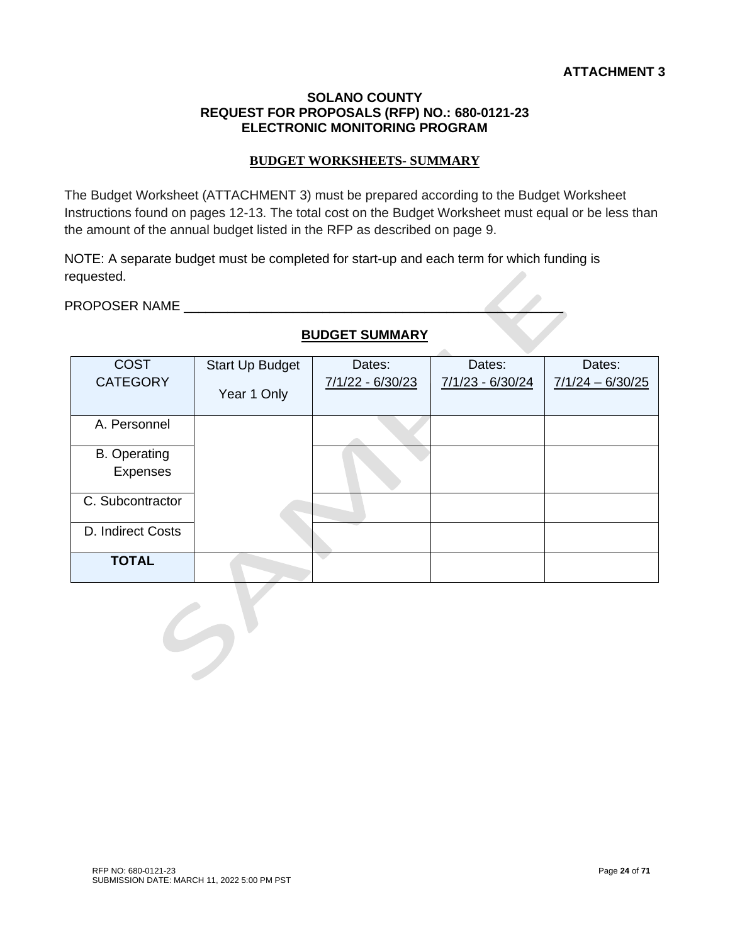# **BUDGET WORKSHEETS- SUMMARY**

The Budget Worksheet (ATTACHMENT 3) must be prepared according to the Budget Worksheet Instructions found on pages 12-13. The total cost on the Budget Worksheet must equal or be less than the amount of the annual budget listed in the RFP as described on page 9.

NOTE: A separate budget must be completed for start-up and each term for which funding is requested.

PROPOSER NAME \_\_\_\_\_\_\_\_\_\_\_\_\_\_\_\_\_\_\_\_\_\_\_\_\_\_\_\_\_\_\_\_\_\_\_\_\_\_\_\_\_\_\_\_\_\_\_\_\_\_\_\_

| <b>COST</b>         | Start Up Budget | Dates:             | Dates:             | Dates:             |
|---------------------|-----------------|--------------------|--------------------|--------------------|
| <b>CATEGORY</b>     | Year 1 Only     | $7/1/22 - 6/30/23$ | $7/1/23 - 6/30/24$ | $7/1/24 - 6/30/25$ |
|                     |                 |                    |                    |                    |
| A. Personnel        |                 |                    |                    |                    |
| <b>B.</b> Operating |                 |                    |                    |                    |
| Expenses            |                 |                    |                    |                    |
| C. Subcontractor    |                 |                    |                    |                    |
| D. Indirect Costs   |                 |                    |                    |                    |
| <b>TOTAL</b>        |                 |                    |                    |                    |
|                     |                 |                    |                    |                    |

# **BUDGET SUMMARY**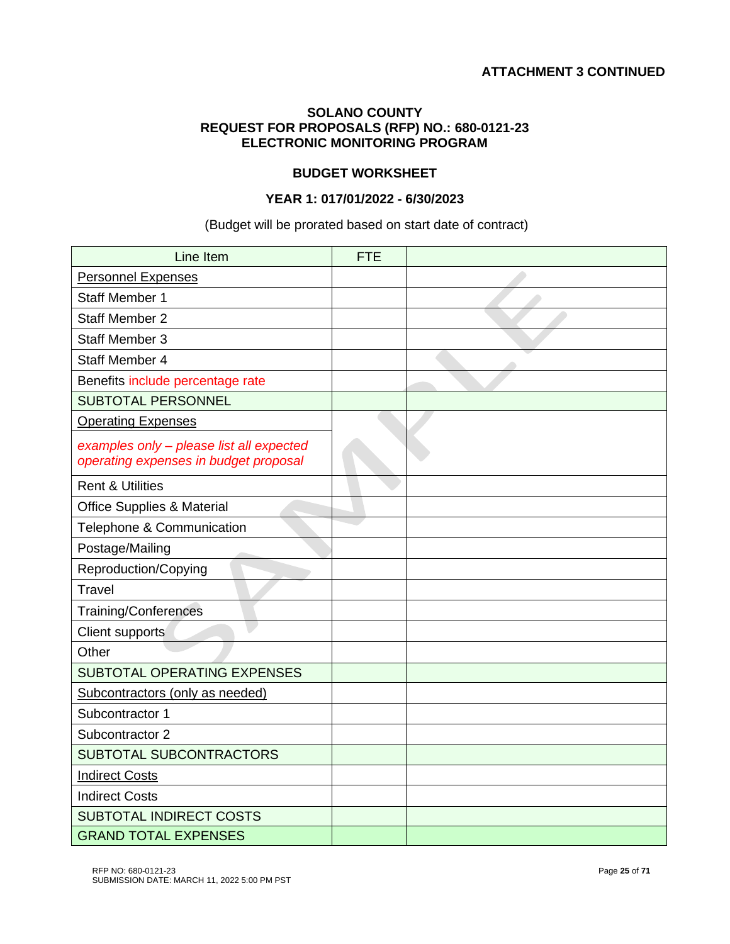# **BUDGET WORKSHEET**

# **YEAR 1: 017/01/2022 - 6/30/2023**

# (Budget will be prorated based on start date of contract)

| Line Item                                                                         | <b>FTE</b> |  |
|-----------------------------------------------------------------------------------|------------|--|
| <b>Personnel Expenses</b>                                                         |            |  |
| <b>Staff Member 1</b>                                                             |            |  |
| <b>Staff Member 2</b>                                                             |            |  |
| <b>Staff Member 3</b>                                                             |            |  |
| <b>Staff Member 4</b>                                                             |            |  |
| Benefits include percentage rate                                                  |            |  |
| <b>SUBTOTAL PERSONNEL</b>                                                         |            |  |
| <b>Operating Expenses</b>                                                         |            |  |
| examples only - please list all expected<br>operating expenses in budget proposal |            |  |
| <b>Rent &amp; Utilities</b>                                                       |            |  |
| <b>Office Supplies &amp; Material</b>                                             |            |  |
| Telephone & Communication                                                         |            |  |
| Postage/Mailing                                                                   |            |  |
| Reproduction/Copying                                                              |            |  |
| <b>Travel</b>                                                                     |            |  |
| <b>Training/Conferences</b>                                                       |            |  |
| <b>Client supports</b>                                                            |            |  |
| Other                                                                             |            |  |
| <b>SUBTOTAL OPERATING EXPENSES</b>                                                |            |  |
| Subcontractors (only as needed)                                                   |            |  |
| Subcontractor 1                                                                   |            |  |
| Subcontractor 2                                                                   |            |  |
| SUBTOTAL SUBCONTRACTORS                                                           |            |  |
| <b>Indirect Costs</b>                                                             |            |  |
| <b>Indirect Costs</b>                                                             |            |  |
| <b>SUBTOTAL INDIRECT COSTS</b>                                                    |            |  |
| <b>GRAND TOTAL EXPENSES</b>                                                       |            |  |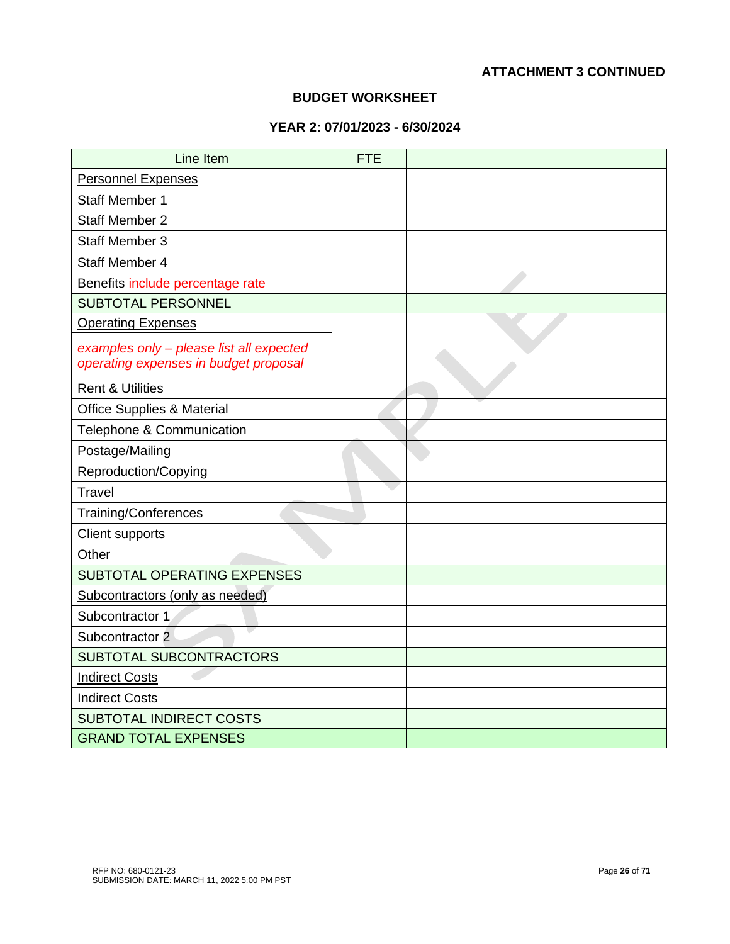# **ATTACHMENT 3 CONTINUED**

#### **BUDGET WORKSHEET**

# **YEAR 2: 07/01/2023 - 6/30/2024**

| Line Item                                                                         | <b>FTE</b> |  |
|-----------------------------------------------------------------------------------|------------|--|
| <b>Personnel Expenses</b>                                                         |            |  |
| <b>Staff Member 1</b>                                                             |            |  |
| <b>Staff Member 2</b>                                                             |            |  |
| <b>Staff Member 3</b>                                                             |            |  |
| Staff Member 4                                                                    |            |  |
| Benefits include percentage rate                                                  |            |  |
| <b>SUBTOTAL PERSONNEL</b>                                                         |            |  |
| <b>Operating Expenses</b>                                                         |            |  |
| examples only - please list all expected<br>operating expenses in budget proposal |            |  |
| <b>Rent &amp; Utilities</b>                                                       |            |  |
| <b>Office Supplies &amp; Material</b>                                             |            |  |
| Telephone & Communication                                                         |            |  |
| Postage/Mailing                                                                   |            |  |
| Reproduction/Copying                                                              |            |  |
| <b>Travel</b>                                                                     |            |  |
| Training/Conferences                                                              |            |  |
| <b>Client supports</b>                                                            |            |  |
| Other                                                                             |            |  |
| SUBTOTAL OPERATING EXPENSES                                                       |            |  |
| Subcontractors (only as needed)                                                   |            |  |
| Subcontractor 1                                                                   |            |  |
| Subcontractor 2                                                                   |            |  |
| SUBTOTAL SUBCONTRACTORS                                                           |            |  |
| <b>Indirect Costs</b>                                                             |            |  |
| <b>Indirect Costs</b>                                                             |            |  |
| <b>SUBTOTAL INDIRECT COSTS</b>                                                    |            |  |
| <b>GRAND TOTAL EXPENSES</b>                                                       |            |  |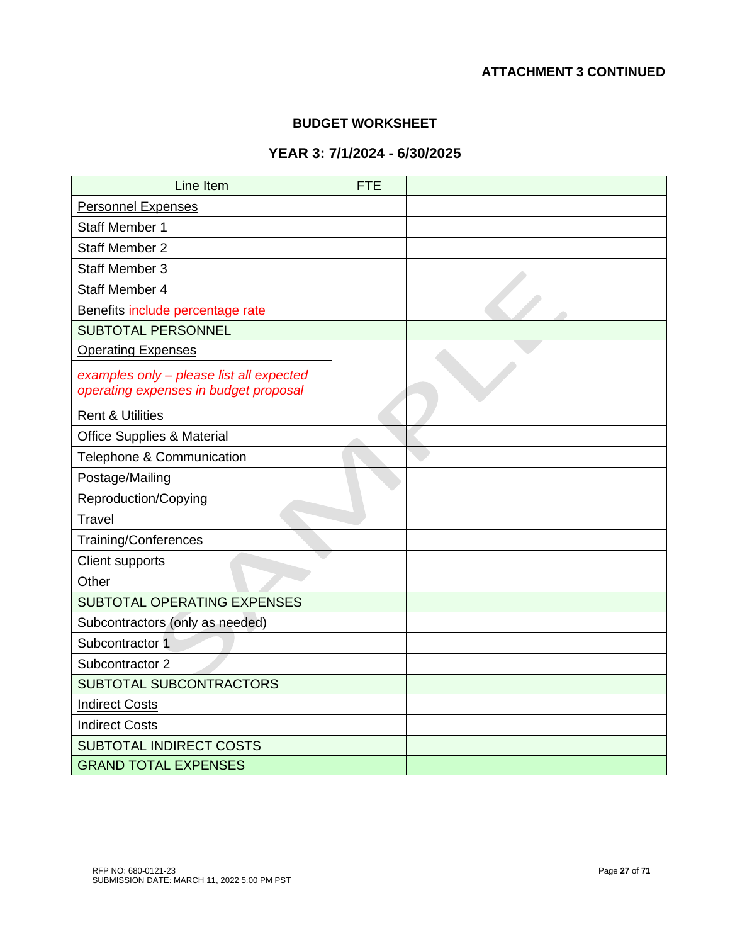# **ATTACHMENT 3 CONTINUED**

#### **BUDGET WORKSHEET**

# **YEAR 3: 7/1/2024 - 6/30/2025**

| Line Item                                                                         | <b>FTE</b> |  |
|-----------------------------------------------------------------------------------|------------|--|
| <b>Personnel Expenses</b>                                                         |            |  |
| <b>Staff Member 1</b>                                                             |            |  |
| <b>Staff Member 2</b>                                                             |            |  |
| <b>Staff Member 3</b>                                                             |            |  |
| Staff Member 4                                                                    |            |  |
| Benefits include percentage rate                                                  |            |  |
| <b>SUBTOTAL PERSONNEL</b>                                                         |            |  |
| <b>Operating Expenses</b>                                                         |            |  |
| examples only - please list all expected<br>operating expenses in budget proposal |            |  |
| <b>Rent &amp; Utilities</b>                                                       |            |  |
| <b>Office Supplies &amp; Material</b>                                             |            |  |
| Telephone & Communication                                                         |            |  |
| Postage/Mailing                                                                   |            |  |
| Reproduction/Copying                                                              |            |  |
| <b>Travel</b>                                                                     |            |  |
| <b>Training/Conferences</b>                                                       |            |  |
| <b>Client supports</b>                                                            |            |  |
| Other                                                                             |            |  |
| SUBTOTAL OPERATING EXPENSES                                                       |            |  |
| Subcontractors (only as needed)                                                   |            |  |
| Subcontractor 1                                                                   |            |  |
| Subcontractor 2                                                                   |            |  |
| SUBTOTAL SUBCONTRACTORS                                                           |            |  |
| <b>Indirect Costs</b>                                                             |            |  |
| <b>Indirect Costs</b>                                                             |            |  |
| <b>SUBTOTAL INDIRECT COSTS</b>                                                    |            |  |
| <b>GRAND TOTAL EXPENSES</b>                                                       |            |  |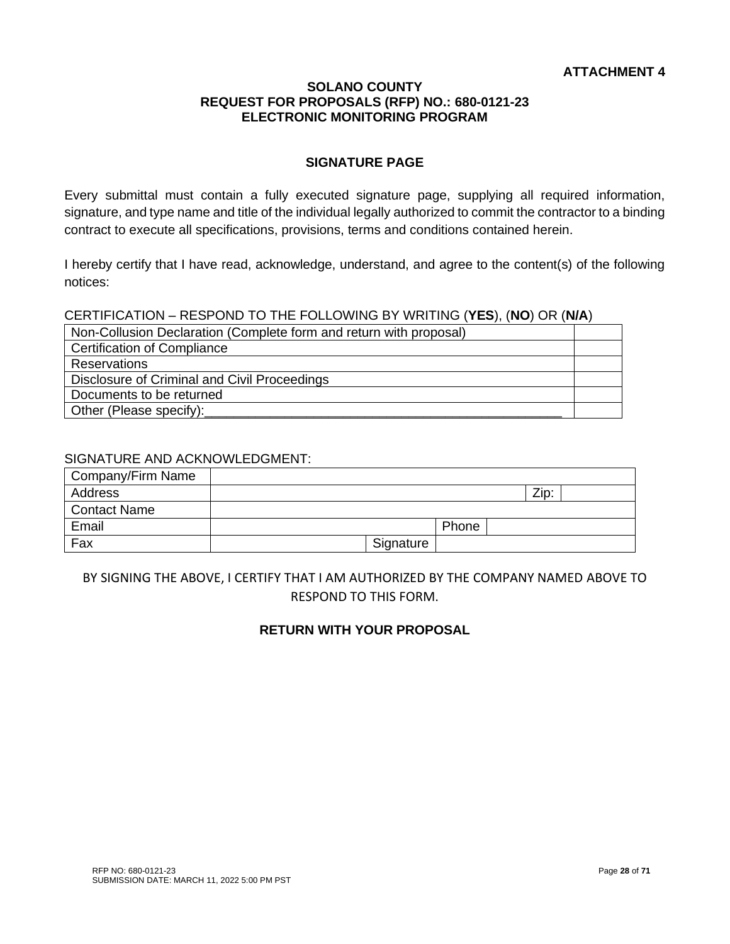# **SIGNATURE PAGE**

Every submittal must contain a fully executed signature page, supplying all required information, signature, and type name and title of the individual legally authorized to commit the contractor to a binding contract to execute all specifications, provisions, terms and conditions contained herein.

I hereby certify that I have read, acknowledge, understand, and agree to the content(s) of the following notices:

CERTIFICATION – RESPOND TO THE FOLLOWING BY WRITING (**YES**), (**NO**) OR (**N/A**)

| Non-Collusion Declaration (Complete form and return with proposal) |  |
|--------------------------------------------------------------------|--|
| <b>Certification of Compliance</b>                                 |  |
| <b>Reservations</b>                                                |  |
| Disclosure of Criminal and Civil Proceedings                       |  |
| Documents to be returned                                           |  |
| Other (Please specify):                                            |  |

#### SIGNATURE AND ACKNOWLEDGMENT:

| Company/Firm Name   |           |       |      |  |
|---------------------|-----------|-------|------|--|
| Address             |           |       | Zip: |  |
| <b>Contact Name</b> |           |       |      |  |
| Email               |           | Phone |      |  |
| Fax                 | Signature |       |      |  |

# BY SIGNING THE ABOVE, I CERTIFY THAT I AM AUTHORIZED BY THE COMPANY NAMED ABOVE TO RESPOND TO THIS FORM.

# **RETURN WITH YOUR PROPOSAL**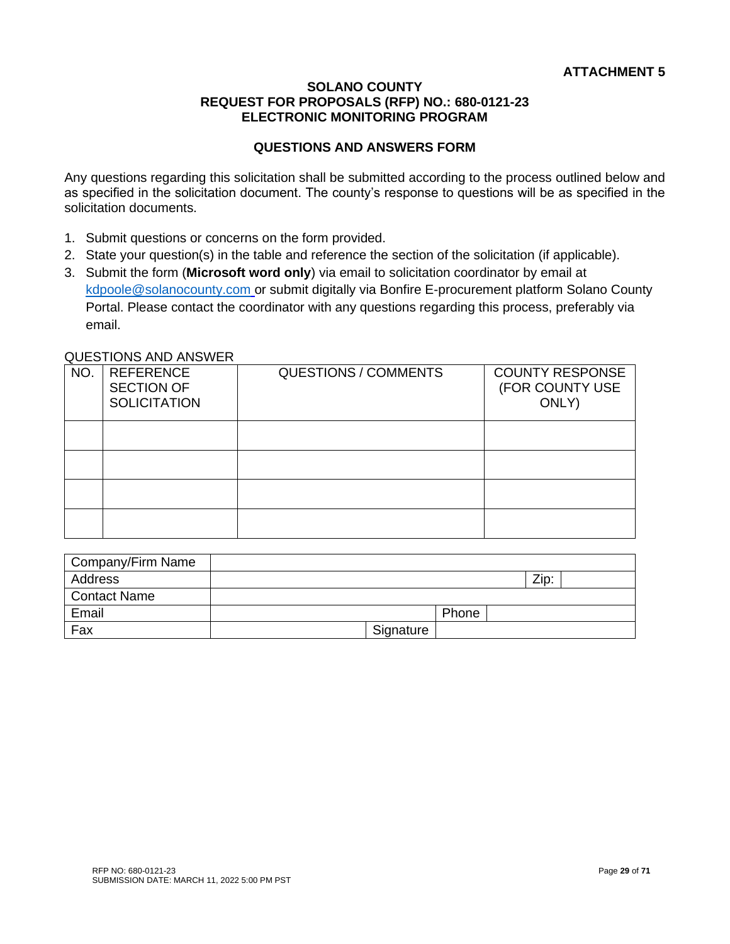# **QUESTIONS AND ANSWERS FORM**

Any questions regarding this solicitation shall be submitted according to the process outlined below and as specified in the solicitation document. The county's response to questions will be as specified in the solicitation documents.

- 1. Submit questions or concerns on the form provided.
- 2. State your question(s) in the table and reference the section of the solicitation (if applicable).
- 3. Submit the form (**Microsoft word only**) via email to solicitation coordinator by email at [kdpoole@solanocounty.com](mailto:kdpoole@solanocounty.com) or submit digitally via Bonfire E-procurement platform Solano County Portal. Please contact the coordinator with any questions regarding this process, preferably via email.

#### QUESTIONS AND ANSWER

|     | 9950110110711D711011LIV                                      |                             |                                                    |
|-----|--------------------------------------------------------------|-----------------------------|----------------------------------------------------|
| NO. | <b>REFERENCE</b><br><b>SECTION OF</b><br><b>SOLICITATION</b> | <b>QUESTIONS / COMMENTS</b> | <b>COUNTY RESPONSE</b><br>(FOR COUNTY USE<br>ONLY) |
|     |                                                              |                             |                                                    |
|     |                                                              |                             |                                                    |
|     |                                                              |                             |                                                    |
|     |                                                              |                             |                                                    |

| Company/Firm Name   |           |       |      |  |
|---------------------|-----------|-------|------|--|
| Address             |           |       | Zip: |  |
| <b>Contact Name</b> |           |       |      |  |
| Email               |           | Phone |      |  |
| Fax                 | Signature |       |      |  |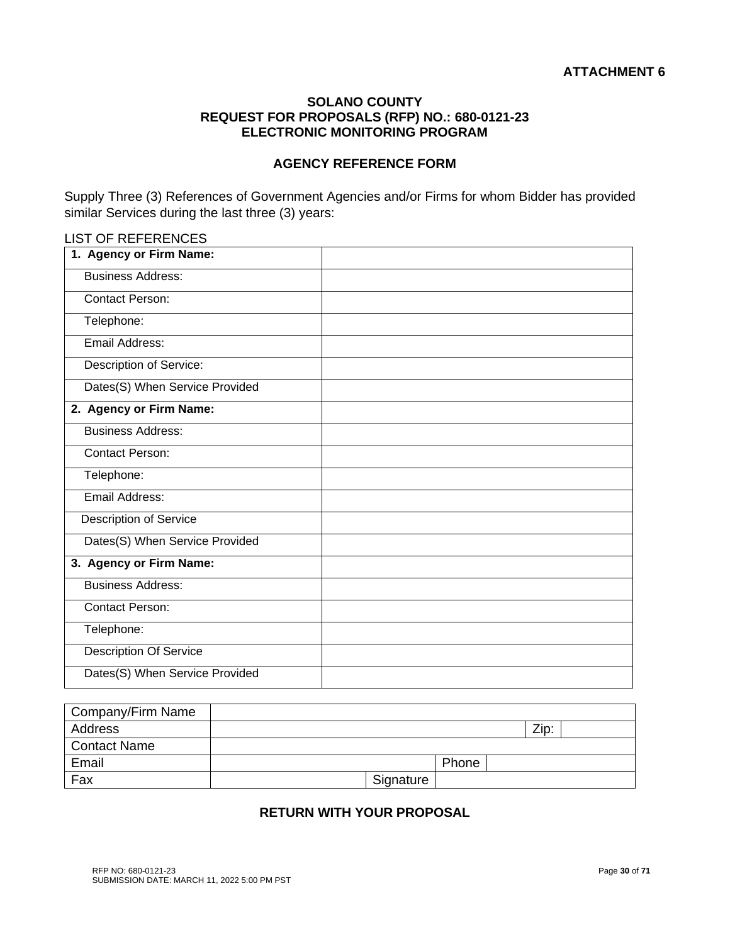#### **AGENCY REFERENCE FORM**

Supply Three (3) References of Government Agencies and/or Firms for whom Bidder has provided similar Services during the last three (3) years:

# LIST OF REFERENCES

| 1. Agency or Firm Name:        |  |
|--------------------------------|--|
| <b>Business Address:</b>       |  |
| <b>Contact Person:</b>         |  |
| Telephone:                     |  |
| Email Address:                 |  |
| Description of Service:        |  |
| Dates(S) When Service Provided |  |
| 2. Agency or Firm Name:        |  |
| <b>Business Address:</b>       |  |
| <b>Contact Person:</b>         |  |
| Telephone:                     |  |
| Email Address:                 |  |
| <b>Description of Service</b>  |  |
| Dates(S) When Service Provided |  |
| 3. Agency or Firm Name:        |  |
| <b>Business Address:</b>       |  |
| <b>Contact Person:</b>         |  |
| Telephone:                     |  |
| <b>Description Of Service</b>  |  |
| Dates(S) When Service Provided |  |

| Company/Firm Name   |           |       |      |  |
|---------------------|-----------|-------|------|--|
| Address             |           |       | Zip: |  |
| <b>Contact Name</b> |           |       |      |  |
| Email               |           | Phone |      |  |
| Fax                 | Signature |       |      |  |

# **RETURN WITH YOUR PROPOSAL**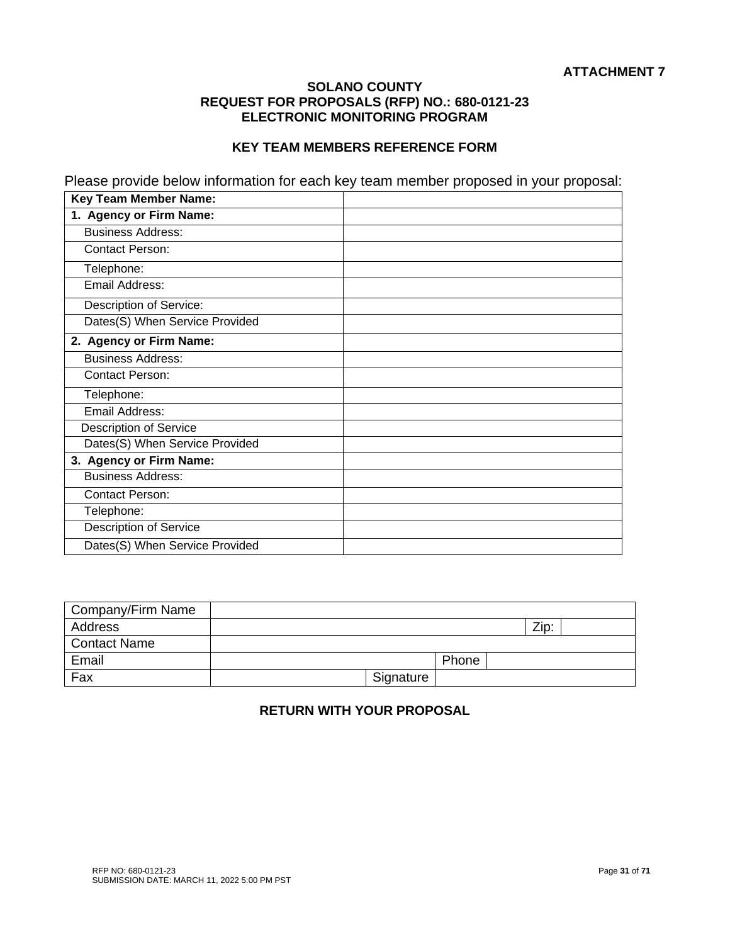# **KEY TEAM MEMBERS REFERENCE FORM**

Please provide below information for each key team member proposed in your proposal:

| <b>Key Team Member Name:</b>   |  |
|--------------------------------|--|
| 1. Agency or Firm Name:        |  |
| <b>Business Address:</b>       |  |
| <b>Contact Person:</b>         |  |
| Telephone:                     |  |
| Email Address:                 |  |
| Description of Service:        |  |
| Dates(S) When Service Provided |  |
| 2. Agency or Firm Name:        |  |
| <b>Business Address:</b>       |  |
| <b>Contact Person:</b>         |  |
| Telephone:                     |  |
| Email Address:                 |  |
| <b>Description of Service</b>  |  |
| Dates(S) When Service Provided |  |
| 3. Agency or Firm Name:        |  |
| <b>Business Address:</b>       |  |
| <b>Contact Person:</b>         |  |
| Telephone:                     |  |
| <b>Description of Service</b>  |  |
| Dates(S) When Service Provided |  |

| Company/Firm Name   |           |       |      |  |
|---------------------|-----------|-------|------|--|
| Address             |           |       | Zip: |  |
| <b>Contact Name</b> |           |       |      |  |
| Email               |           | Phone |      |  |
| Fax                 | Signature |       |      |  |

# **RETURN WITH YOUR PROPOSAL**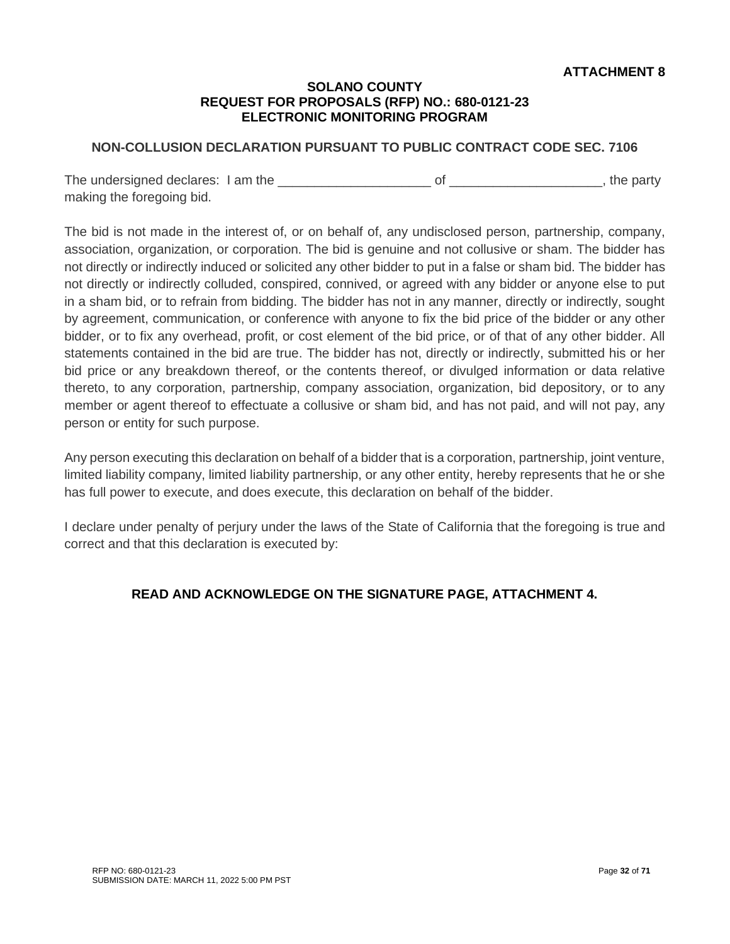# **NON-COLLUSION DECLARATION PURSUANT TO PUBLIC CONTRACT CODE SEC. 7106**

The undersigned declares: I am the \_\_\_\_\_\_\_\_\_\_\_\_\_\_\_\_\_\_\_\_\_ of \_\_\_\_\_\_\_\_\_\_\_\_\_\_\_\_\_\_\_\_\_, the party making the foregoing bid.

The bid is not made in the interest of, or on behalf of, any undisclosed person, partnership, company, association, organization, or corporation. The bid is genuine and not collusive or sham. The bidder has not directly or indirectly induced or solicited any other bidder to put in a false or sham bid. The bidder has not directly or indirectly colluded, conspired, connived, or agreed with any bidder or anyone else to put in a sham bid, or to refrain from bidding. The bidder has not in any manner, directly or indirectly, sought by agreement, communication, or conference with anyone to fix the bid price of the bidder or any other bidder, or to fix any overhead, profit, or cost element of the bid price, or of that of any other bidder. All statements contained in the bid are true. The bidder has not, directly or indirectly, submitted his or her bid price or any breakdown thereof, or the contents thereof, or divulged information or data relative thereto, to any corporation, partnership, company association, organization, bid depository, or to any member or agent thereof to effectuate a collusive or sham bid, and has not paid, and will not pay, any person or entity for such purpose.

Any person executing this declaration on behalf of a bidder that is a corporation, partnership, joint venture, limited liability company, limited liability partnership, or any other entity, hereby represents that he or she has full power to execute, and does execute, this declaration on behalf of the bidder.

I declare under penalty of perjury under the laws of the State of California that the foregoing is true and correct and that this declaration is executed by: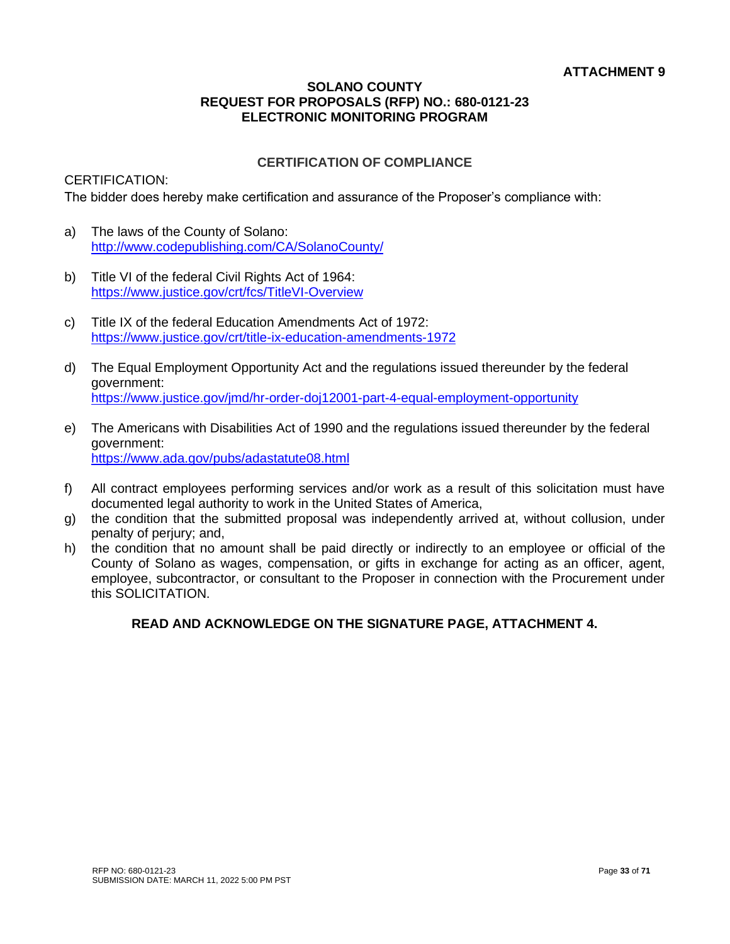# **CERTIFICATION OF COMPLIANCE**

# CERTIFICATION:

The bidder does hereby make certification and assurance of the Proposer's compliance with:

- a) The laws of the County of Solano: <http://www.codepublishing.com/CA/SolanoCounty/>
- b) Title VI of the federal Civil Rights Act of 1964: <https://www.justice.gov/crt/fcs/TitleVI-Overview>
- c) Title IX of the federal Education Amendments Act of 1972: <https://www.justice.gov/crt/title-ix-education-amendments-1972>
- d) The Equal Employment Opportunity Act and the regulations issued thereunder by the federal government: <https://www.justice.gov/jmd/hr-order-doj12001-part-4-equal-employment-opportunity>
- e) The Americans with Disabilities Act of 1990 and the regulations issued thereunder by the federal government: [https://www.ada.gov/pubs/adastatute08.html](https://www.ada.gov/pubs/adastatute08.htm)
- f) All contract employees performing services and/or work as a result of this solicitation must have documented legal authority to work in the United States of America,
- g) the condition that the submitted proposal was independently arrived at, without collusion, under penalty of perjury; and,
- h) the condition that no amount shall be paid directly or indirectly to an employee or official of the County of Solano as wages, compensation, or gifts in exchange for acting as an officer, agent, employee, subcontractor, or consultant to the Proposer in connection with the Procurement under this SOLICITATION.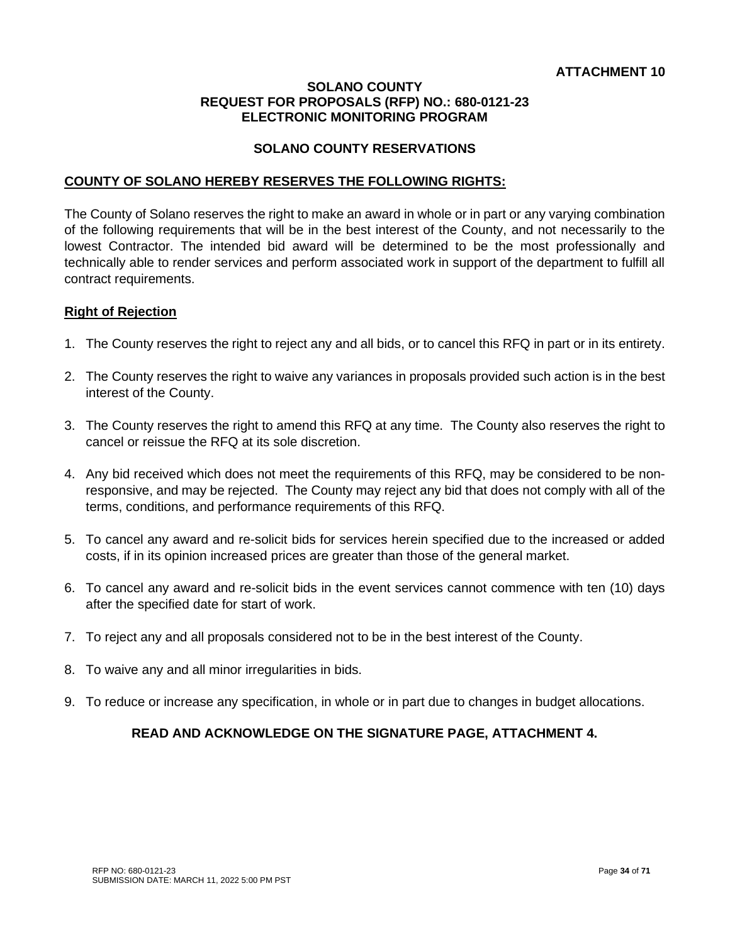# **SOLANO COUNTY RESERVATIONS**

#### **COUNTY OF SOLANO HEREBY RESERVES THE FOLLOWING RIGHTS:**

The County of Solano reserves the right to make an award in whole or in part or any varying combination of the following requirements that will be in the best interest of the County, and not necessarily to the lowest Contractor. The intended bid award will be determined to be the most professionally and technically able to render services and perform associated work in support of the department to fulfill all contract requirements.

#### **Right of Rejection**

- 1. The County reserves the right to reject any and all bids, or to cancel this RFQ in part or in its entirety.
- 2. The County reserves the right to waive any variances in proposals provided such action is in the best interest of the County.
- 3. The County reserves the right to amend this RFQ at any time. The County also reserves the right to cancel or reissue the RFQ at its sole discretion.
- 4. Any bid received which does not meet the requirements of this RFQ, may be considered to be nonresponsive, and may be rejected. The County may reject any bid that does not comply with all of the terms, conditions, and performance requirements of this RFQ.
- 5. To cancel any award and re-solicit bids for services herein specified due to the increased or added costs, if in its opinion increased prices are greater than those of the general market.
- 6. To cancel any award and re-solicit bids in the event services cannot commence with ten (10) days after the specified date for start of work.
- 7. To reject any and all proposals considered not to be in the best interest of the County.
- 8. To waive any and all minor irregularities in bids.
- 9. To reduce or increase any specification, in whole or in part due to changes in budget allocations.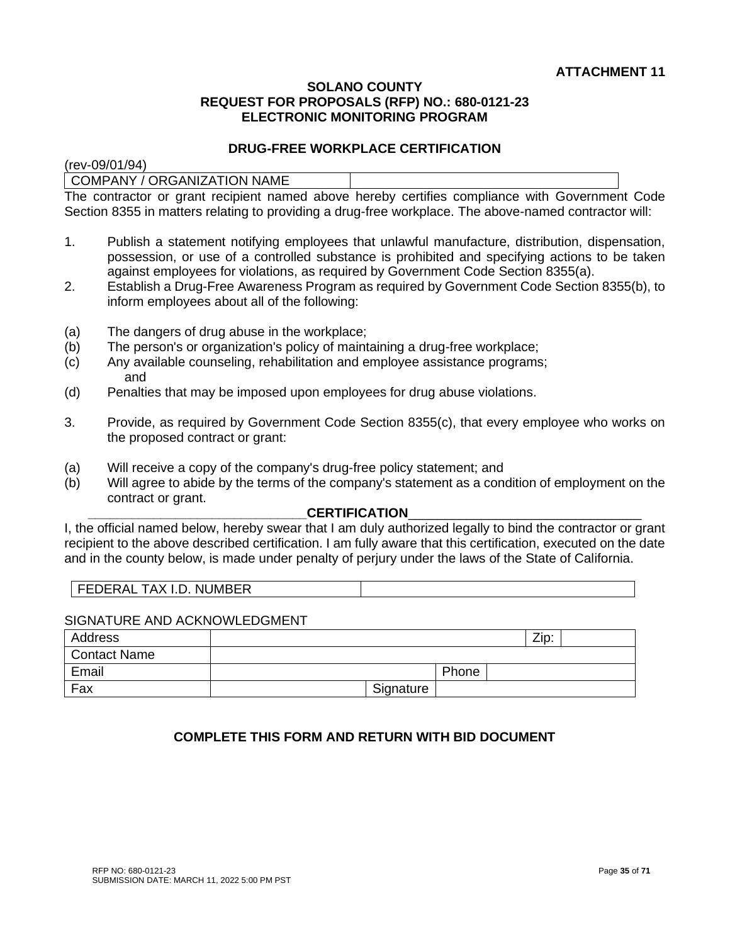#### **DRUG-FREE WORKPLACE CERTIFICATION**

(rev-09/01/94)

COMPANY / ORGANIZATION NAME

The contractor or grant recipient named above hereby certifies compliance with Government Code Section 8355 in matters relating to providing a drug-free workplace. The above-named contractor will:

- 1. Publish a statement notifying employees that unlawful manufacture, distribution, dispensation, possession, or use of a controlled substance is prohibited and specifying actions to be taken against employees for violations, as required by Government Code Section 8355(a).
- 2. Establish a Drug-Free Awareness Program as required by Government Code Section 8355(b), to inform employees about all of the following:
- (a) The dangers of drug abuse in the workplace;
- (b) The person's or organization's policy of maintaining a drug-free workplace;
- (c) Any available counseling, rehabilitation and employee assistance programs; and
- (d) Penalties that may be imposed upon employees for drug abuse violations.
- 3. Provide, as required by Government Code Section 8355(c), that every employee who works on the proposed contract or grant:
- (a) Will receive a copy of the company's drug-free policy statement; and
- (b) Will agree to abide by the terms of the company's statement as a condition of employment on the contract or grant.

#### CERTIFICATION

I, the official named below, hereby swear that I am duly authorized legally to bind the contractor or grant recipient to the above described certification. I am fully aware that this certification, executed on the date and in the county below, is made under penalty of perjury under the laws of the State of California.

| TAX I.D. NUMBER<br><b>FEDERAL</b> |  |
|-----------------------------------|--|
|-----------------------------------|--|

#### SIGNATURE AND ACKNOWLEDGMENT

| Address             |           |       | Zip: |  |
|---------------------|-----------|-------|------|--|
| <b>Contact Name</b> |           |       |      |  |
| Email               |           | Phone |      |  |
| Fax                 | Signature |       |      |  |

# **COMPLETE THIS FORM AND RETURN WITH BID DOCUMENT**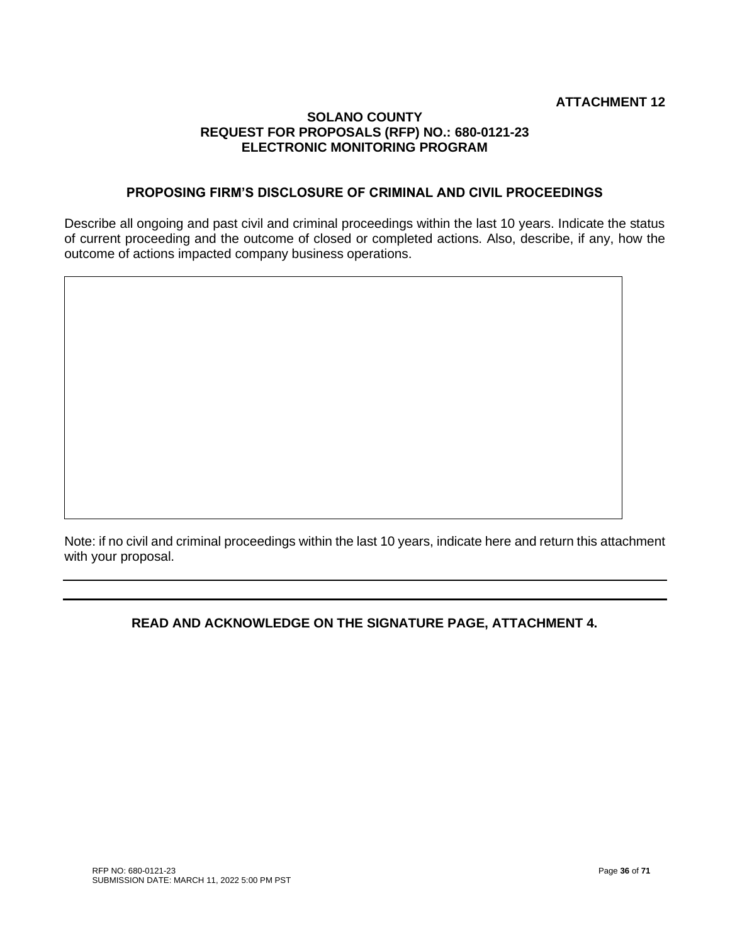# **PROPOSING FIRM'S DISCLOSURE OF CRIMINAL AND CIVIL PROCEEDINGS**

Describe all ongoing and past civil and criminal proceedings within the last 10 years. Indicate the status of current proceeding and the outcome of closed or completed actions. Also, describe, if any, how the outcome of actions impacted company business operations.

Note: if no civil and criminal proceedings within the last 10 years, indicate here and return this attachment with your proposal.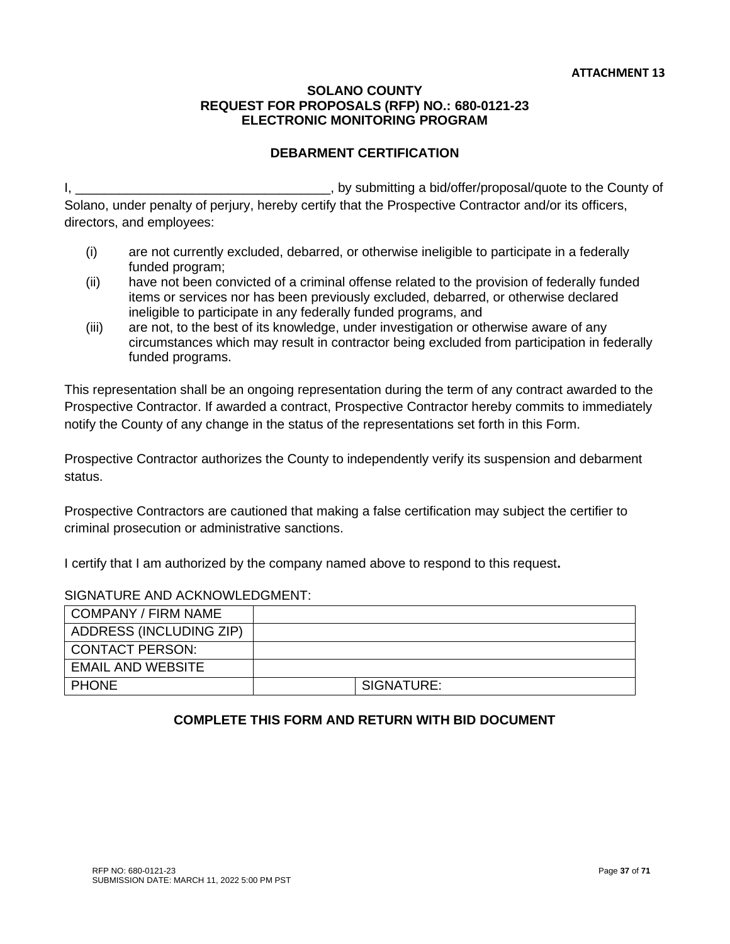# **DEBARMENT CERTIFICATION**

I, \_\_\_\_\_\_\_\_\_\_\_\_\_\_\_\_\_\_\_\_\_\_\_\_\_\_\_\_\_\_\_\_\_\_\_, by submitting a bid/offer/proposal/quote to the County of Solano, under penalty of perjury, hereby certify that the Prospective Contractor and/or its officers, directors, and employees:

- (i) are not currently excluded, debarred, or otherwise ineligible to participate in a federally funded program;
- (ii) have not been convicted of a criminal offense related to the provision of federally funded items or services nor has been previously excluded, debarred, or otherwise declared ineligible to participate in any federally funded programs, and
- (iii) are not, to the best of its knowledge, under investigation or otherwise aware of any circumstances which may result in contractor being excluded from participation in federally funded programs.

This representation shall be an ongoing representation during the term of any contract awarded to the Prospective Contractor. If awarded a contract, Prospective Contractor hereby commits to immediately notify the County of any change in the status of the representations set forth in this Form.

Prospective Contractor authorizes the County to independently verify its suspension and debarment status.

Prospective Contractors are cautioned that making a false certification may subject the certifier to criminal prosecution or administrative sanctions.

I certify that I am authorized by the company named above to respond to this request**.**

#### SIGNATURE AND ACKNOWLEDGMENT:

| I COMPANY / FIRM NAME    |            |
|--------------------------|------------|
| ADDRESS (INCLUDING ZIP)  |            |
| I CONTACT PERSON:        |            |
| <b>EMAIL AND WEBSITE</b> |            |
| I PHONE                  | SIGNATURE: |

# **COMPLETE THIS FORM AND RETURN WITH BID DOCUMENT**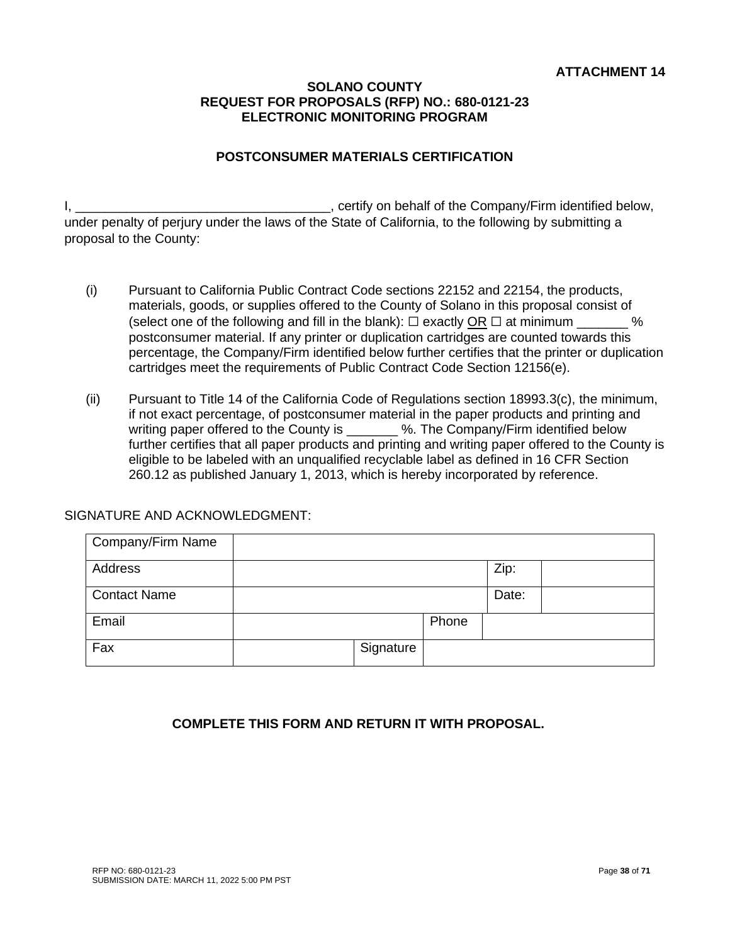# **POSTCONSUMER MATERIALS CERTIFICATION**

I, \_\_\_\_\_\_\_\_\_\_\_\_\_\_\_\_\_\_\_\_\_\_\_\_\_\_\_\_\_\_\_\_\_\_\_, certify on behalf of the Company/Firm identified below, under penalty of perjury under the laws of the State of California, to the following by submitting a proposal to the County:

- (i) Pursuant to California Public Contract Code sections 22152 and 22154, the products, materials, goods, or supplies offered to the County of Solano in this proposal consist of (select one of the following and fill in the blank):  $\Box$  exactly OR  $\Box$  at minimum  $\%$ postconsumer material. If any printer or duplication cartridges are counted towards this percentage, the Company/Firm identified below further certifies that the printer or duplication cartridges meet the requirements of Public Contract Code Section 12156(e).
- (ii) Pursuant to Title 14 of the California Code of Regulations section 18993.3(c), the minimum, if not exact percentage, of postconsumer material in the paper products and printing and writing paper offered to the County is \_\_\_\_\_\_\_ %. The Company/Firm identified below further certifies that all paper products and printing and writing paper offered to the County is eligible to be labeled with an unqualified recyclable label as defined in 16 CFR Section 260.12 as published January 1, 2013, which is hereby incorporated by reference.

# SIGNATURE AND ACKNOWLEDGMENT:

| Company/Firm Name   |           |       |       |  |
|---------------------|-----------|-------|-------|--|
| Address             |           |       | Zip:  |  |
| <b>Contact Name</b> |           |       | Date: |  |
| Email               |           | Phone |       |  |
| Fax                 | Signature |       |       |  |

# **COMPLETE THIS FORM AND RETURN IT WITH PROPOSAL.**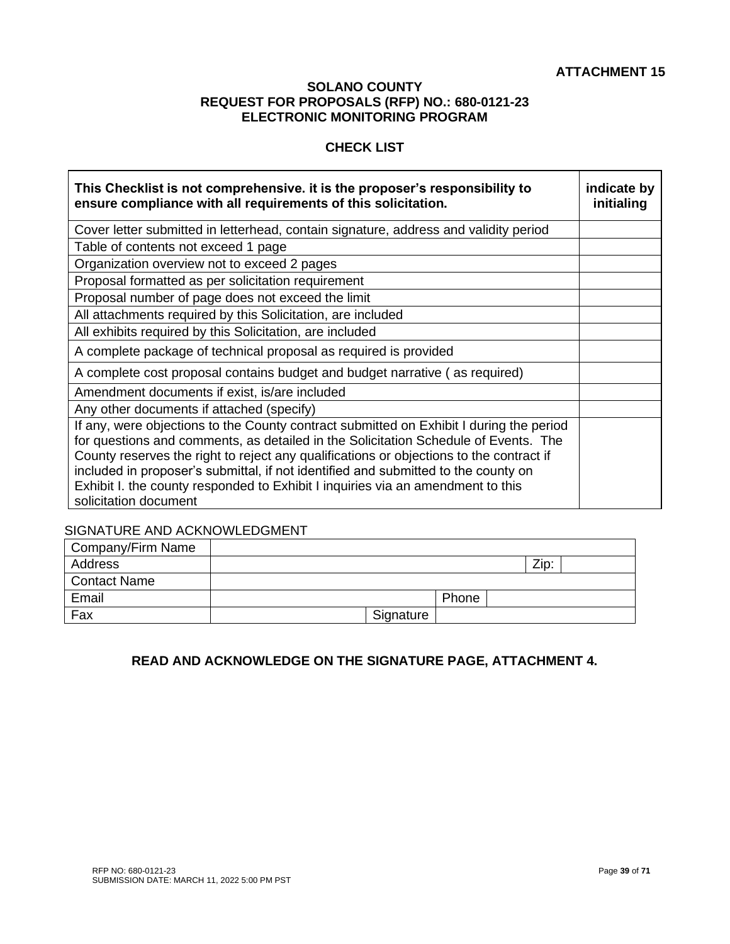# **CHECK LIST**

| This Checklist is not comprehensive. It is the proposer's responsibility to<br>ensure compliance with all requirements of this solicitation.                                                                                                                                                                                                                                                                                                                                | indicate by<br>initialing |
|-----------------------------------------------------------------------------------------------------------------------------------------------------------------------------------------------------------------------------------------------------------------------------------------------------------------------------------------------------------------------------------------------------------------------------------------------------------------------------|---------------------------|
| Cover letter submitted in letterhead, contain signature, address and validity period                                                                                                                                                                                                                                                                                                                                                                                        |                           |
| Table of contents not exceed 1 page                                                                                                                                                                                                                                                                                                                                                                                                                                         |                           |
| Organization overview not to exceed 2 pages                                                                                                                                                                                                                                                                                                                                                                                                                                 |                           |
| Proposal formatted as per solicitation requirement                                                                                                                                                                                                                                                                                                                                                                                                                          |                           |
| Proposal number of page does not exceed the limit                                                                                                                                                                                                                                                                                                                                                                                                                           |                           |
| All attachments required by this Solicitation, are included                                                                                                                                                                                                                                                                                                                                                                                                                 |                           |
| All exhibits required by this Solicitation, are included                                                                                                                                                                                                                                                                                                                                                                                                                    |                           |
| A complete package of technical proposal as required is provided                                                                                                                                                                                                                                                                                                                                                                                                            |                           |
| A complete cost proposal contains budget and budget narrative (as required)                                                                                                                                                                                                                                                                                                                                                                                                 |                           |
| Amendment documents if exist, is/are included                                                                                                                                                                                                                                                                                                                                                                                                                               |                           |
| Any other documents if attached (specify)                                                                                                                                                                                                                                                                                                                                                                                                                                   |                           |
| If any, were objections to the County contract submitted on Exhibit I during the period<br>for questions and comments, as detailed in the Solicitation Schedule of Events. The<br>County reserves the right to reject any qualifications or objections to the contract if<br>included in proposer's submittal, if not identified and submitted to the county on<br>Exhibit I. the county responded to Exhibit I inquiries via an amendment to this<br>solicitation document |                           |

#### SIGNATURE AND ACKNOWLEDGMENT

| Company/Firm Name   |           |       |      |  |
|---------------------|-----------|-------|------|--|
| Address             |           |       | Zip: |  |
| <b>Contact Name</b> |           |       |      |  |
| Email               |           | Phone |      |  |
| Fax                 | Signature |       |      |  |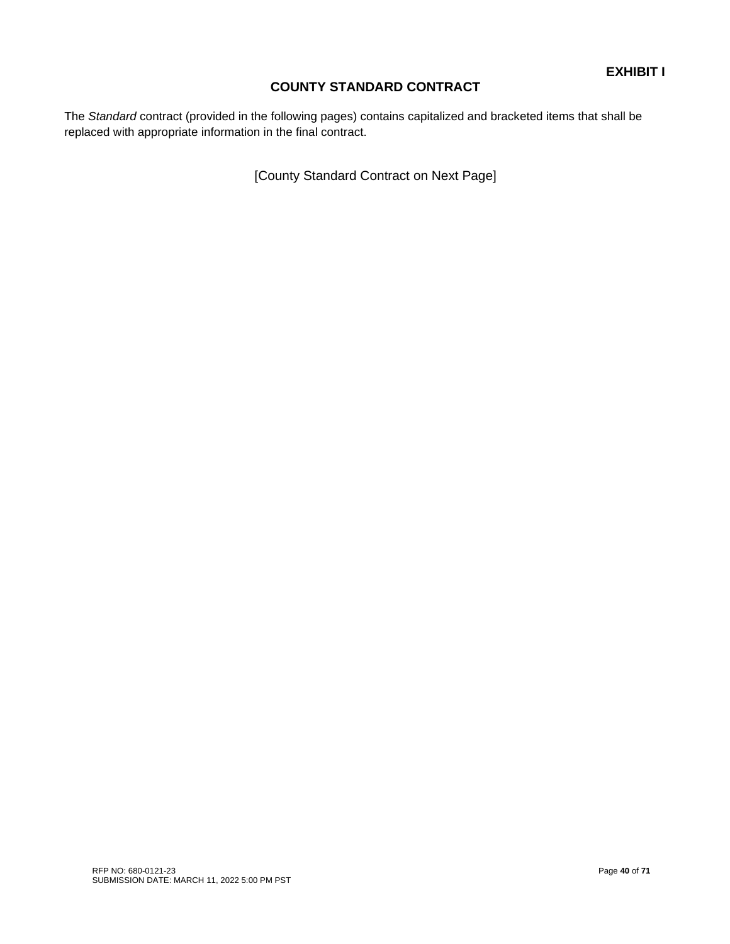# **COUNTY STANDARD CONTRACT**

The *Standard* contract (provided in the following pages) contains capitalized and bracketed items that shall be replaced with appropriate information in the final contract.

[County Standard Contract on Next Page]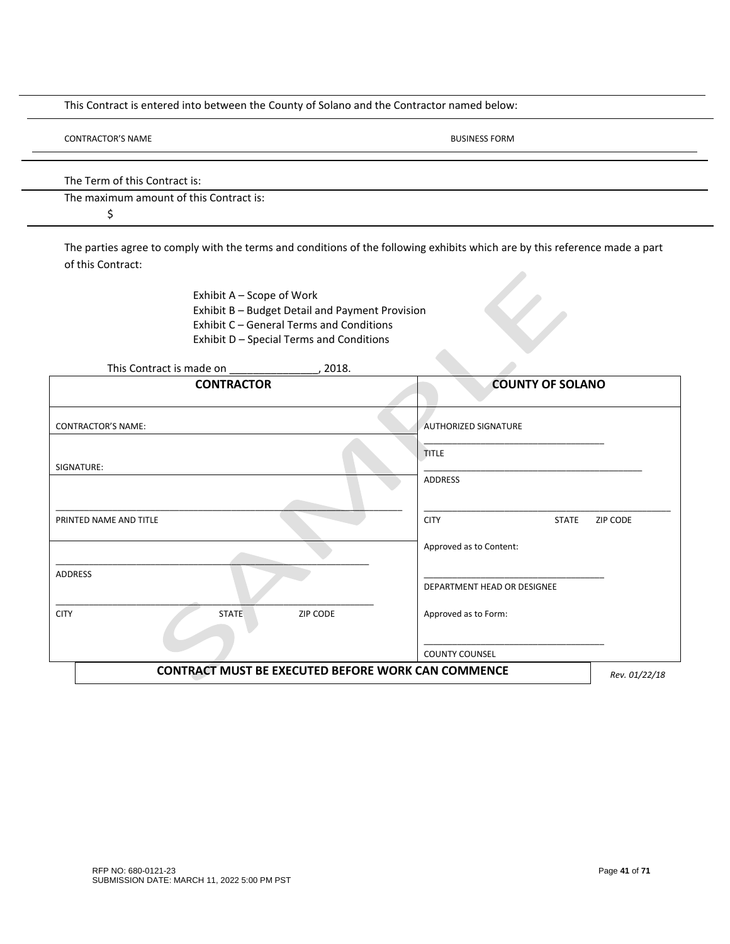This Contract is entered into between the County of Solano and the Contractor named below:

BUSINESS FORM

The Term of this Contract is:

The maximum amount of this Contract is:

\$

The parties agree to comply with the terms and conditions of the following exhibits which are by this reference made a part of this Contract:

> Exhibit A – Scope of Work Exhibit B – Budget Detail and Payment Provision Exhibit C – General Terms and Conditions Exhibit D – Special Terms and Conditions

| This Contract is made on ________________ | 2018.                                                     |                                                |  |
|-------------------------------------------|-----------------------------------------------------------|------------------------------------------------|--|
| <b>CONTRACTOR</b>                         |                                                           | <b>COUNTY OF SOLANO</b>                        |  |
| <b>CONTRACTOR'S NAME:</b>                 |                                                           | <b>AUTHORIZED SIGNATURE</b>                    |  |
|                                           |                                                           | <b>TITLE</b>                                   |  |
| SIGNATURE:                                |                                                           | ADDRESS                                        |  |
| PRINTED NAME AND TITLE                    |                                                           | <b>CITY</b><br><b>STATE</b><br><b>ZIP CODE</b> |  |
|                                           |                                                           | Approved as to Content:                        |  |
| <b>ADDRESS</b>                            |                                                           | DEPARTMENT HEAD OR DESIGNEE                    |  |
| <b>CITY</b><br><b>STATE</b>               | ZIP CODE                                                  | Approved as to Form:                           |  |
|                                           |                                                           | <b>COUNTY COUNSEL</b>                          |  |
|                                           | <b>CONTRACT MUST BE EXECUTED BEFORE WORK CAN COMMENCE</b> | Rev. 01/22/18                                  |  |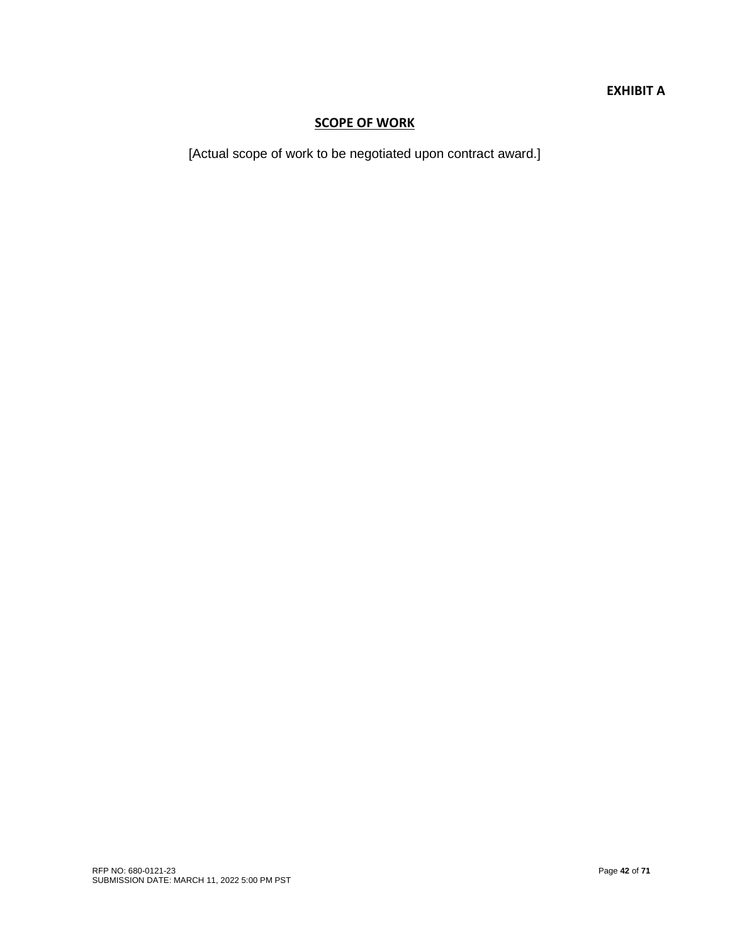# **EXHIBIT A**

# **SCOPE OF WORK**

[Actual scope of work to be negotiated upon contract award.]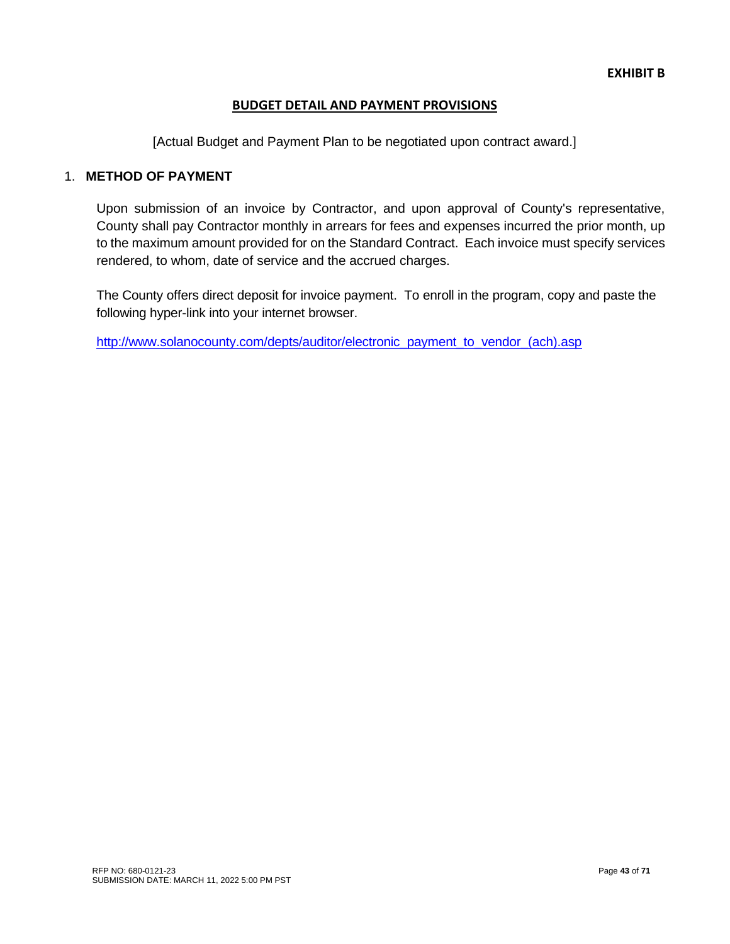# **BUDGET DETAIL AND PAYMENT PROVISIONS**

[Actual Budget and Payment Plan to be negotiated upon contract award.]

# 1. **METHOD OF PAYMENT**

Upon submission of an invoice by Contractor, and upon approval of County's representative, County shall pay Contractor monthly in arrears for fees and expenses incurred the prior month, up to the maximum amount provided for on the Standard Contract. Each invoice must specify services rendered, to whom, date of service and the accrued charges.

The County offers direct deposit for invoice payment. To enroll in the program, copy and paste the following hyper-link into your internet browser.

[http://www.solanocounty.com/depts/auditor/electronic\\_payment\\_to\\_vendor\\_\(ach\).asp](http://www.solanocounty.com/depts/auditor/electronic_payment_to_vendor_(ach).asp)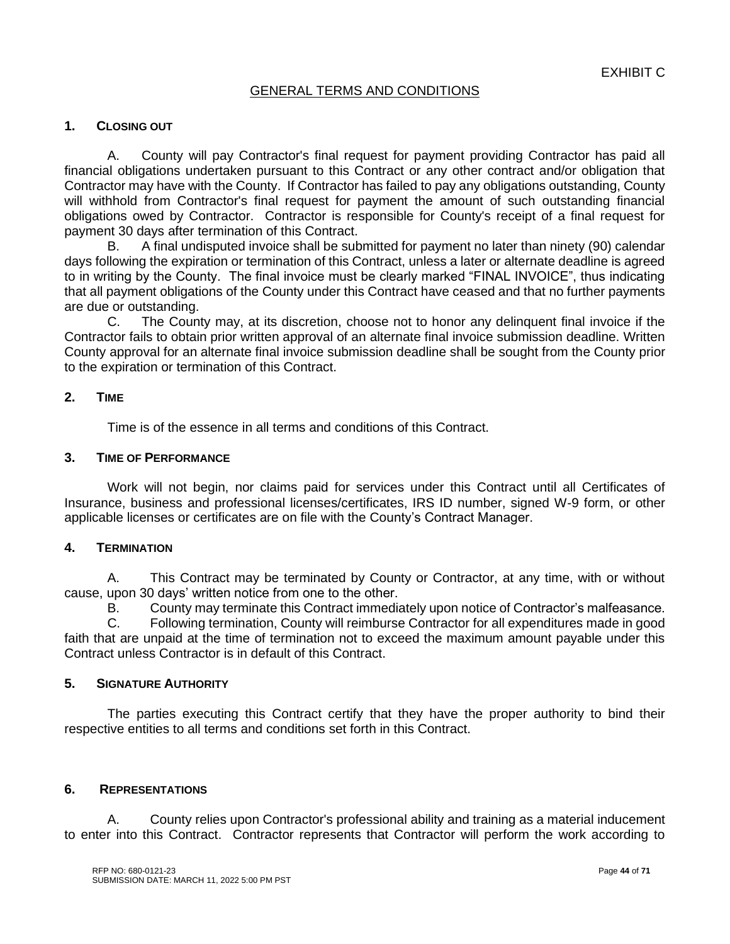# GENERAL TERMS AND CONDITIONS

# **1. CLOSING OUT**

A. County will pay Contractor's final request for payment providing Contractor has paid all financial obligations undertaken pursuant to this Contract or any other contract and/or obligation that Contractor may have with the County. If Contractor has failed to pay any obligations outstanding, County will withhold from Contractor's final request for payment the amount of such outstanding financial obligations owed by Contractor. Contractor is responsible for County's receipt of a final request for payment 30 days after termination of this Contract.

B. A final undisputed invoice shall be submitted for payment no later than ninety (90) calendar days following the expiration or termination of this Contract, unless a later or alternate deadline is agreed to in writing by the County. The final invoice must be clearly marked "FINAL INVOICE", thus indicating that all payment obligations of the County under this Contract have ceased and that no further payments are due or outstanding.

C. The County may, at its discretion, choose not to honor any delinquent final invoice if the Contractor fails to obtain prior written approval of an alternate final invoice submission deadline. Written County approval for an alternate final invoice submission deadline shall be sought from the County prior to the expiration or termination of this Contract.

# **2. TIME**

Time is of the essence in all terms and conditions of this Contract.

#### **3. TIME OF PERFORMANCE**

Work will not begin, nor claims paid for services under this Contract until all Certificates of Insurance, business and professional licenses/certificates, IRS ID number, signed W-9 form, or other applicable licenses or certificates are on file with the County's Contract Manager.

#### **4. TERMINATION**

A. This Contract may be terminated by County or Contractor, at any time, with or without cause, upon 30 days' written notice from one to the other.

B. County may terminate this Contract immediately upon notice of Contractor's malfeasance.<br>C. Following termination. County will reimburse Contractor for all expenditures made in good

Following termination, County will reimburse Contractor for all expenditures made in good faith that are unpaid at the time of termination not to exceed the maximum amount payable under this Contract unless Contractor is in default of this Contract.

#### **5. SIGNATURE AUTHORITY**

The parties executing this Contract certify that they have the proper authority to bind their respective entities to all terms and conditions set forth in this Contract.

# **6. REPRESENTATIONS**

A. County relies upon Contractor's professional ability and training as a material inducement to enter into this Contract. Contractor represents that Contractor will perform the work according to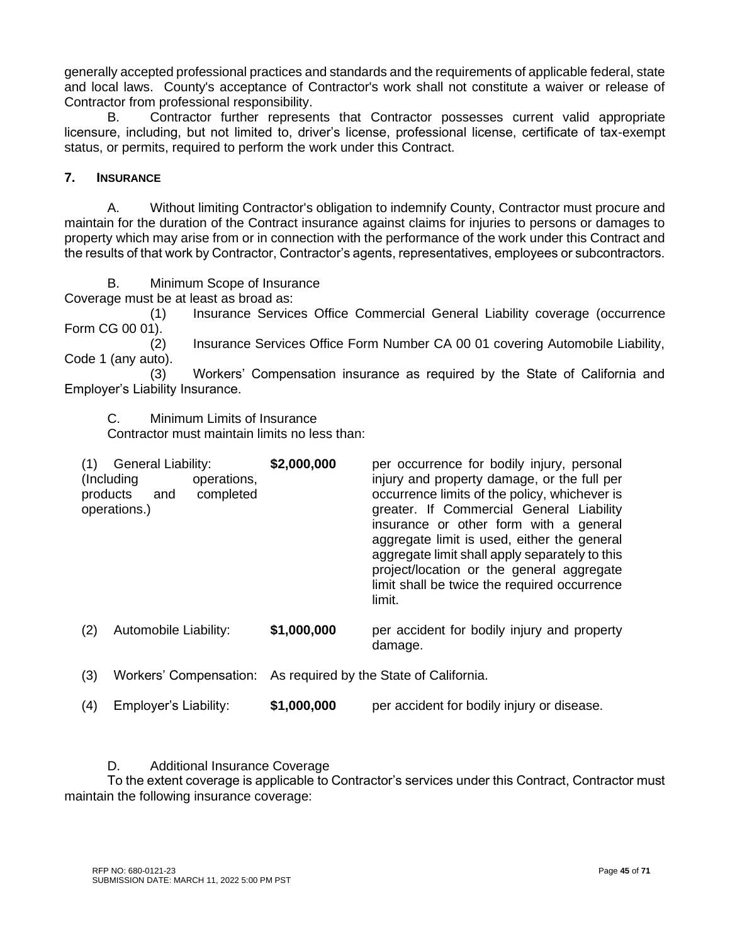generally accepted professional practices and standards and the requirements of applicable federal, state and local laws. County's acceptance of Contractor's work shall not constitute a waiver or release of Contractor from professional responsibility.

B. Contractor further represents that Contractor possesses current valid appropriate licensure, including, but not limited to, driver's license, professional license, certificate of tax-exempt status, or permits, required to perform the work under this Contract.

# **7. INSURANCE**

A. Without limiting Contractor's obligation to indemnify County, Contractor must procure and maintain for the duration of the Contract insurance against claims for injuries to persons or damages to property which may arise from or in connection with the performance of the work under this Contract and the results of that work by Contractor, Contractor's agents, representatives, employees or subcontractors.

B. Minimum Scope of Insurance

Coverage must be at least as broad as:

(1) Insurance Services Office Commercial General Liability coverage (occurrence Form CG 00 01).

(2) Insurance Services Office Form Number CA 00 01 covering Automobile Liability, Code 1 (any auto).

(3) Workers' Compensation insurance as required by the State of California and Employer's Liability Insurance.

C. Minimum Limits of Insurance

Contractor must maintain limits no less than:

| (1)<br>products | <b>General Liability:</b><br>(Including)<br>operations,<br>completed<br>and<br>operations.) | \$2,000,000 | per occurrence for bodily injury, personal<br>injury and property damage, or the full per<br>occurrence limits of the policy, whichever is<br>greater. If Commercial General Liability<br>insurance or other form with a general<br>aggregate limit is used, either the general<br>aggregate limit shall apply separately to this<br>project/location or the general aggregate<br>limit shall be twice the required occurrence<br>limit. |
|-----------------|---------------------------------------------------------------------------------------------|-------------|------------------------------------------------------------------------------------------------------------------------------------------------------------------------------------------------------------------------------------------------------------------------------------------------------------------------------------------------------------------------------------------------------------------------------------------|
| (2)             | Automobile Liability:                                                                       | \$1,000,000 | per accident for bodily injury and property<br>damage.                                                                                                                                                                                                                                                                                                                                                                                   |
|                 |                                                                                             |             |                                                                                                                                                                                                                                                                                                                                                                                                                                          |

(3) Workers' Compensation: As required by the State of California.

(4) Employer's Liability: **\$1,000,000** per accident for bodily injury or disease.

D. Additional Insurance Coverage

To the extent coverage is applicable to Contractor's services under this Contract, Contractor must maintain the following insurance coverage: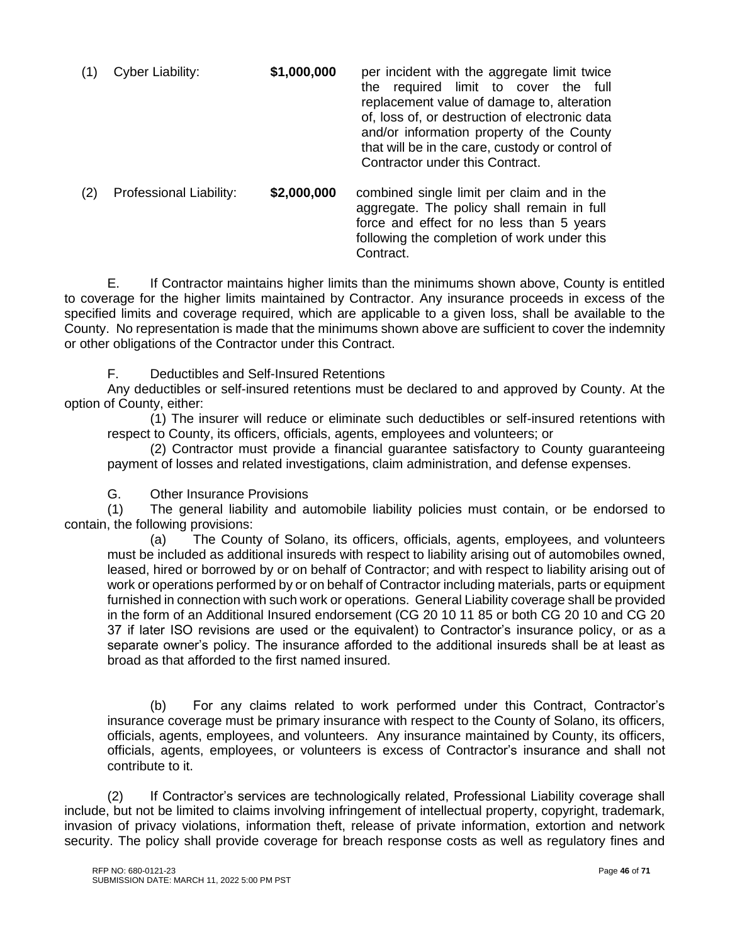| (1) | Cyber Liability:        | \$1,000,000 | per incident with the aggregate limit twice<br>the required limit to cover the full<br>replacement value of damage to, alteration<br>of, loss of, or destruction of electronic data<br>and/or information property of the County<br>that will be in the care, custody or control of<br>Contractor under this Contract. |
|-----|-------------------------|-------------|------------------------------------------------------------------------------------------------------------------------------------------------------------------------------------------------------------------------------------------------------------------------------------------------------------------------|
| (2) | Professional Liability: | \$2,000,000 | combined single limit per claim and in the<br>aggregate. The policy shall remain in full                                                                                                                                                                                                                               |

following the completion of work under this Contract. E. If Contractor maintains higher limits than the minimums shown above, County is entitled to coverage for the higher limits maintained by Contractor. Any insurance proceeds in excess of the specified limits and coverage required, which are applicable to a given loss, shall be available to the County. No representation is made that the minimums shown above are sufficient to cover the indemnity

force and effect for no less than 5 years

F. Deductibles and Self-Insured Retentions

or other obligations of the Contractor under this Contract.

Any deductibles or self-insured retentions must be declared to and approved by County. At the option of County, either:

(1) The insurer will reduce or eliminate such deductibles or self-insured retentions with respect to County, its officers, officials, agents, employees and volunteers; or

(2) Contractor must provide a financial guarantee satisfactory to County guaranteeing payment of losses and related investigations, claim administration, and defense expenses.

G. Other Insurance Provisions

(1) The general liability and automobile liability policies must contain, or be endorsed to contain, the following provisions:

(a) The County of Solano, its officers, officials, agents, employees, and volunteers must be included as additional insureds with respect to liability arising out of automobiles owned, leased, hired or borrowed by or on behalf of Contractor; and with respect to liability arising out of work or operations performed by or on behalf of Contractor including materials, parts or equipment furnished in connection with such work or operations. General Liability coverage shall be provided in the form of an Additional Insured endorsement (CG 20 10 11 85 or both CG 20 10 and CG 20 37 if later ISO revisions are used or the equivalent) to Contractor's insurance policy, or as a separate owner's policy. The insurance afforded to the additional insureds shall be at least as broad as that afforded to the first named insured.

(b) For any claims related to work performed under this Contract, Contractor's insurance coverage must be primary insurance with respect to the County of Solano, its officers, officials, agents, employees, and volunteers. Any insurance maintained by County, its officers, officials, agents, employees, or volunteers is excess of Contractor's insurance and shall not contribute to it.

(2) If Contractor's services are technologically related, Professional Liability coverage shall include, but not be limited to claims involving infringement of intellectual property, copyright, trademark, invasion of privacy violations, information theft, release of private information, extortion and network security. The policy shall provide coverage for breach response costs as well as regulatory fines and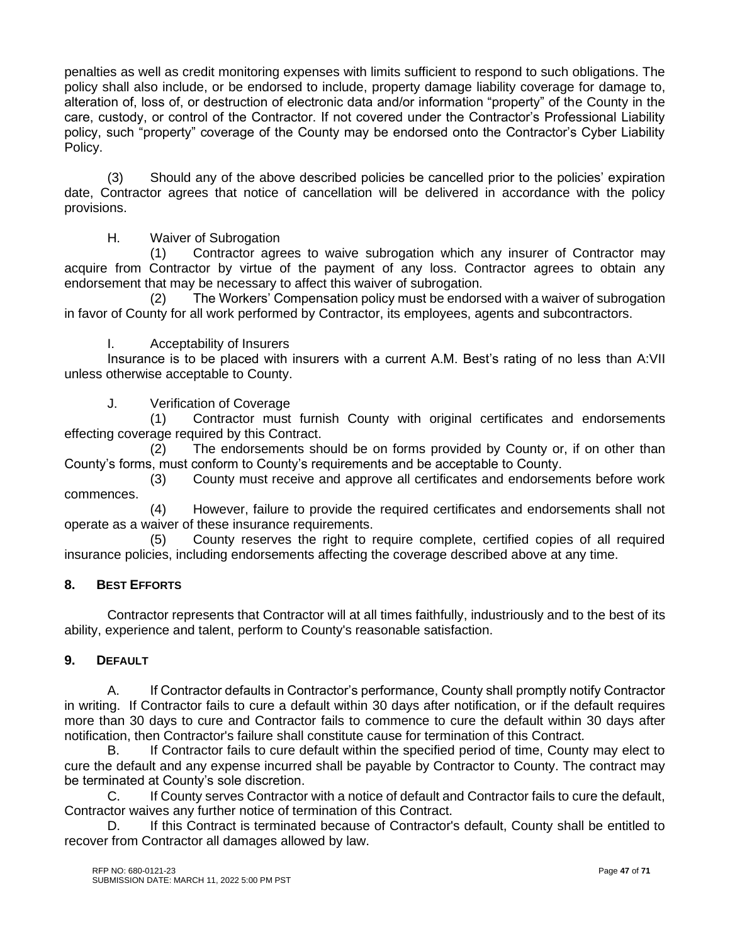penalties as well as credit monitoring expenses with limits sufficient to respond to such obligations. The policy shall also include, or be endorsed to include, property damage liability coverage for damage to, alteration of, loss of, or destruction of electronic data and/or information "property" of the County in the care, custody, or control of the Contractor. If not covered under the Contractor's Professional Liability policy, such "property" coverage of the County may be endorsed onto the Contractor's Cyber Liability Policy.

(3) Should any of the above described policies be cancelled prior to the policies' expiration date, Contractor agrees that notice of cancellation will be delivered in accordance with the policy provisions.

# H. Waiver of Subrogation

(1) Contractor agrees to waive subrogation which any insurer of Contractor may acquire from Contractor by virtue of the payment of any loss. Contractor agrees to obtain any endorsement that may be necessary to affect this waiver of subrogation.

(2) The Workers' Compensation policy must be endorsed with a waiver of subrogation in favor of County for all work performed by Contractor, its employees, agents and subcontractors.

# I. Acceptability of Insurers

Insurance is to be placed with insurers with a current A.M. Best's rating of no less than A:VII unless otherwise acceptable to County.

# J. Verification of Coverage

(1) Contractor must furnish County with original certificates and endorsements effecting coverage required by this Contract.

(2) The endorsements should be on forms provided by County or, if on other than County's forms, must conform to County's requirements and be acceptable to County.

(3) County must receive and approve all certificates and endorsements before work commences.

(4) However, failure to provide the required certificates and endorsements shall not operate as a waiver of these insurance requirements.

(5) County reserves the right to require complete, certified copies of all required insurance policies, including endorsements affecting the coverage described above at any time.

# **8. BEST EFFORTS**

Contractor represents that Contractor will at all times faithfully, industriously and to the best of its ability, experience and talent, perform to County's reasonable satisfaction.

# **9. DEFAULT**

A. If Contractor defaults in Contractor's performance, County shall promptly notify Contractor in writing. If Contractor fails to cure a default within 30 days after notification, or if the default requires more than 30 days to cure and Contractor fails to commence to cure the default within 30 days after notification, then Contractor's failure shall constitute cause for termination of this Contract.

B. If Contractor fails to cure default within the specified period of time, County may elect to cure the default and any expense incurred shall be payable by Contractor to County. The contract may be terminated at County's sole discretion.

C. If County serves Contractor with a notice of default and Contractor fails to cure the default, Contractor waives any further notice of termination of this Contract.

D. If this Contract is terminated because of Contractor's default, County shall be entitled to recover from Contractor all damages allowed by law.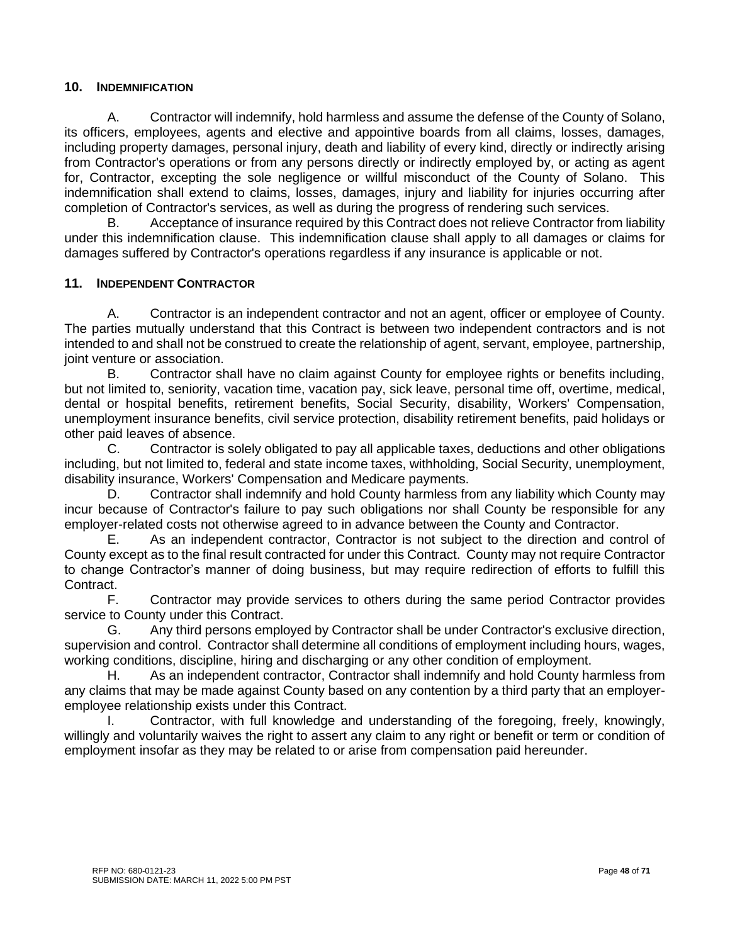#### **10. INDEMNIFICATION**

A. Contractor will indemnify, hold harmless and assume the defense of the County of Solano, its officers, employees, agents and elective and appointive boards from all claims, losses, damages, including property damages, personal injury, death and liability of every kind, directly or indirectly arising from Contractor's operations or from any persons directly or indirectly employed by, or acting as agent for, Contractor, excepting the sole negligence or willful misconduct of the County of Solano. This indemnification shall extend to claims, losses, damages, injury and liability for injuries occurring after completion of Contractor's services, as well as during the progress of rendering such services.

B. Acceptance of insurance required by this Contract does not relieve Contractor from liability under this indemnification clause. This indemnification clause shall apply to all damages or claims for damages suffered by Contractor's operations regardless if any insurance is applicable or not.

# **11. INDEPENDENT CONTRACTOR**

A. Contractor is an independent contractor and not an agent, officer or employee of County. The parties mutually understand that this Contract is between two independent contractors and is not intended to and shall not be construed to create the relationship of agent, servant, employee, partnership, joint venture or association.

B. Contractor shall have no claim against County for employee rights or benefits including, but not limited to, seniority, vacation time, vacation pay, sick leave, personal time off, overtime, medical, dental or hospital benefits, retirement benefits, Social Security, disability, Workers' Compensation, unemployment insurance benefits, civil service protection, disability retirement benefits, paid holidays or other paid leaves of absence.

C. Contractor is solely obligated to pay all applicable taxes, deductions and other obligations including, but not limited to, federal and state income taxes, withholding, Social Security, unemployment, disability insurance, Workers' Compensation and Medicare payments.

D. Contractor shall indemnify and hold County harmless from any liability which County may incur because of Contractor's failure to pay such obligations nor shall County be responsible for any employer-related costs not otherwise agreed to in advance between the County and Contractor.

E. As an independent contractor, Contractor is not subject to the direction and control of County except as to the final result contracted for under this Contract. County may not require Contractor to change Contractor's manner of doing business, but may require redirection of efforts to fulfill this Contract.

F. Contractor may provide services to others during the same period Contractor provides service to County under this Contract.

G. Any third persons employed by Contractor shall be under Contractor's exclusive direction, supervision and control. Contractor shall determine all conditions of employment including hours, wages, working conditions, discipline, hiring and discharging or any other condition of employment.

H. As an independent contractor, Contractor shall indemnify and hold County harmless from any claims that may be made against County based on any contention by a third party that an employeremployee relationship exists under this Contract.

I. Contractor, with full knowledge and understanding of the foregoing, freely, knowingly, willingly and voluntarily waives the right to assert any claim to any right or benefit or term or condition of employment insofar as they may be related to or arise from compensation paid hereunder.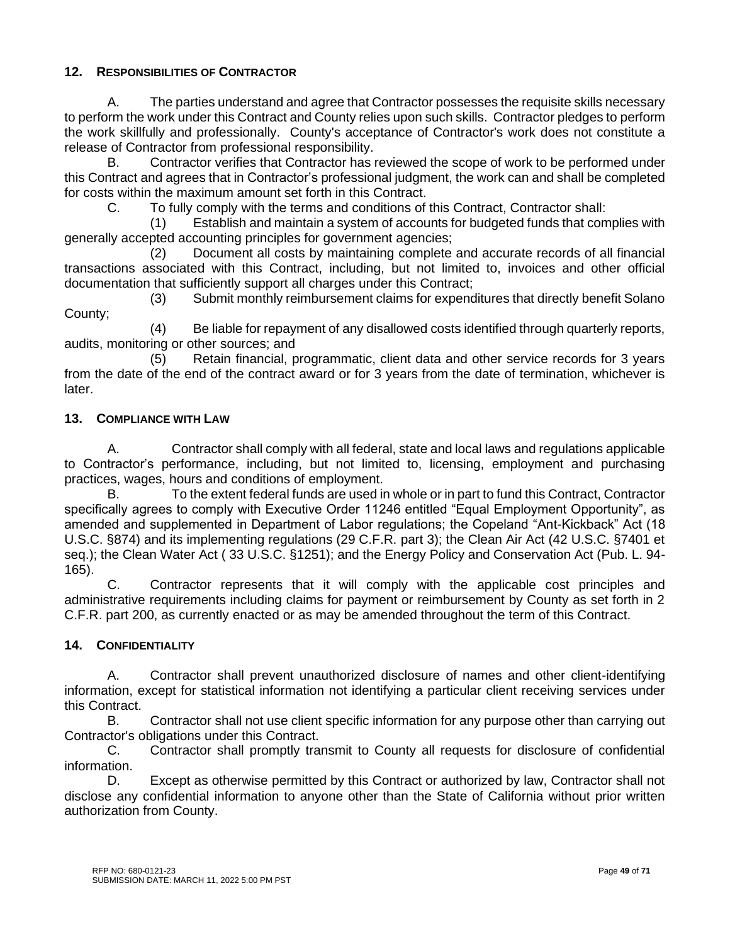# **12. RESPONSIBILITIES OF CONTRACTOR**

A. The parties understand and agree that Contractor possesses the requisite skills necessary to perform the work under this Contract and County relies upon such skills. Contractor pledges to perform the work skillfully and professionally. County's acceptance of Contractor's work does not constitute a release of Contractor from professional responsibility.

B. Contractor verifies that Contractor has reviewed the scope of work to be performed under this Contract and agrees that in Contractor's professional judgment, the work can and shall be completed for costs within the maximum amount set forth in this Contract.

C. To fully comply with the terms and conditions of this Contract, Contractor shall:

(1) Establish and maintain a system of accounts for budgeted funds that complies with generally accepted accounting principles for government agencies;

(2) Document all costs by maintaining complete and accurate records of all financial transactions associated with this Contract, including, but not limited to, invoices and other official documentation that sufficiently support all charges under this Contract;

(3) Submit monthly reimbursement claims for expenditures that directly benefit Solano County;

(4) Be liable for repayment of any disallowed costs identified through quarterly reports, audits, monitoring or other sources; and

(5) Retain financial, programmatic, client data and other service records for 3 years from the date of the end of the contract award or for 3 years from the date of termination, whichever is later.

# **13. COMPLIANCE WITH LAW**

A. Contractor shall comply with all federal, state and local laws and regulations applicable to Contractor's performance, including, but not limited to, licensing, employment and purchasing practices, wages, hours and conditions of employment.

B. To the extent federal funds are used in whole or in part to fund this Contract, Contractor specifically agrees to comply with Executive Order 11246 entitled "Equal Employment Opportunity", as amended and supplemented in Department of Labor regulations; the Copeland "Ant-Kickback" Act (18 U.S.C. §874) and its implementing regulations (29 C.F.R. part 3); the Clean Air Act (42 U.S.C. §7401 et seq.); the Clean Water Act ( 33 U.S.C. §1251); and the Energy Policy and Conservation Act (Pub. L. 94- 165).

C. Contractor represents that it will comply with the applicable cost principles and administrative requirements including claims for payment or reimbursement by County as set forth in 2 C.F.R. part 200, as currently enacted or as may be amended throughout the term of this Contract.

# **14. CONFIDENTIALITY**

A. Contractor shall prevent unauthorized disclosure of names and other client-identifying information, except for statistical information not identifying a particular client receiving services under this Contract.

B. Contractor shall not use client specific information for any purpose other than carrying out Contractor's obligations under this Contract.

C. Contractor shall promptly transmit to County all requests for disclosure of confidential information.

D. Except as otherwise permitted by this Contract or authorized by law, Contractor shall not disclose any confidential information to anyone other than the State of California without prior written authorization from County.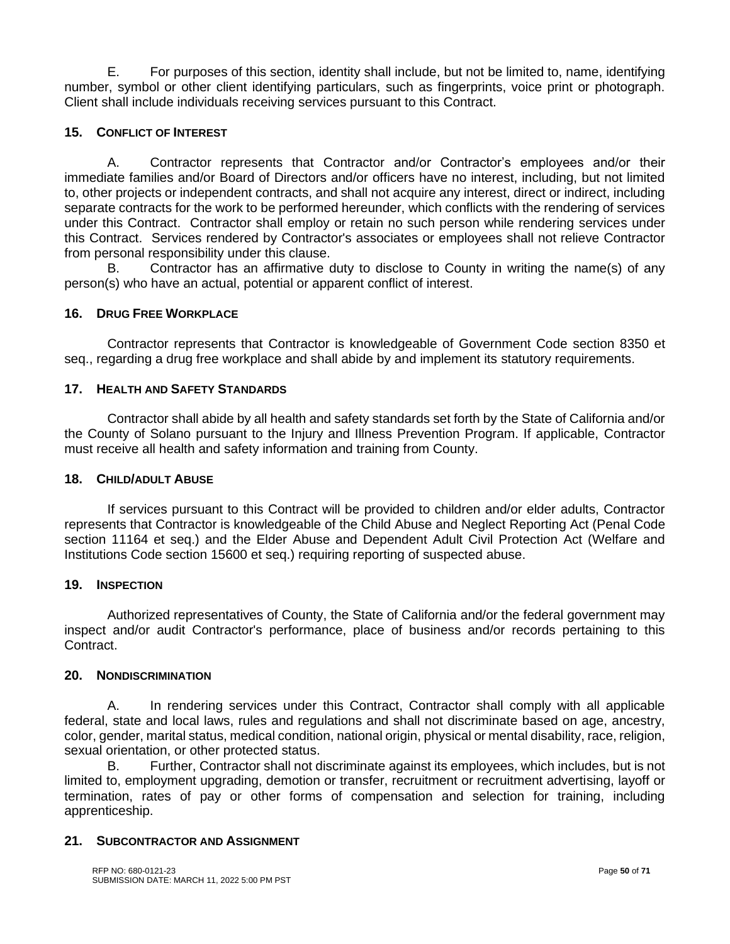E. For purposes of this section, identity shall include, but not be limited to, name, identifying number, symbol or other client identifying particulars, such as fingerprints, voice print or photograph. Client shall include individuals receiving services pursuant to this Contract.

# **15. CONFLICT OF INTEREST**

A. Contractor represents that Contractor and/or Contractor's employees and/or their immediate families and/or Board of Directors and/or officers have no interest, including, but not limited to, other projects or independent contracts, and shall not acquire any interest, direct or indirect, including separate contracts for the work to be performed hereunder, which conflicts with the rendering of services under this Contract. Contractor shall employ or retain no such person while rendering services under this Contract. Services rendered by Contractor's associates or employees shall not relieve Contractor from personal responsibility under this clause.

B. Contractor has an affirmative duty to disclose to County in writing the name(s) of any person(s) who have an actual, potential or apparent conflict of interest.

#### **16. DRUG FREE WORKPLACE**

Contractor represents that Contractor is knowledgeable of Government Code section 8350 et seq., regarding a drug free workplace and shall abide by and implement its statutory requirements.

#### **17. HEALTH AND SAFETY STANDARDS**

Contractor shall abide by all health and safety standards set forth by the State of California and/or the County of Solano pursuant to the Injury and Illness Prevention Program. If applicable, Contractor must receive all health and safety information and training from County.

#### **18. CHILD/ADULT ABUSE**

If services pursuant to this Contract will be provided to children and/or elder adults, Contractor represents that Contractor is knowledgeable of the Child Abuse and Neglect Reporting Act (Penal Code section 11164 et seq.) and the Elder Abuse and Dependent Adult Civil Protection Act (Welfare and Institutions Code section 15600 et seq.) requiring reporting of suspected abuse.

#### **19. INSPECTION**

Authorized representatives of County, the State of California and/or the federal government may inspect and/or audit Contractor's performance, place of business and/or records pertaining to this Contract.

#### **20. NONDISCRIMINATION**

A. In rendering services under this Contract, Contractor shall comply with all applicable federal, state and local laws, rules and regulations and shall not discriminate based on age, ancestry, color, gender, marital status, medical condition, national origin, physical or mental disability, race, religion, sexual orientation, or other protected status.

B. Further, Contractor shall not discriminate against its employees, which includes, but is not limited to, employment upgrading, demotion or transfer, recruitment or recruitment advertising, layoff or termination, rates of pay or other forms of compensation and selection for training, including apprenticeship.

#### **21. SUBCONTRACTOR AND ASSIGNMENT**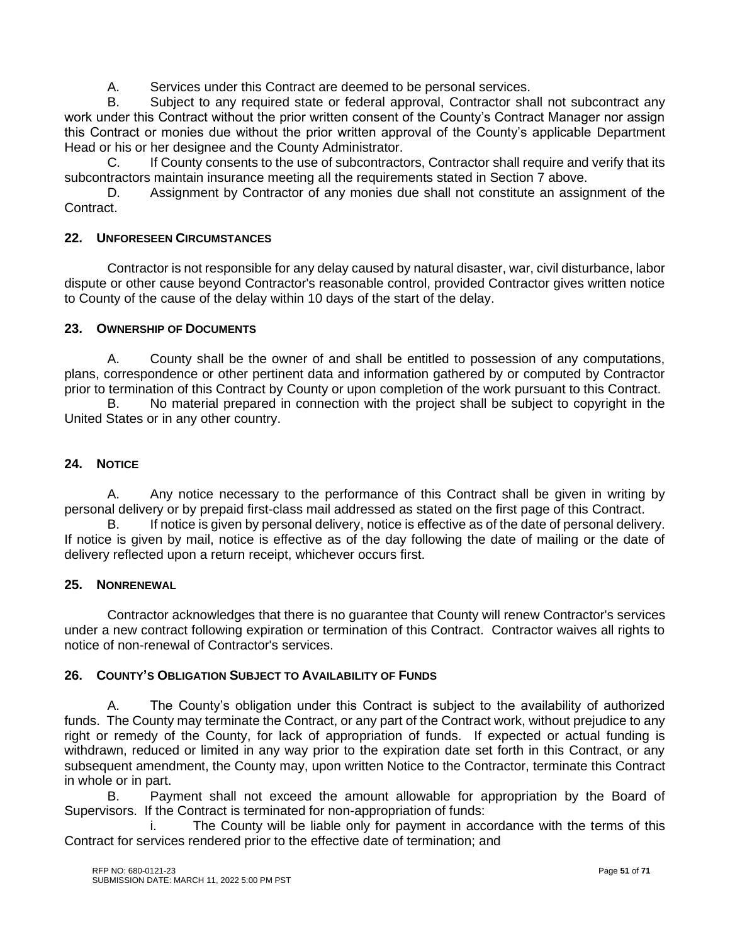A. Services under this Contract are deemed to be personal services.

B. Subject to any required state or federal approval, Contractor shall not subcontract any work under this Contract without the prior written consent of the County's Contract Manager nor assign this Contract or monies due without the prior written approval of the County's applicable Department Head or his or her designee and the County Administrator.

C. If County consents to the use of subcontractors, Contractor shall require and verify that its subcontractors maintain insurance meeting all the requirements stated in Section 7 above.

D. Assignment by Contractor of any monies due shall not constitute an assignment of the Contract.

#### **22. UNFORESEEN CIRCUMSTANCES**

Contractor is not responsible for any delay caused by natural disaster, war, civil disturbance, labor dispute or other cause beyond Contractor's reasonable control, provided Contractor gives written notice to County of the cause of the delay within 10 days of the start of the delay.

#### **23. OWNERSHIP OF DOCUMENTS**

A. County shall be the owner of and shall be entitled to possession of any computations, plans, correspondence or other pertinent data and information gathered by or computed by Contractor prior to termination of this Contract by County or upon completion of the work pursuant to this Contract.

B. No material prepared in connection with the project shall be subject to copyright in the United States or in any other country.

# **24. NOTICE**

A. Any notice necessary to the performance of this Contract shall be given in writing by personal delivery or by prepaid first-class mail addressed as stated on the first page of this Contract.

B. If notice is given by personal delivery, notice is effective as of the date of personal delivery. If notice is given by mail, notice is effective as of the day following the date of mailing or the date of delivery reflected upon a return receipt, whichever occurs first.

#### **25. NONRENEWAL**

Contractor acknowledges that there is no guarantee that County will renew Contractor's services under a new contract following expiration or termination of this Contract. Contractor waives all rights to notice of non-renewal of Contractor's services.

#### **26. COUNTY'S OBLIGATION SUBJECT TO AVAILABILITY OF FUNDS**

A. The County's obligation under this Contract is subject to the availability of authorized funds. The County may terminate the Contract, or any part of the Contract work, without prejudice to any right or remedy of the County, for lack of appropriation of funds. If expected or actual funding is withdrawn, reduced or limited in any way prior to the expiration date set forth in this Contract, or any subsequent amendment, the County may, upon written Notice to the Contractor, terminate this Contract in whole or in part.

B. Payment shall not exceed the amount allowable for appropriation by the Board of Supervisors. If the Contract is terminated for non-appropriation of funds:

i. The County will be liable only for payment in accordance with the terms of this Contract for services rendered prior to the effective date of termination; and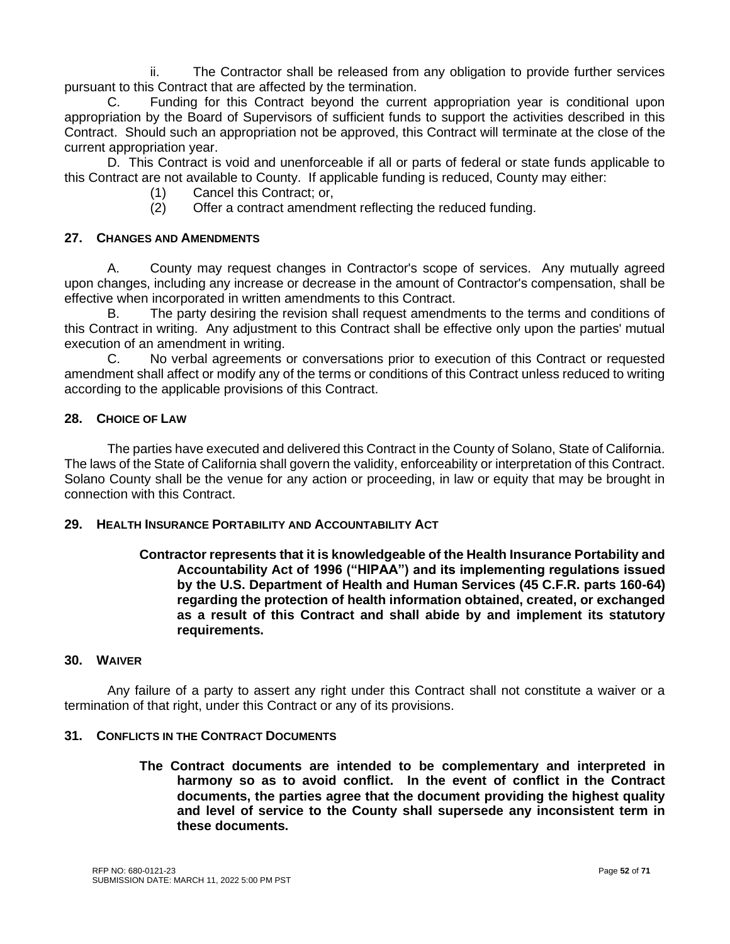ii. The Contractor shall be released from any obligation to provide further services pursuant to this Contract that are affected by the termination.

C. Funding for this Contract beyond the current appropriation year is conditional upon appropriation by the Board of Supervisors of sufficient funds to support the activities described in this Contract. Should such an appropriation not be approved, this Contract will terminate at the close of the current appropriation year.

D. This Contract is void and unenforceable if all or parts of federal or state funds applicable to this Contract are not available to County. If applicable funding is reduced, County may either:

- (1) Cancel this Contract; or,
- (2) Offer a contract amendment reflecting the reduced funding.

# **27. CHANGES AND AMENDMENTS**

A. County may request changes in Contractor's scope of services. Any mutually agreed upon changes, including any increase or decrease in the amount of Contractor's compensation, shall be effective when incorporated in written amendments to this Contract.

B. The party desiring the revision shall request amendments to the terms and conditions of this Contract in writing. Any adjustment to this Contract shall be effective only upon the parties' mutual execution of an amendment in writing.

C. No verbal agreements or conversations prior to execution of this Contract or requested amendment shall affect or modify any of the terms or conditions of this Contract unless reduced to writing according to the applicable provisions of this Contract.

# **28. CHOICE OF LAW**

The parties have executed and delivered this Contract in the County of Solano, State of California. The laws of the State of California shall govern the validity, enforceability or interpretation of this Contract. Solano County shall be the venue for any action or proceeding, in law or equity that may be brought in connection with this Contract.

#### **29. HEALTH INSURANCE PORTABILITY AND ACCOUNTABILITY ACT**

# **Contractor represents that it is knowledgeable of the Health Insurance Portability and Accountability Act of 1996 ("HIPAA") and its implementing regulations issued by the U.S. Department of Health and Human Services (45 C.F.R. parts 160-64) regarding the protection of health information obtained, created, or exchanged as a result of this Contract and shall abide by and implement its statutory requirements.**

#### **30. WAIVER**

Any failure of a party to assert any right under this Contract shall not constitute a waiver or a termination of that right, under this Contract or any of its provisions.

#### **31. CONFLICTS IN THE CONTRACT DOCUMENTS**

**The Contract documents are intended to be complementary and interpreted in harmony so as to avoid conflict. In the event of conflict in the Contract documents, the parties agree that the document providing the highest quality and level of service to the County shall supersede any inconsistent term in these documents.**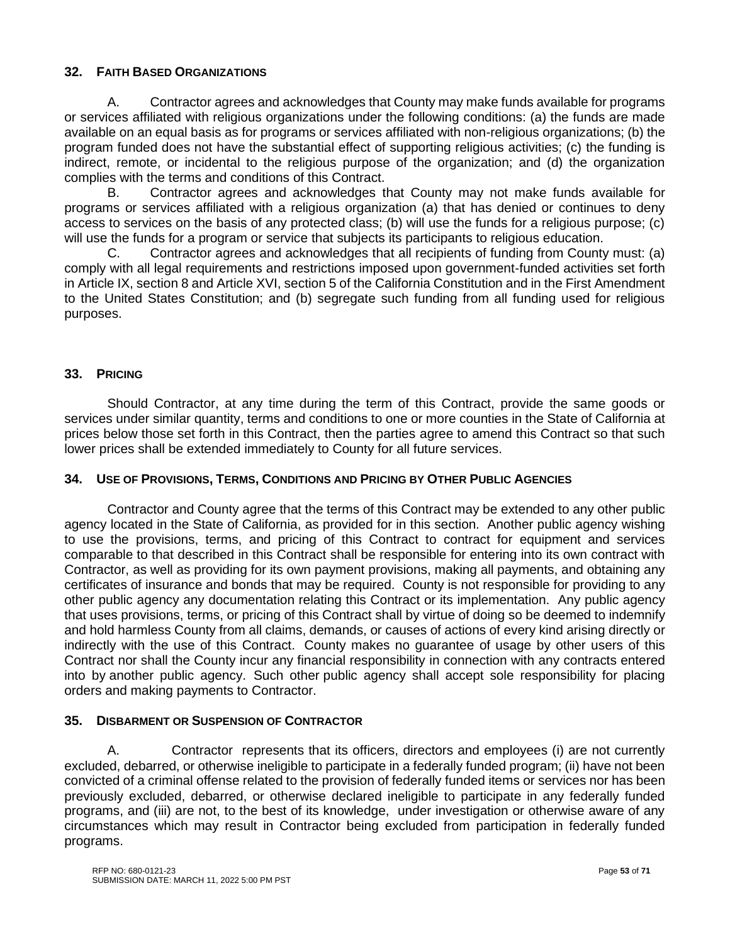# **32. FAITH BASED ORGANIZATIONS**

A. Contractor agrees and acknowledges that County may make funds available for programs or services affiliated with religious organizations under the following conditions: (a) the funds are made available on an equal basis as for programs or services affiliated with non-religious organizations; (b) the program funded does not have the substantial effect of supporting religious activities; (c) the funding is indirect, remote, or incidental to the religious purpose of the organization; and (d) the organization complies with the terms and conditions of this Contract.

B. Contractor agrees and acknowledges that County may not make funds available for programs or services affiliated with a religious organization (a) that has denied or continues to deny access to services on the basis of any protected class; (b) will use the funds for a religious purpose; (c) will use the funds for a program or service that subjects its participants to religious education.

C. Contractor agrees and acknowledges that all recipients of funding from County must: (a) comply with all legal requirements and restrictions imposed upon government-funded activities set forth in Article IX, section 8 and Article XVI, section 5 of the California Constitution and in the First Amendment to the United States Constitution; and (b) segregate such funding from all funding used for religious purposes.

# **33. PRICING**

Should Contractor, at any time during the term of this Contract, provide the same goods or services under similar quantity, terms and conditions to one or more counties in the State of California at prices below those set forth in this Contract, then the parties agree to amend this Contract so that such lower prices shall be extended immediately to County for all future services.

#### **34. USE OF PROVISIONS, TERMS, CONDITIONS AND PRICING BY OTHER PUBLIC AGENCIES**

Contractor and County agree that the terms of this Contract may be extended to any other public agency located in the State of California, as provided for in this section. Another public agency wishing to use the provisions, terms, and pricing of this Contract to contract for equipment and services comparable to that described in this Contract shall be responsible for entering into its own contract with Contractor, as well as providing for its own payment provisions, making all payments, and obtaining any certificates of insurance and bonds that may be required. County is not responsible for providing to any other public agency any documentation relating this Contract or its implementation. Any public agency that uses provisions, terms, or pricing of this Contract shall by virtue of doing so be deemed to indemnify and hold harmless County from all claims, demands, or causes of actions of every kind arising directly or indirectly with the use of this Contract. County makes no guarantee of usage by other users of this Contract nor shall the County incur any financial responsibility in connection with any contracts entered into by another public agency. Such other public agency shall accept sole responsibility for placing orders and making payments to Contractor.

# **35. DISBARMENT OR SUSPENSION OF CONTRACTOR**

A. Contractor represents that its officers, directors and employees (i) are not currently excluded, debarred, or otherwise ineligible to participate in a federally funded program; (ii) have not been convicted of a criminal offense related to the provision of federally funded items or services nor has been previously excluded, debarred, or otherwise declared ineligible to participate in any federally funded programs, and (iii) are not, to the best of its knowledge, under investigation or otherwise aware of any circumstances which may result in Contractor being excluded from participation in federally funded programs.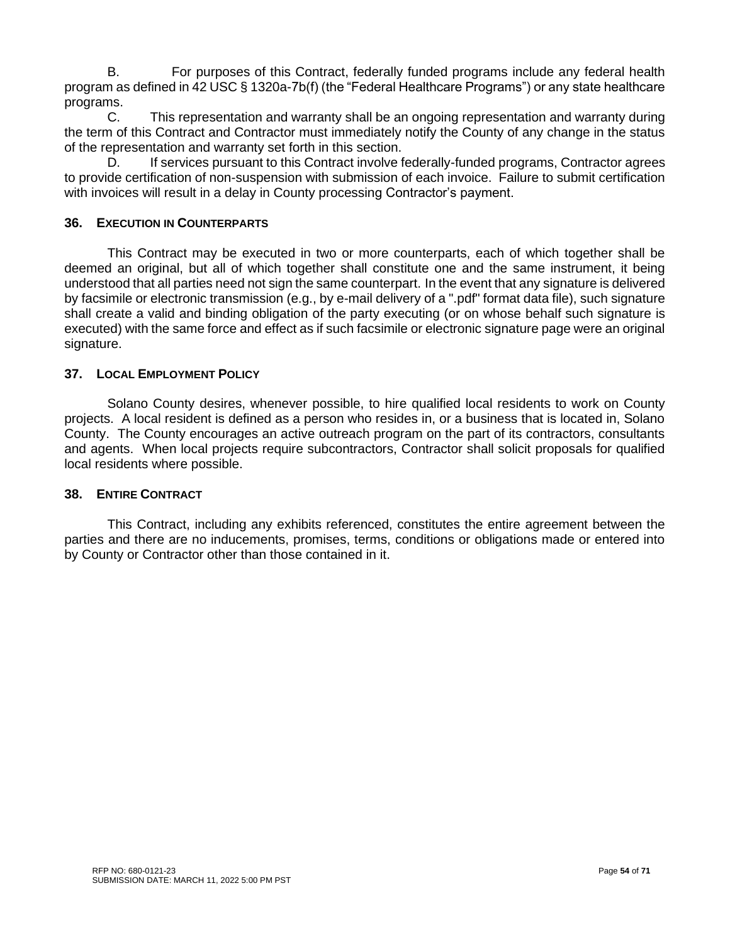B. For purposes of this Contract, federally funded programs include any federal health program as defined in 42 USC § 1320a-7b(f) (the "Federal Healthcare Programs") or any state healthcare programs.

C. This representation and warranty shall be an ongoing representation and warranty during the term of this Contract and Contractor must immediately notify the County of any change in the status of the representation and warranty set forth in this section.

D. If services pursuant to this Contract involve federally-funded programs, Contractor agrees to provide certification of non-suspension with submission of each invoice. Failure to submit certification with invoices will result in a delay in County processing Contractor's payment.

# **36. EXECUTION IN COUNTERPARTS**

This Contract may be executed in two or more counterparts, each of which together shall be deemed an original, but all of which together shall constitute one and the same instrument, it being understood that all parties need not sign the same counterpart. In the event that any signature is delivered by facsimile or electronic transmission (e.g., by e-mail delivery of a ".pdf" format data file), such signature shall create a valid and binding obligation of the party executing (or on whose behalf such signature is executed) with the same force and effect as if such facsimile or electronic signature page were an original signature.

#### **37. LOCAL EMPLOYMENT POLICY**

Solano County desires, whenever possible, to hire qualified local residents to work on County projects. A local resident is defined as a person who resides in, or a business that is located in, Solano County. The County encourages an active outreach program on the part of its contractors, consultants and agents. When local projects require subcontractors, Contractor shall solicit proposals for qualified local residents where possible.

#### **38. ENTIRE CONTRACT**

This Contract, including any exhibits referenced, constitutes the entire agreement between the parties and there are no inducements, promises, terms, conditions or obligations made or entered into by County or Contractor other than those contained in it.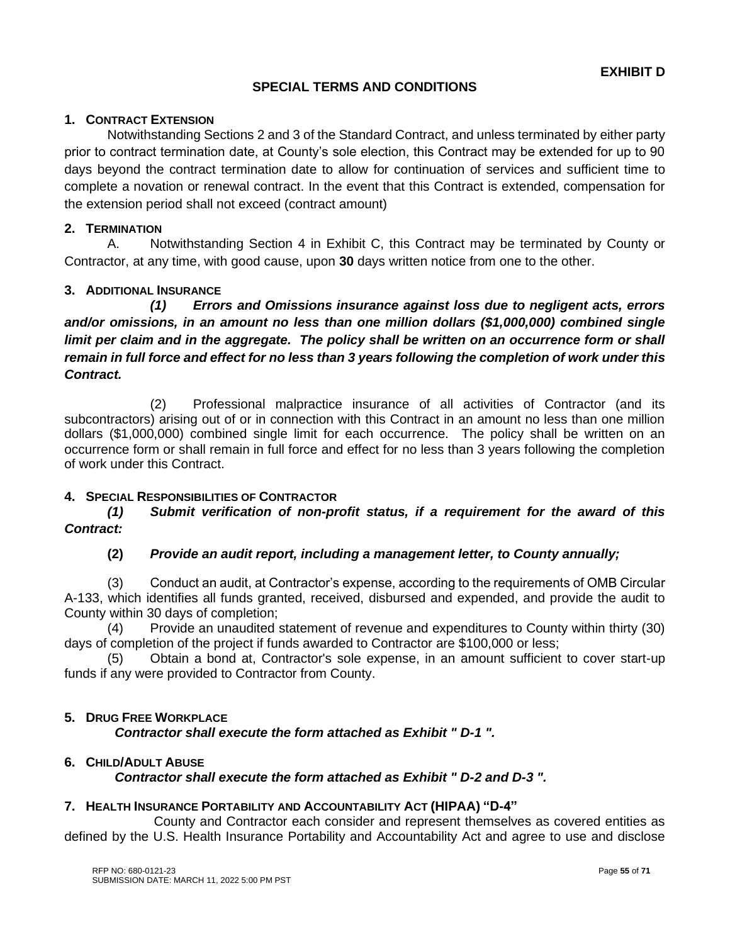# **SPECIAL TERMS AND CONDITIONS**

#### **1. CONTRACT EXTENSION**

Notwithstanding Sections 2 and 3 of the Standard Contract, and unless terminated by either party prior to contract termination date, at County's sole election, this Contract may be extended for up to 90 days beyond the contract termination date to allow for continuation of services and sufficient time to complete a novation or renewal contract. In the event that this Contract is extended, compensation for the extension period shall not exceed (contract amount)

# **2. TERMINATION**

A. Notwithstanding Section 4 in Exhibit C, this Contract may be terminated by County or Contractor, at any time, with good cause, upon **30** days written notice from one to the other.

# **3. ADDITIONAL INSURANCE**

*(1) Errors and Omissions insurance against loss due to negligent acts, errors and/or omissions, in an amount no less than one million dollars (\$1,000,000) combined single limit per claim and in the aggregate. The policy shall be written on an occurrence form or shall remain in full force and effect for no less than 3 years following the completion of work under this Contract.*

(2) Professional malpractice insurance of all activities of Contractor (and its subcontractors) arising out of or in connection with this Contract in an amount no less than one million dollars (\$1,000,000) combined single limit for each occurrence. The policy shall be written on an occurrence form or shall remain in full force and effect for no less than 3 years following the completion of work under this Contract.

#### **4. SPECIAL RESPONSIBILITIES OF CONTRACTOR**

*(1) Submit verification of non-profit status, if a requirement for the award of this Contract:*

#### **(2)** *Provide an audit report, including a management letter, to County annually;*

(3) Conduct an audit, at Contractor's expense, according to the requirements of OMB Circular A-133, which identifies all funds granted, received, disbursed and expended, and provide the audit to County within 30 days of completion;

(4) Provide an unaudited statement of revenue and expenditures to County within thirty (30) days of completion of the project if funds awarded to Contractor are \$100,000 or less;

(5) Obtain a bond at, Contractor's sole expense, in an amount sufficient to cover start-up funds if any were provided to Contractor from County.

#### **5. DRUG FREE WORKPLACE**

*Contractor shall execute the form attached as Exhibit " D-1 ".*

#### **6. CHILD/ADULT ABUSE**

# *Contractor shall execute the form attached as Exhibit " D-2 and D-3 ".*

#### **7. HEALTH INSURANCE PORTABILITY AND ACCOUNTABILITY ACT (HIPAA) "D-4"**

County and Contractor each consider and represent themselves as covered entities as defined by the U.S. Health Insurance Portability and Accountability Act and agree to use and disclose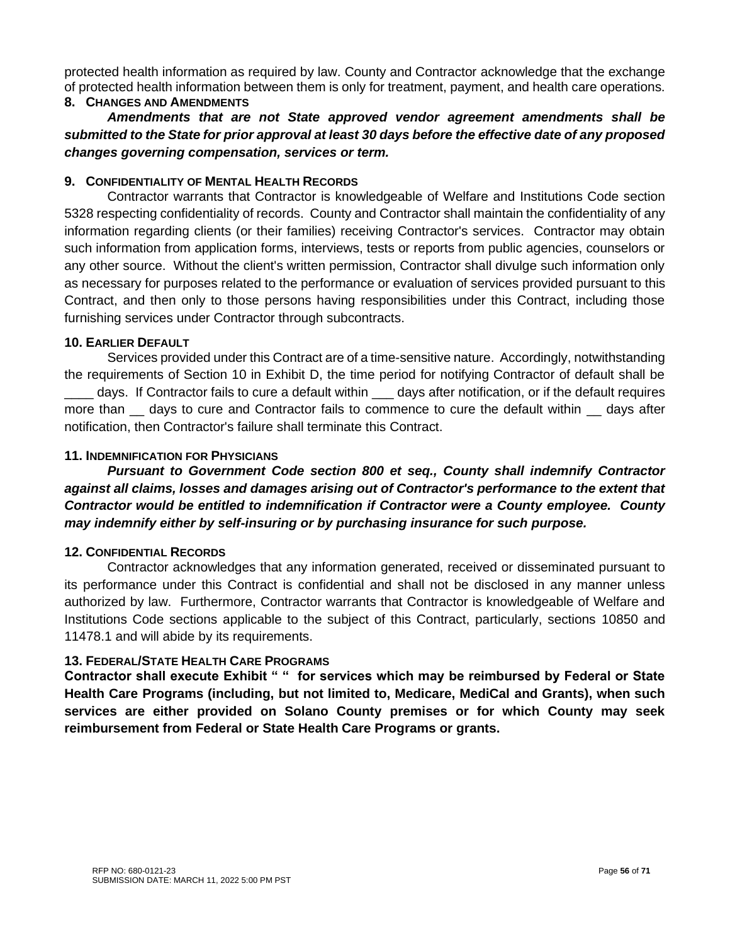protected health information as required by law. County and Contractor acknowledge that the exchange of protected health information between them is only for treatment, payment, and health care operations.

#### **8. CHANGES AND AMENDMENTS**

*Amendments that are not State approved vendor agreement amendments shall be submitted to the State for prior approval at least 30 days before the effective date of any proposed changes governing compensation, services or term.*

# **9. CONFIDENTIALITY OF MENTAL HEALTH RECORDS**

Contractor warrants that Contractor is knowledgeable of Welfare and Institutions Code section 5328 respecting confidentiality of records. County and Contractor shall maintain the confidentiality of any information regarding clients (or their families) receiving Contractor's services. Contractor may obtain such information from application forms, interviews, tests or reports from public agencies, counselors or any other source. Without the client's written permission, Contractor shall divulge such information only as necessary for purposes related to the performance or evaluation of services provided pursuant to this Contract, and then only to those persons having responsibilities under this Contract, including those furnishing services under Contractor through subcontracts.

# **10. EARLIER DEFAULT**

Services provided under this Contract are of a time-sensitive nature. Accordingly, notwithstanding the requirements of Section 10 in Exhibit D, the time period for notifying Contractor of default shall be days. If Contractor fails to cure a default within \_\_\_ days after notification, or if the default requires more than  $\equiv$  days to cure and Contractor fails to commence to cure the default within  $\equiv$  days after notification, then Contractor's failure shall terminate this Contract.

# **11. INDEMNIFICATION FOR PHYSICIANS**

*Pursuant to Government Code section 800 et seq., County shall indemnify Contractor against all claims, losses and damages arising out of Contractor's performance to the extent that Contractor would be entitled to indemnification if Contractor were a County employee. County may indemnify either by self-insuring or by purchasing insurance for such purpose.*

#### **12. CONFIDENTIAL RECORDS**

Contractor acknowledges that any information generated, received or disseminated pursuant to its performance under this Contract is confidential and shall not be disclosed in any manner unless authorized by law. Furthermore, Contractor warrants that Contractor is knowledgeable of Welfare and Institutions Code sections applicable to the subject of this Contract, particularly, sections 10850 and 11478.1 and will abide by its requirements.

# **13. FEDERAL/STATE HEALTH CARE PROGRAMS**

**Contractor shall execute Exhibit " " for services which may be reimbursed by Federal or State Health Care Programs (including, but not limited to, Medicare, MediCal and Grants), when such services are either provided on Solano County premises or for which County may seek reimbursement from Federal or State Health Care Programs or grants.**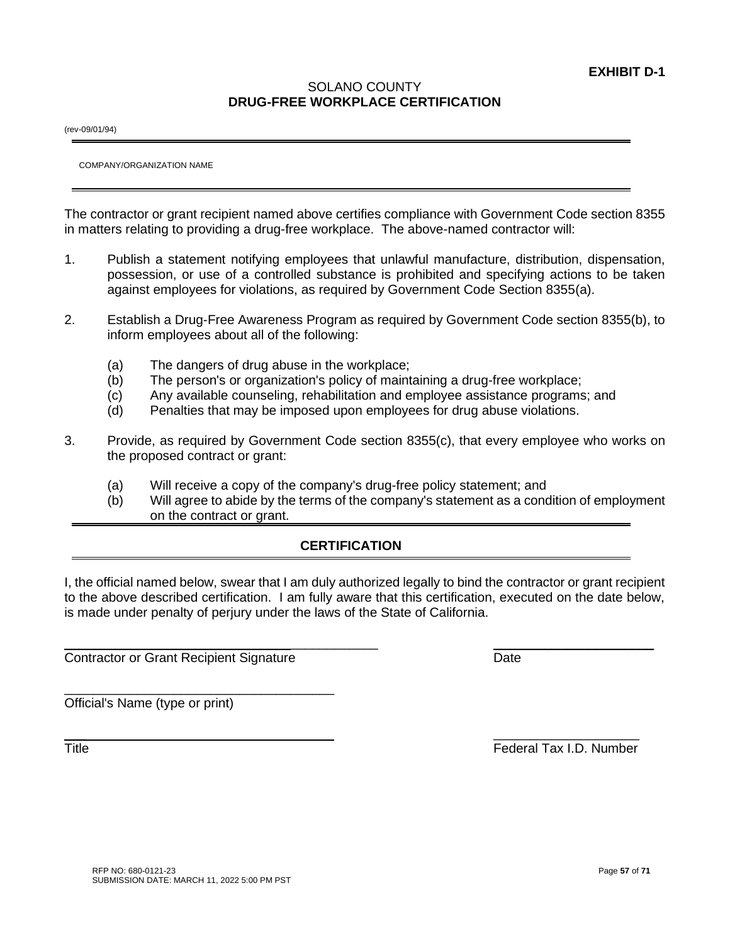COMPANY/ORGANIZATION NAME

(rev-09/01/94)

The contractor or grant recipient named above certifies compliance with Government Code section 8355 in matters relating to providing a drug-free workplace. The above-named contractor will:

SOLANO COUNTY **DRUG-FREE WORKPLACE CERTIFICATION**

- 1. Publish a statement notifying employees that unlawful manufacture, distribution, dispensation, possession, or use of a controlled substance is prohibited and specifying actions to be taken against employees for violations, as required by Government Code Section 8355(a).
- 2. Establish a Drug-Free Awareness Program as required by Government Code section 8355(b), to inform employees about all of the following:
	- (a) The dangers of drug abuse in the workplace;
	- (b) The person's or organization's policy of maintaining a drug-free workplace;
	- (c) Any available counseling, rehabilitation and employee assistance programs; and
	- (d) Penalties that may be imposed upon employees for drug abuse violations.
- 3. Provide, as required by Government Code section 8355(c), that every employee who works on the proposed contract or grant:
	- (a) Will receive a copy of the company's drug-free policy statement; and
	- (b) Will agree to abide by the terms of the company's statement as a condition of employment on the contract or grant.

# **CERTIFICATION**

I, the official named below, swear that I am duly authorized legally to bind the contractor or grant recipient to the above described certification. I am fully aware that this certification, executed on the date below, is made under penalty of perjury under the laws of the State of California.

 $\mathcal{L}_\text{max}$  , and the contract of the contract of the contract of the contract of the contract of the contract of

 $\overline{\phantom{a}}$  , and the contract of the contract of the contract of the contract of the contract of the contract of the contract of the contract of the contract of the contract of the contract of the contract of the contrac

Contractor or Grant Recipient Signature **Date** Date

\_\_\_\_\_\_\_\_\_\_\_\_\_\_\_\_\_\_\_\_\_\_\_\_\_\_\_\_\_\_\_\_\_\_\_\_\_

Official's Name (type or print)

Title Federal Tax I.D. Number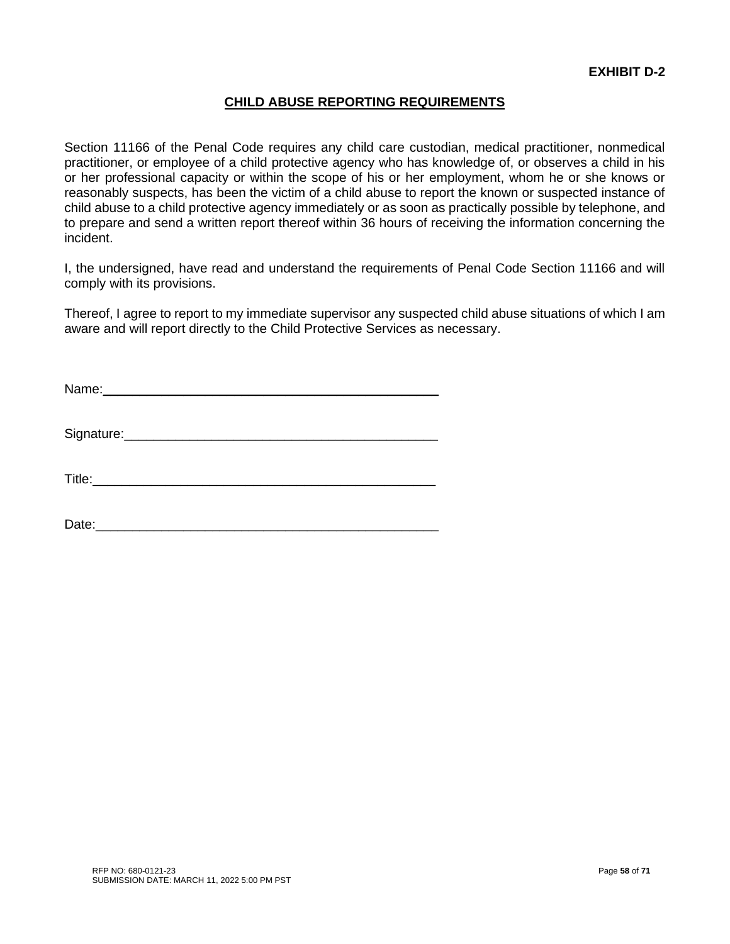# **CHILD ABUSE REPORTING REQUIREMENTS**

Section 11166 of the Penal Code requires any child care custodian, medical practitioner, nonmedical practitioner, or employee of a child protective agency who has knowledge of, or observes a child in his or her professional capacity or within the scope of his or her employment, whom he or she knows or reasonably suspects, has been the victim of a child abuse to report the known or suspected instance of child abuse to a child protective agency immediately or as soon as practically possible by telephone, and to prepare and send a written report thereof within 36 hours of receiving the information concerning the incident.

I, the undersigned, have read and understand the requirements of Penal Code Section 11166 and will comply with its provisions.

Thereof, I agree to report to my immediate supervisor any suspected child abuse situations of which I am aware and will report directly to the Child Protective Services as necessary.

Name:

Signature:\_\_\_\_\_\_\_\_\_\_\_\_\_\_\_\_\_\_\_\_\_\_\_\_\_\_\_\_\_\_\_\_\_\_\_\_\_\_\_\_\_\_\_

Title:

Date: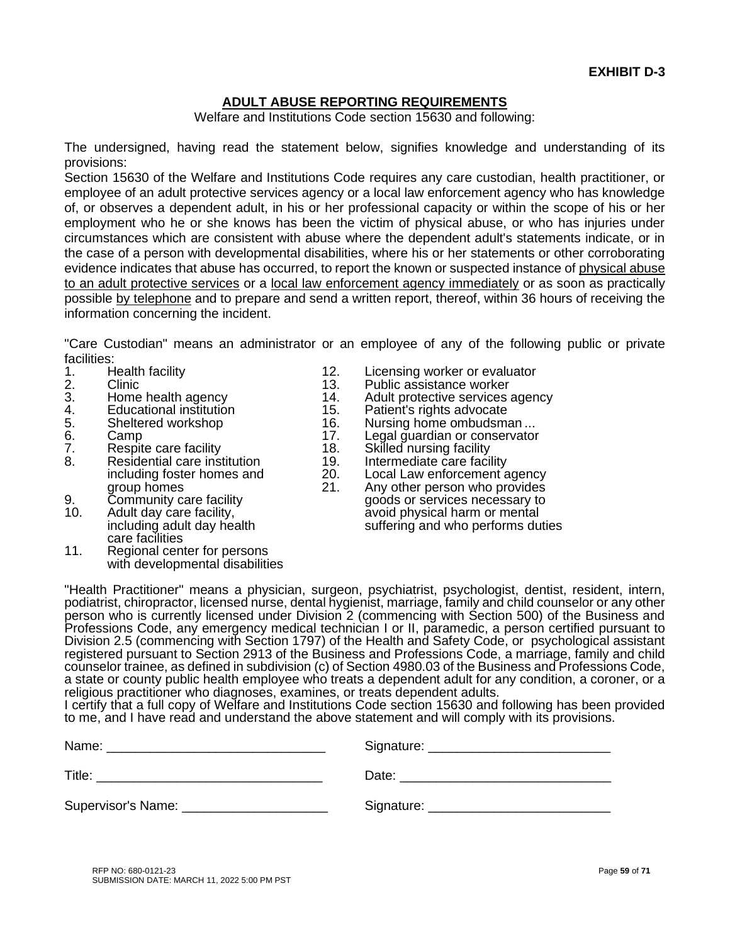# **ADULT ABUSE REPORTING REQUIREMENTS**

Welfare and Institutions Code section 15630 and following:

The undersigned, having read the statement below, signifies knowledge and understanding of its provisions:

Section 15630 of the Welfare and Institutions Code requires any care custodian, health practitioner, or employee of an adult protective services agency or a local law enforcement agency who has knowledge of, or observes a dependent adult, in his or her professional capacity or within the scope of his or her employment who he or she knows has been the victim of physical abuse, or who has injuries under circumstances which are consistent with abuse where the dependent adult's statements indicate, or in the case of a person with developmental disabilities, where his or her statements or other corroborating evidence indicates that abuse has occurred, to report the known or suspected instance of physical abuse to an adult protective services or a local law enforcement agency immediately or as soon as practically possible by telephone and to prepare and send a written report, thereof, within 36 hours of receiving the information concerning the incident.

"Care Custodian" means an administrator or an employee of any of the following public or private facilities:<br>1. Health facility

- 
- 
- 
- 4. Educational institution 15. Patient's rights advocate<br>5. Sheltered workshop 16. Nursing home ombudsm
- 
- 
- 7. Respite care facility 18. Skilled nursing facility<br>8. Residential care institution 19. Intermediate care facility Residential care institution 19.<br>
including foster homes and 20.
- 
- 9. Community care facility entity and the goods or services necessary to good of the Adult day care facility.
- care facilities
- 11. Regional center for persons with developmental disabilities
- 1. Health facility 12. Licensing worker or evaluator<br>2. Clinic 13. Public assistance worker
	- Public assistance worker
- 3. Home health agency **14.** Adult protective services agency<br>4. Educational institution 15. Patient's rights advocate
	-
	- Nursing home ombudsman ...
- 6. Camp 17. Legal guardian or conservator<br>
7. Respite care facility 18. Skilled nursing facility
	-
	-
	-
	- including foster homes and 20. Local Law enforcement agency<br>group homes 21. Any other person who provides<br>Community care facility goods or services necessary to Any other person who provides
	- Adult day care facility, Adult day care facility, and the same same avoid physical harm or mental including adult day health care suffering and who performs du suffering and who performs duties

"Health Practitioner" means a physician, surgeon, psychiatrist, psychologist, dentist, resident, intern, podiatrist, chiropractor, licensed nurse, dental hygienist, marriage, family and child counselor or any other person who is currently licensed under Division 2 (commencing with Section 500) of the Business and Professions Code, any emergency medical technician I or II, paramedic, a person certified pursuant to Division 2.5 (commencing with Section 1797) of the Health and Safety Code, or psychological assistant registered pursuant to Section 2913 of the Business and Professions Code, a marriage, family and child counselor trainee, as defined in subdivision (c) of Section 4980.03 of the Business and Professions Code, a state or county public health employee who treats a dependent adult for any condition, a coroner, or a religious practitioner who diagnoses, examines, or treats dependent adults.

I certify that a full copy of Welfare and Institutions Code section 15630 and following has been provided to me, and I have read and understand the above statement and will comply with its provisions.

| Name:              | Signature: |
|--------------------|------------|
| Title:             | Date:      |
| Supervisor's Name: | Signature: |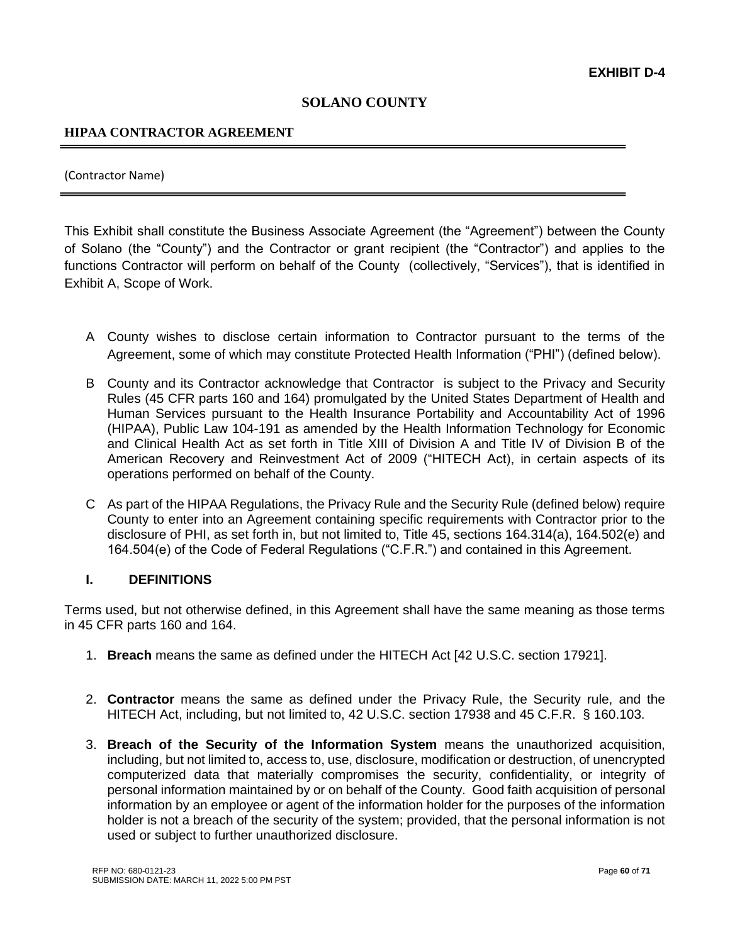# **SOLANO COUNTY**

# **HIPAA CONTRACTOR AGREEMENT**

#### (Contractor Name)

This Exhibit shall constitute the Business Associate Agreement (the "Agreement") between the County of Solano (the "County") and the Contractor or grant recipient (the "Contractor") and applies to the functions Contractor will perform on behalf of the County (collectively, "Services"), that is identified in Exhibit A, Scope of Work.

- A County wishes to disclose certain information to Contractor pursuant to the terms of the Agreement, some of which may constitute Protected Health Information ("PHI") (defined below).
- B County and its Contractor acknowledge that Contractor is subject to the Privacy and Security Rules (45 CFR parts 160 and 164) promulgated by the United States Department of Health and Human Services pursuant to the Health Insurance Portability and Accountability Act of 1996 (HIPAA), Public Law 104-191 as amended by the Health Information Technology for Economic and Clinical Health Act as set forth in Title XIII of Division A and Title IV of Division B of the American Recovery and Reinvestment Act of 2009 ("HITECH Act), in certain aspects of its operations performed on behalf of the County.
- C As part of the HIPAA Regulations, the Privacy Rule and the Security Rule (defined below) require County to enter into an Agreement containing specific requirements with Contractor prior to the disclosure of PHI, as set forth in, but not limited to, Title 45, sections 164.314(a), 164.502(e) and 164.504(e) of the Code of Federal Regulations ("C.F.R.") and contained in this Agreement.

#### **I. DEFINITIONS**

Terms used, but not otherwise defined, in this Agreement shall have the same meaning as those terms in 45 CFR parts 160 and 164.

- 1. **Breach** means the same as defined under the HITECH Act [42 U.S.C. section 17921].
- 2. **Contractor** means the same as defined under the Privacy Rule, the Security rule, and the HITECH Act, including, but not limited to, 42 U.S.C. section 17938 and 45 C.F.R. § 160.103.
- 3. **Breach of the Security of the Information System** means the unauthorized acquisition, including, but not limited to, access to, use, disclosure, modification or destruction, of unencrypted computerized data that materially compromises the security, confidentiality, or integrity of personal information maintained by or on behalf of the County. Good faith acquisition of personal information by an employee or agent of the information holder for the purposes of the information holder is not a breach of the security of the system; provided, that the personal information is not used or subject to further unauthorized disclosure.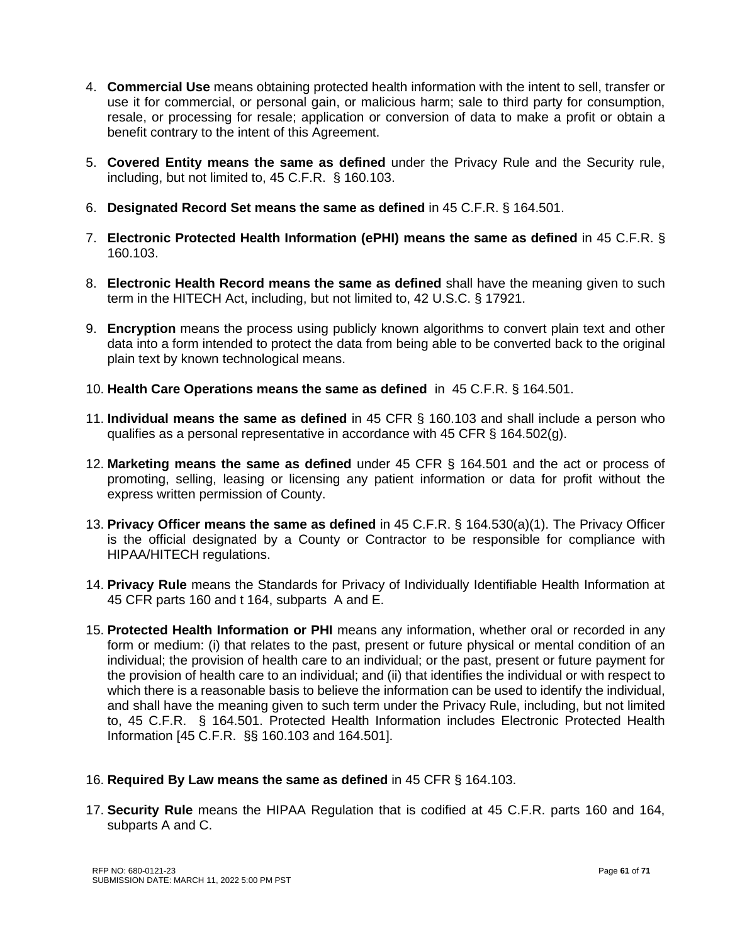- 4. **Commercial Use** means obtaining protected health information with the intent to sell, transfer or use it for commercial, or personal gain, or malicious harm; sale to third party for consumption, resale, or processing for resale; application or conversion of data to make a profit or obtain a benefit contrary to the intent of this Agreement.
- 5. **Covered Entity means the same as defined** under the Privacy Rule and the Security rule, including, but not limited to, 45 C.F.R. § 160.103.
- 6. **Designated Record Set means the same as defined** in 45 C.F.R. § 164.501.
- 7. **Electronic Protected Health Information (ePHI) means the same as defined** in 45 C.F.R. § 160.103.
- 8. **Electronic Health Record means the same as defined** shall have the meaning given to such term in the HITECH Act, including, but not limited to, 42 U.S.C. § 17921.
- 9. **Encryption** means the process using publicly known algorithms to convert plain text and other data into a form intended to protect the data from being able to be converted back to the original plain text by known technological means.
- 10. **Health Care Operations means the same as defined** in 45 C.F.R. § 164.501.
- 11. **Individual means the same as defined** in 45 CFR § 160.103 and shall include a person who qualifies as a personal representative in accordance with 45 CFR  $\S$  164.502(g).
- 12. **Marketing means the same as defined** under 45 CFR § 164.501 and the act or process of promoting, selling, leasing or licensing any patient information or data for profit without the express written permission of County.
- 13. **Privacy Officer means the same as defined** in 45 C.F.R. § 164.530(a)(1). The Privacy Officer is the official designated by a County or Contractor to be responsible for compliance with HIPAA/HITECH regulations.
- 14. **Privacy Rule** means the Standards for Privacy of Individually Identifiable Health Information at 45 CFR parts 160 and t 164, subparts A and E.
- 15. **Protected Health Information or PHI** means any information, whether oral or recorded in any form or medium: (i) that relates to the past, present or future physical or mental condition of an individual; the provision of health care to an individual; or the past, present or future payment for the provision of health care to an individual; and (ii) that identifies the individual or with respect to which there is a reasonable basis to believe the information can be used to identify the individual, and shall have the meaning given to such term under the Privacy Rule, including, but not limited to, 45 C.F.R. § 164.501. Protected Health Information includes Electronic Protected Health Information [45 C.F.R. §§ 160.103 and 164.501].
- 16. **Required By Law means the same as defined** in 45 CFR § 164.103.
- 17. **Security Rule** means the HIPAA Regulation that is codified at 45 C.F.R. parts 160 and 164, subparts A and C.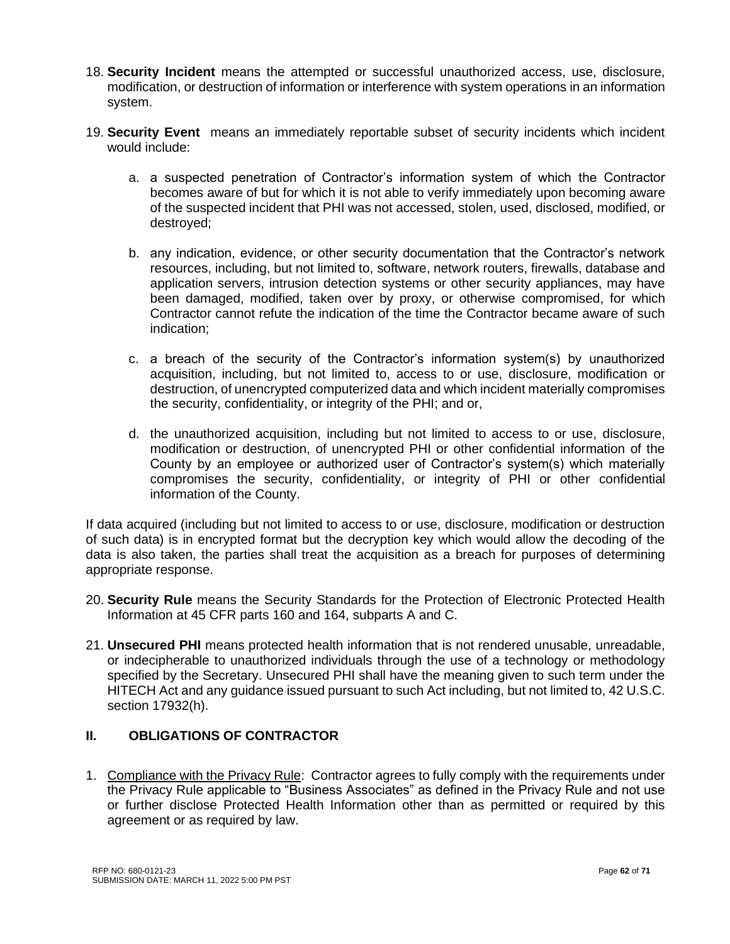- 18. **Security Incident** means the attempted or successful unauthorized access, use, disclosure, modification, or destruction of information or interference with system operations in an information system.
- 19. **Security Event** means an immediately reportable subset of security incidents which incident would include:
	- a. a suspected penetration of Contractor's information system of which the Contractor becomes aware of but for which it is not able to verify immediately upon becoming aware of the suspected incident that PHI was not accessed, stolen, used, disclosed, modified, or destroyed;
	- b. any indication, evidence, or other security documentation that the Contractor's network resources, including, but not limited to, software, network routers, firewalls, database and application servers, intrusion detection systems or other security appliances, may have been damaged, modified, taken over by proxy, or otherwise compromised, for which Contractor cannot refute the indication of the time the Contractor became aware of such indication;
	- c. a breach of the security of the Contractor's information system(s) by unauthorized acquisition, including, but not limited to, access to or use, disclosure, modification or destruction, of unencrypted computerized data and which incident materially compromises the security, confidentiality, or integrity of the PHI; and or,
	- d. the unauthorized acquisition, including but not limited to access to or use, disclosure, modification or destruction, of unencrypted PHI or other confidential information of the County by an employee or authorized user of Contractor's system(s) which materially compromises the security, confidentiality, or integrity of PHI or other confidential information of the County.

If data acquired (including but not limited to access to or use, disclosure, modification or destruction of such data) is in encrypted format but the decryption key which would allow the decoding of the data is also taken, the parties shall treat the acquisition as a breach for purposes of determining appropriate response.

- 20. **Security Rule** means the Security Standards for the Protection of Electronic Protected Health Information at 45 CFR parts 160 and 164, subparts A and C.
- 21. **Unsecured PHI** means protected health information that is not rendered unusable, unreadable, or indecipherable to unauthorized individuals through the use of a technology or methodology specified by the Secretary. Unsecured PHI shall have the meaning given to such term under the HITECH Act and any guidance issued pursuant to such Act including, but not limited to, 42 U.S.C. section 17932(h).

# **II. OBLIGATIONS OF CONTRACTOR**

1. Compliance with the Privacy Rule: Contractor agrees to fully comply with the requirements under the Privacy Rule applicable to "Business Associates" as defined in the Privacy Rule and not use or further disclose Protected Health Information other than as permitted or required by this agreement or as required by law.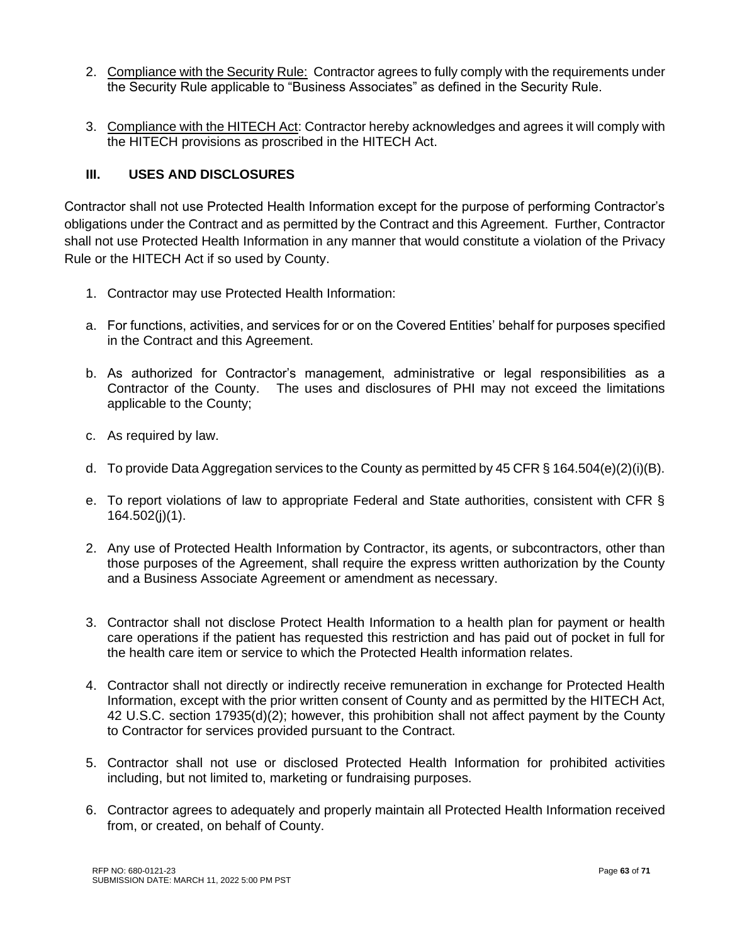- 2. Compliance with the Security Rule: Contractor agrees to fully comply with the requirements under the Security Rule applicable to "Business Associates" as defined in the Security Rule.
- 3. Compliance with the HITECH Act: Contractor hereby acknowledges and agrees it will comply with the HITECH provisions as proscribed in the HITECH Act.

# **III. USES AND DISCLOSURES**

Contractor shall not use Protected Health Information except for the purpose of performing Contractor's obligations under the Contract and as permitted by the Contract and this Agreement. Further, Contractor shall not use Protected Health Information in any manner that would constitute a violation of the Privacy Rule or the HITECH Act if so used by County.

- 1. Contractor may use Protected Health Information:
- a. For functions, activities, and services for or on the Covered Entities' behalf for purposes specified in the Contract and this Agreement.
- b. As authorized for Contractor's management, administrative or legal responsibilities as a Contractor of the County. The uses and disclosures of PHI may not exceed the limitations applicable to the County;
- c. As required by law.
- d. To provide Data Aggregation services to the County as permitted by 45 CFR § 164.504(e)(2)(i)(B).
- e. To report violations of law to appropriate Federal and State authorities, consistent with CFR § 164.502(j)(1).
- 2. Any use of Protected Health Information by Contractor, its agents, or subcontractors, other than those purposes of the Agreement, shall require the express written authorization by the County and a Business Associate Agreement or amendment as necessary.
- 3. Contractor shall not disclose Protect Health Information to a health plan for payment or health care operations if the patient has requested this restriction and has paid out of pocket in full for the health care item or service to which the Protected Health information relates.
- 4. Contractor shall not directly or indirectly receive remuneration in exchange for Protected Health Information, except with the prior written consent of County and as permitted by the HITECH Act, 42 U.S.C. section 17935(d)(2); however, this prohibition shall not affect payment by the County to Contractor for services provided pursuant to the Contract.
- 5. Contractor shall not use or disclosed Protected Health Information for prohibited activities including, but not limited to, marketing or fundraising purposes.
- 6. Contractor agrees to adequately and properly maintain all Protected Health Information received from, or created, on behalf of County.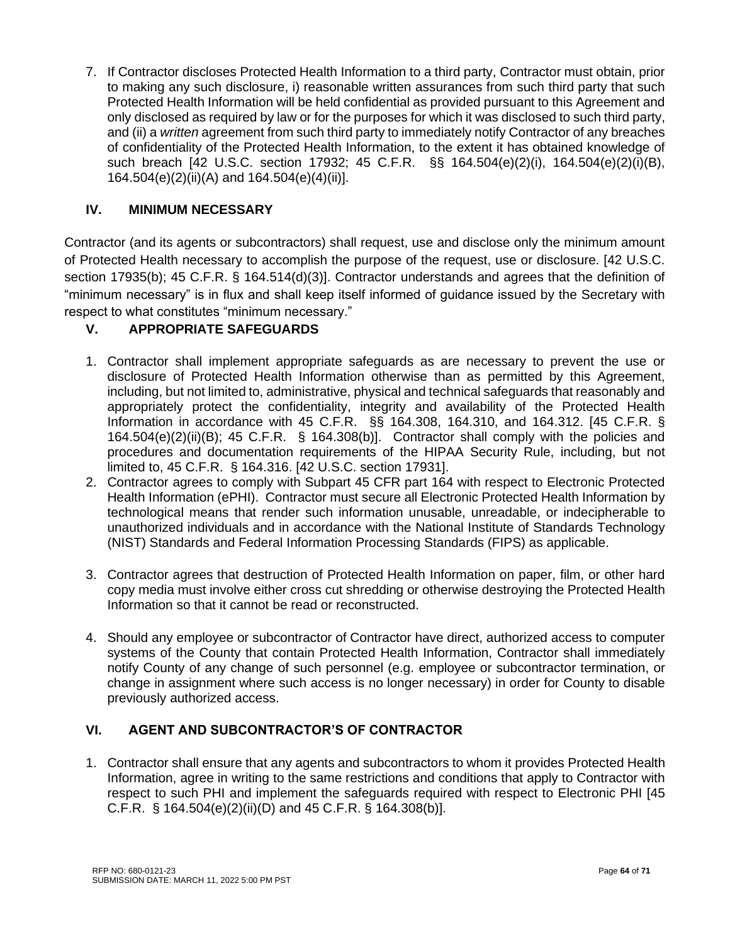7. If Contractor discloses Protected Health Information to a third party, Contractor must obtain, prior to making any such disclosure, i) reasonable written assurances from such third party that such Protected Health Information will be held confidential as provided pursuant to this Agreement and only disclosed as required by law or for the purposes for which it was disclosed to such third party, and (ii) a *written* agreement from such third party to immediately notify Contractor of any breaches of confidentiality of the Protected Health Information, to the extent it has obtained knowledge of such breach [42 U.S.C. section 17932; 45 C.F.R. §§ 164.504(e)(2)(i), 164.504(e)(2)(i)(B), 164.504(e)(2)(ii)(A) and 164.504(e)(4)(ii)].

# **IV. MINIMUM NECESSARY**

Contractor (and its agents or subcontractors) shall request, use and disclose only the minimum amount of Protected Health necessary to accomplish the purpose of the request, use or disclosure. [42 U.S.C. section 17935(b); 45 C.F.R. § 164.514(d)(3)]. Contractor understands and agrees that the definition of "minimum necessary" is in flux and shall keep itself informed of guidance issued by the Secretary with respect to what constitutes "minimum necessary."

# **V. APPROPRIATE SAFEGUARDS**

- 1. Contractor shall implement appropriate safeguards as are necessary to prevent the use or disclosure of Protected Health Information otherwise than as permitted by this Agreement, including, but not limited to, administrative, physical and technical safeguards that reasonably and appropriately protect the confidentiality, integrity and availability of the Protected Health Information in accordance with 45 C.F.R. §§ 164.308, 164.310, and 164.312. [45 C.F.R. § 164.504(e)(2)(ii)(B); 45 C.F.R. § 164.308(b)]. Contractor shall comply with the policies and procedures and documentation requirements of the HIPAA Security Rule, including, but not limited to, 45 C.F.R. § 164.316. [42 U.S.C. section 17931].
- 2. Contractor agrees to comply with Subpart 45 CFR part 164 with respect to Electronic Protected Health Information (ePHI). Contractor must secure all Electronic Protected Health Information by technological means that render such information unusable, unreadable, or indecipherable to unauthorized individuals and in accordance with the National Institute of Standards Technology (NIST) Standards and Federal Information Processing Standards (FIPS) as applicable.
- 3. Contractor agrees that destruction of Protected Health Information on paper, film, or other hard copy media must involve either cross cut shredding or otherwise destroying the Protected Health Information so that it cannot be read or reconstructed.
- 4. Should any employee or subcontractor of Contractor have direct, authorized access to computer systems of the County that contain Protected Health Information, Contractor shall immediately notify County of any change of such personnel (e.g. employee or subcontractor termination, or change in assignment where such access is no longer necessary) in order for County to disable previously authorized access.

# **VI. AGENT AND SUBCONTRACTOR'S OF CONTRACTOR**

1. Contractor shall ensure that any agents and subcontractors to whom it provides Protected Health Information, agree in writing to the same restrictions and conditions that apply to Contractor with respect to such PHI and implement the safeguards required with respect to Electronic PHI [45 C.F.R. § 164.504(e)(2)(ii)(D) and 45 C.F.R. § 164.308(b)].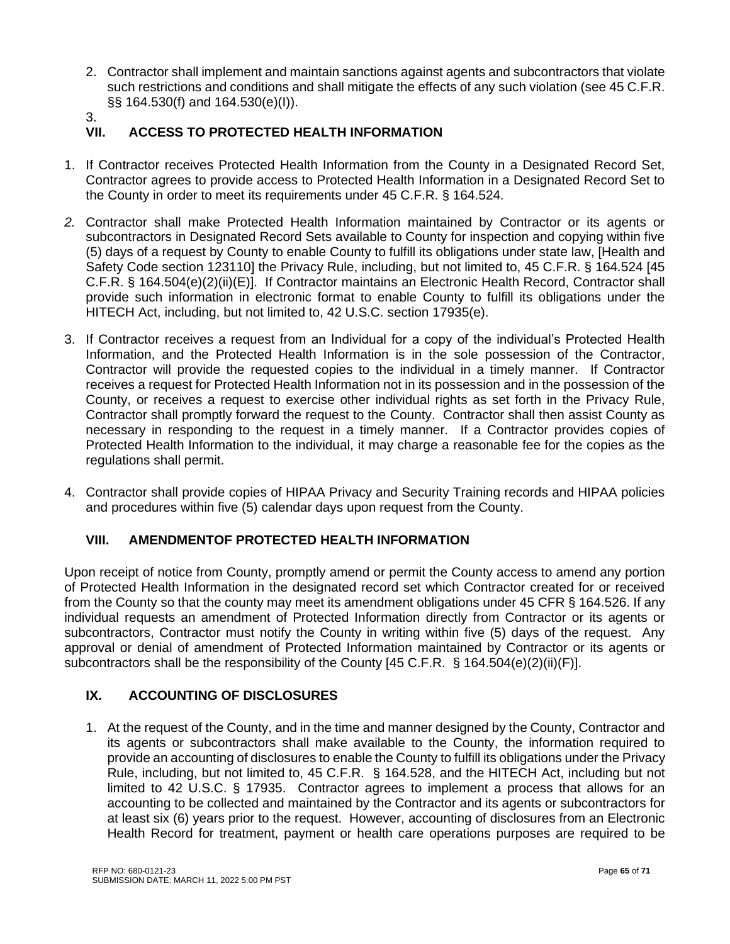- 2. Contractor shall implement and maintain sanctions against agents and subcontractors that violate such restrictions and conditions and shall mitigate the effects of any such violation (see 45 C.F.R. §§ 164.530(f) and 164.530(e)(I)).
- 3.<br>VII.

# **VII. ACCESS TO PROTECTED HEALTH INFORMATION**

- 1. If Contractor receives Protected Health Information from the County in a Designated Record Set, Contractor agrees to provide access to Protected Health Information in a Designated Record Set to the County in order to meet its requirements under 45 C.F.R. § 164.524.
- *2.* Contractor shall make Protected Health Information maintained by Contractor or its agents or subcontractors in Designated Record Sets available to County for inspection and copying within five (5) days of a request by County to enable County to fulfill its obligations under state law, [Health and Safety Code section 123110] the Privacy Rule, including, but not limited to, 45 C.F.R. § 164.524 [45 C.F.R. § 164.504(e)(2)(ii)(E)]. If Contractor maintains an Electronic Health Record, Contractor shall provide such information in electronic format to enable County to fulfill its obligations under the HITECH Act, including, but not limited to, 42 U.S.C. section 17935(e).
- 3. If Contractor receives a request from an Individual for a copy of the individual's Protected Health Information, and the Protected Health Information is in the sole possession of the Contractor, Contractor will provide the requested copies to the individual in a timely manner. If Contractor receives a request for Protected Health Information not in its possession and in the possession of the County, or receives a request to exercise other individual rights as set forth in the Privacy Rule, Contractor shall promptly forward the request to the County. Contractor shall then assist County as necessary in responding to the request in a timely manner. If a Contractor provides copies of Protected Health Information to the individual, it may charge a reasonable fee for the copies as the regulations shall permit.
- 4. Contractor shall provide copies of HIPAA Privacy and Security Training records and HIPAA policies and procedures within five (5) calendar days upon request from the County.

# **VIII. AMENDMENTOF PROTECTED HEALTH INFORMATION**

Upon receipt of notice from County, promptly amend or permit the County access to amend any portion of Protected Health Information in the designated record set which Contractor created for or received from the County so that the county may meet its amendment obligations under 45 CFR § 164.526. If any individual requests an amendment of Protected Information directly from Contractor or its agents or subcontractors, Contractor must notify the County in writing within five (5) days of the request. Any approval or denial of amendment of Protected Information maintained by Contractor or its agents or subcontractors shall be the responsibility of the County [45 C.F.R. § 164.504(e)(2)(ii)(F)].

# **IX. ACCOUNTING OF DISCLOSURES**

1. At the request of the County, and in the time and manner designed by the County, Contractor and its agents or subcontractors shall make available to the County, the information required to provide an accounting of disclosures to enable the County to fulfill its obligations under the Privacy Rule, including, but not limited to, 45 C.F.R. § 164.528, and the HITECH Act, including but not limited to 42 U.S.C. § 17935. Contractor agrees to implement a process that allows for an accounting to be collected and maintained by the Contractor and its agents or subcontractors for at least six (6) years prior to the request. However, accounting of disclosures from an Electronic Health Record for treatment, payment or health care operations purposes are required to be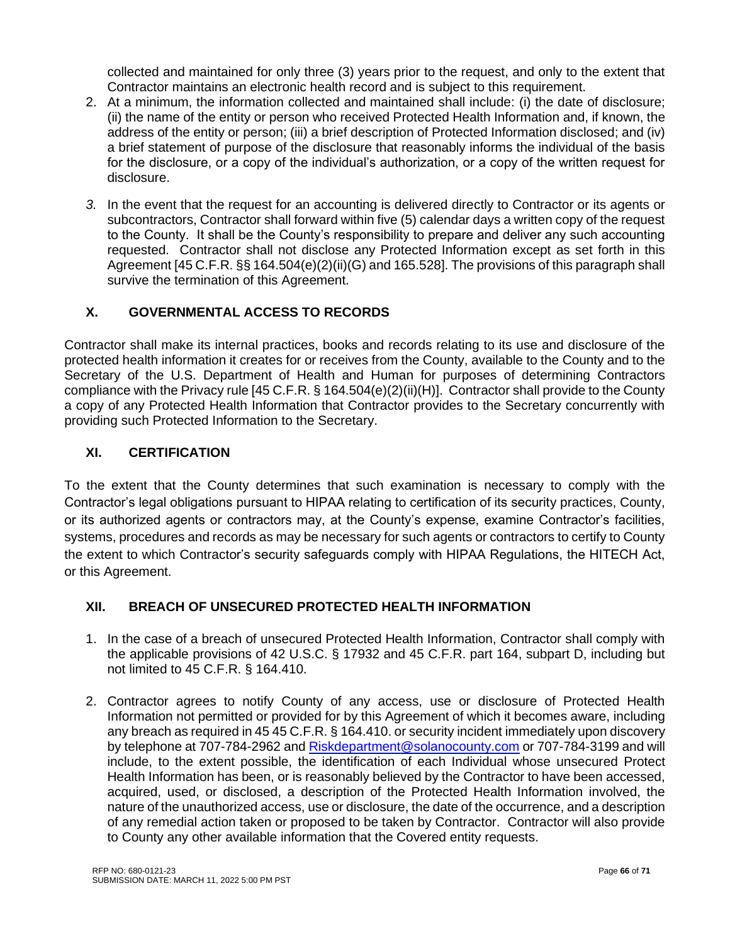collected and maintained for only three (3) years prior to the request, and only to the extent that Contractor maintains an electronic health record and is subject to this requirement.

- 2. At a minimum, the information collected and maintained shall include: (i) the date of disclosure; (ii) the name of the entity or person who received Protected Health Information and, if known, the address of the entity or person; (iii) a brief description of Protected Information disclosed; and (iv) a brief statement of purpose of the disclosure that reasonably informs the individual of the basis for the disclosure, or a copy of the individual's authorization, or a copy of the written request for disclosure.
- *3.* In the event that the request for an accounting is delivered directly to Contractor or its agents or subcontractors, Contractor shall forward within five (5) calendar days a written copy of the request to the County. It shall be the County's responsibility to prepare and deliver any such accounting requested. Contractor shall not disclose any Protected Information except as set forth in this Agreement [45 C.F.R. §§ 164.504(e)(2)(ii)(G) and 165.528]. The provisions of this paragraph shall survive the termination of this Agreement.

# **X. GOVERNMENTAL ACCESS TO RECORDS**

Contractor shall make its internal practices, books and records relating to its use and disclosure of the protected health information it creates for or receives from the County, available to the County and to the Secretary of the U.S. Department of Health and Human for purposes of determining Contractors compliance with the Privacy rule [45 C.F.R. § 164.504(e)(2)(ii)(H)]. Contractor shall provide to the County a copy of any Protected Health Information that Contractor provides to the Secretary concurrently with providing such Protected Information to the Secretary.

# **XI. CERTIFICATION**

To the extent that the County determines that such examination is necessary to comply with the Contractor's legal obligations pursuant to HIPAA relating to certification of its security practices, County, or its authorized agents or contractors may, at the County's expense, examine Contractor's facilities, systems, procedures and records as may be necessary for such agents or contractors to certify to County the extent to which Contractor's security safeguards comply with HIPAA Regulations, the HITECH Act, or this Agreement.

# **XII. BREACH OF UNSECURED PROTECTED HEALTH INFORMATION**

- 1. In the case of a breach of unsecured Protected Health Information, Contractor shall comply with the applicable provisions of 42 U.S.C. § 17932 and 45 C.F.R. part 164, subpart D, including but not limited to 45 C.F.R. § 164.410.
- 2. Contractor agrees to notify County of any access, use or disclosure of Protected Health Information not permitted or provided for by this Agreement of which it becomes aware, including any breach as required in 45 45 C.F.R. § 164.410. or security incident immediately upon discovery by telephone at 707-784-2962 and [Riskdepartment@solanocounty.com](mailto:Riskdepartment@solanocounty.com) or 707-784-3199 and will include, to the extent possible, the identification of each Individual whose unsecured Protect Health Information has been, or is reasonably believed by the Contractor to have been accessed, acquired, used, or disclosed, a description of the Protected Health Information involved, the nature of the unauthorized access, use or disclosure, the date of the occurrence, and a description of any remedial action taken or proposed to be taken by Contractor. Contractor will also provide to County any other available information that the Covered entity requests.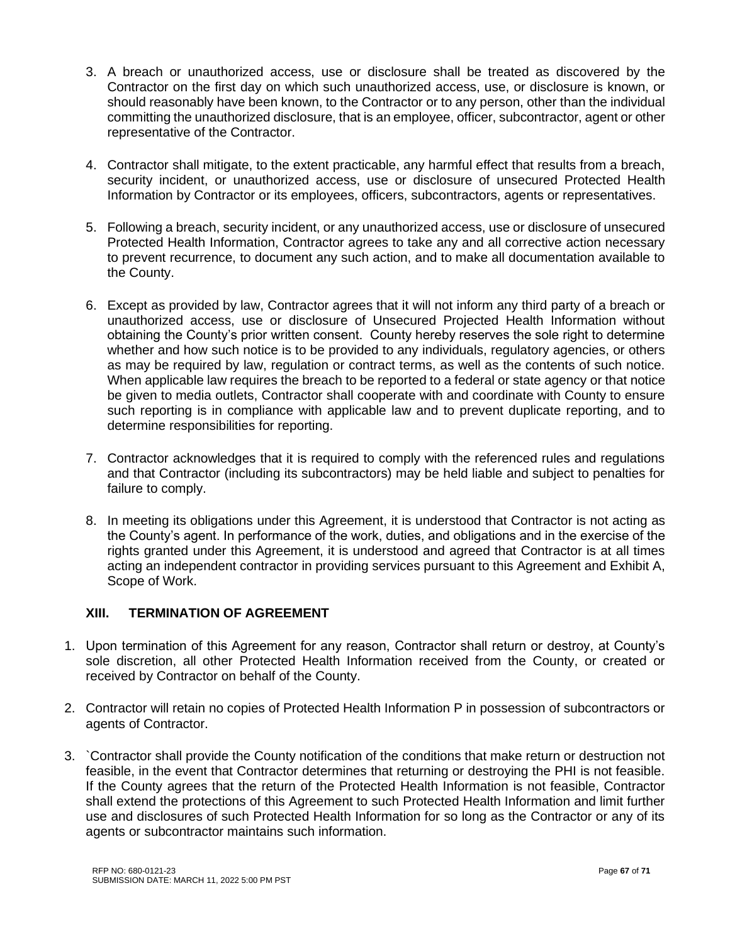- 3. A breach or unauthorized access, use or disclosure shall be treated as discovered by the Contractor on the first day on which such unauthorized access, use, or disclosure is known, or should reasonably have been known, to the Contractor or to any person, other than the individual committing the unauthorized disclosure, that is an employee, officer, subcontractor, agent or other representative of the Contractor.
- 4. Contractor shall mitigate, to the extent practicable, any harmful effect that results from a breach, security incident, or unauthorized access, use or disclosure of unsecured Protected Health Information by Contractor or its employees, officers, subcontractors, agents or representatives.
- 5. Following a breach, security incident, or any unauthorized access, use or disclosure of unsecured Protected Health Information, Contractor agrees to take any and all corrective action necessary to prevent recurrence, to document any such action, and to make all documentation available to the County.
- 6. Except as provided by law, Contractor agrees that it will not inform any third party of a breach or unauthorized access, use or disclosure of Unsecured Projected Health Information without obtaining the County's prior written consent. County hereby reserves the sole right to determine whether and how such notice is to be provided to any individuals, regulatory agencies, or others as may be required by law, regulation or contract terms, as well as the contents of such notice. When applicable law requires the breach to be reported to a federal or state agency or that notice be given to media outlets, Contractor shall cooperate with and coordinate with County to ensure such reporting is in compliance with applicable law and to prevent duplicate reporting, and to determine responsibilities for reporting.
- 7. Contractor acknowledges that it is required to comply with the referenced rules and regulations and that Contractor (including its subcontractors) may be held liable and subject to penalties for failure to comply.
- 8. In meeting its obligations under this Agreement, it is understood that Contractor is not acting as the County's agent. In performance of the work, duties, and obligations and in the exercise of the rights granted under this Agreement, it is understood and agreed that Contractor is at all times acting an independent contractor in providing services pursuant to this Agreement and Exhibit A, Scope of Work.

# **XIII. TERMINATION OF AGREEMENT**

- 1. Upon termination of this Agreement for any reason, Contractor shall return or destroy, at County's sole discretion, all other Protected Health Information received from the County, or created or received by Contractor on behalf of the County.
- 2. Contractor will retain no copies of Protected Health Information P in possession of subcontractors or agents of Contractor.
- 3. `Contractor shall provide the County notification of the conditions that make return or destruction not feasible, in the event that Contractor determines that returning or destroying the PHI is not feasible. If the County agrees that the return of the Protected Health Information is not feasible, Contractor shall extend the protections of this Agreement to such Protected Health Information and limit further use and disclosures of such Protected Health Information for so long as the Contractor or any of its agents or subcontractor maintains such information.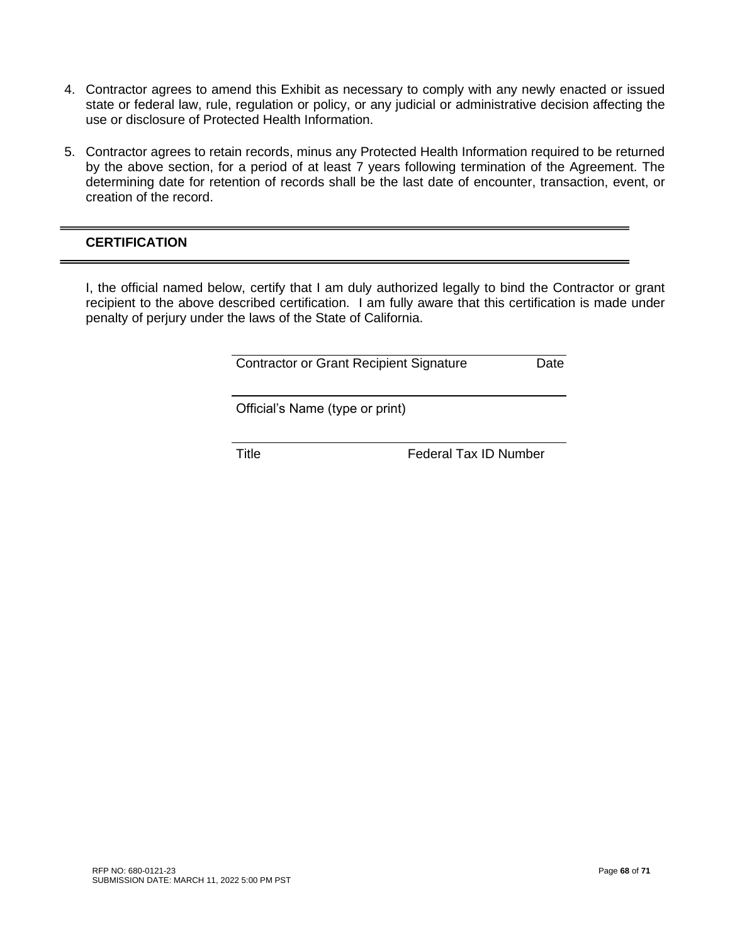- 4. Contractor agrees to amend this Exhibit as necessary to comply with any newly enacted or issued state or federal law, rule, regulation or policy, or any judicial or administrative decision affecting the use or disclosure of Protected Health Information.
- 5. Contractor agrees to retain records, minus any Protected Health Information required to be returned by the above section, for a period of at least 7 years following termination of the Agreement. The determining date for retention of records shall be the last date of encounter, transaction, event, or creation of the record.

# **CERTIFICATION**

I, the official named below, certify that I am duly authorized legally to bind the Contractor or grant recipient to the above described certification. I am fully aware that this certification is made under penalty of perjury under the laws of the State of California.

Contractor or Grant Recipient Signature Date

Official's Name (type or print)

Title **Federal Tax ID Number**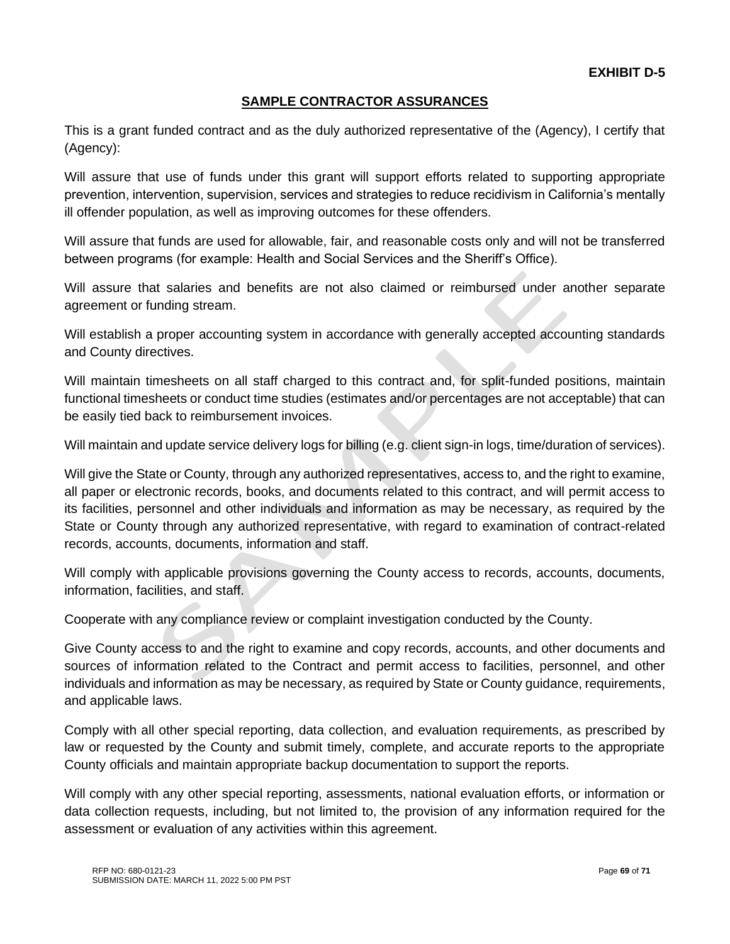# **SAMPLE CONTRACTOR ASSURANCES**

This is a grant funded contract and as the duly authorized representative of the (Agency), I certify that (Agency):

Will assure that use of funds under this grant will support efforts related to supporting appropriate prevention, intervention, supervision, services and strategies to reduce recidivism in California's mentally ill offender population, as well as improving outcomes for these offenders.

Will assure that funds are used for allowable, fair, and reasonable costs only and will not be transferred between programs (for example: Health and Social Services and the Sheriff's Office).

Will assure that salaries and benefits are not also claimed or reimbursed under another separate agreement or funding stream.

Will establish a proper accounting system in accordance with generally accepted accounting standards and County directives.

Will maintain timesheets on all staff charged to this contract and, for split-funded positions, maintain functional timesheets or conduct time studies (estimates and/or percentages are not acceptable) that can be easily tied back to reimbursement invoices.

Will maintain and update service delivery logs for billing (e.g. client sign-in logs, time/duration of services).

Will give the State or County, through any authorized representatives, access to, and the right to examine, all paper or electronic records, books, and documents related to this contract, and will permit access to its facilities, personnel and other individuals and information as may be necessary, as required by the State or County through any authorized representative, with regard to examination of contract-related records, accounts, documents, information and staff.

Will comply with applicable provisions governing the County access to records, accounts, documents, information, facilities, and staff.

Cooperate with any compliance review or complaint investigation conducted by the County.

Give County access to and the right to examine and copy records, accounts, and other documents and sources of information related to the Contract and permit access to facilities, personnel, and other individuals and information as may be necessary, as required by State or County guidance, requirements, and applicable laws.

Comply with all other special reporting, data collection, and evaluation requirements, as prescribed by law or requested by the County and submit timely, complete, and accurate reports to the appropriate County officials and maintain appropriate backup documentation to support the reports.

Will comply with any other special reporting, assessments, national evaluation efforts, or information or data collection requests, including, but not limited to, the provision of any information required for the assessment or evaluation of any activities within this agreement.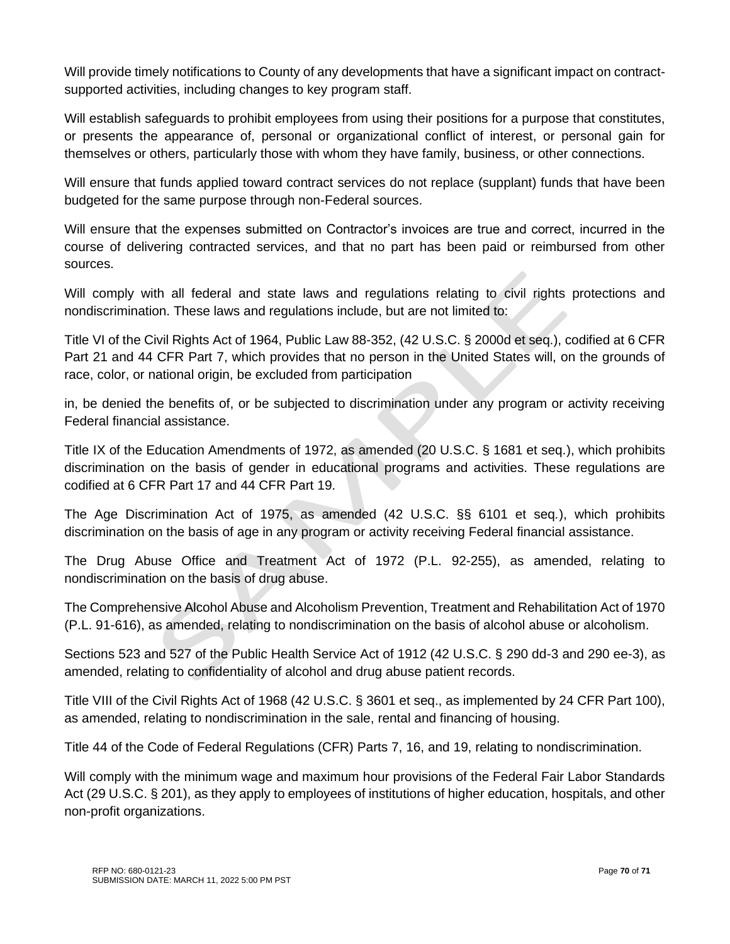Will provide timely notifications to County of any developments that have a significant impact on contractsupported activities, including changes to key program staff.

Will establish safeguards to prohibit employees from using their positions for a purpose that constitutes, or presents the appearance of, personal or organizational conflict of interest, or personal gain for themselves or others, particularly those with whom they have family, business, or other connections.

Will ensure that funds applied toward contract services do not replace (supplant) funds that have been budgeted for the same purpose through non-Federal sources.

Will ensure that the expenses submitted on Contractor's invoices are true and correct, incurred in the course of delivering contracted services, and that no part has been paid or reimbursed from other sources.

Will comply with all federal and state laws and regulations relating to civil rights protections and nondiscrimination. These laws and regulations include, but are not limited to:

Title VI of the Civil Rights Act of 1964, Public Law 88-352, (42 U.S.C. § 2000d et seq.), codified at 6 CFR Part 21 and 44 CFR Part 7, which provides that no person in the United States will, on the grounds of race, color, or national origin, be excluded from participation

in, be denied the benefits of, or be subjected to discrimination under any program or activity receiving Federal financial assistance.

Title IX of the Education Amendments of 1972, as amended (20 U.S.C. § 1681 et seq*.*), which prohibits discrimination on the basis of gender in educational programs and activities. These regulations are codified at 6 CFR Part 17 and 44 CFR Part 19.

The Age Discrimination Act of 1975, as amended (42 U.S.C. §§ 6101 et seq*.*), which prohibits discrimination on the basis of age in any program or activity receiving Federal financial assistance.

The Drug Abuse Office and Treatment Act of 1972 (P.L. 92-255), as amended, relating to nondiscrimination on the basis of drug abuse.

The Comprehensive Alcohol Abuse and Alcoholism Prevention, Treatment and Rehabilitation Act of 1970 (P.L. 91-616), as amended, relating to nondiscrimination on the basis of alcohol abuse or alcoholism.

Sections 523 and 527 of the Public Health Service Act of 1912 (42 U.S.C. § 290 dd-3 and 290 ee-3), as amended, relating to confidentiality of alcohol and drug abuse patient records.

Title VIII of the Civil Rights Act of 1968 (42 U.S.C. § 3601 et seq., as implemented by 24 CFR Part 100), as amended, relating to nondiscrimination in the sale, rental and financing of housing.

Title 44 of the Code of Federal Regulations (CFR) Parts 7, 16, and 19, relating to nondiscrimination.

Will comply with the minimum wage and maximum hour provisions of the Federal Fair Labor Standards Act (29 U.S.C. § 201), as they apply to employees of institutions of higher education, hospitals, and other non-profit organizations.